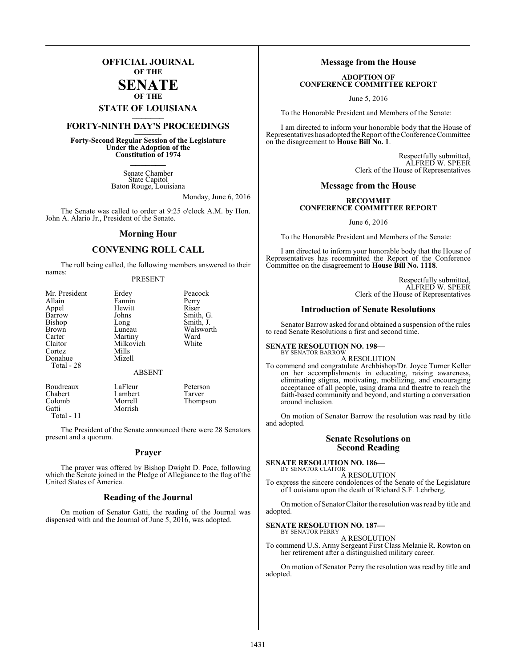# **OFFICIAL JOURNAL OF THE**

# **SENATE OF THE**

# **STATE OF LOUISIANA \_\_\_\_\_\_\_**

# **FORTY-NINTH DAY'S PROCEEDINGS \_\_\_\_\_\_\_**

**Forty-Second Regular Session of the Legislature Under the Adoption of the Constitution of 1974 \_\_\_\_\_\_\_**

> Senate Chamber State Capitol Baton Rouge, Louisiana

> > Monday, June 6, 2016

The Senate was called to order at 9:25 o'clock A.M. by Hon. John A. Alario Jr., President of the Senate.

### **Morning Hour**

# **CONVENING ROLL CALL**

The roll being called, the following members answered to their names:

## PRESENT

| Mr. President | Erdey         | Peacock   |
|---------------|---------------|-----------|
| Allain        | Fannin        | Perry     |
| Appel         | Hewitt        | Riser     |
| Barrow        | Johns         | Smith, G. |
| <b>Bishop</b> | Long          | Smith, J. |
| Brown         | Luneau        | Walsworth |
| Carter        | Martiny       | Ward      |
| Claitor       | Milkovich     | White     |
| Cortez        | Mills         |           |
| Donahue       | Mizell        |           |
| Total - 28    |               |           |
|               | <b>ABSENT</b> |           |
|               |               |           |

| Boudreaux    | LaFleur | Peterson |
|--------------|---------|----------|
| Chabert      | Lambert | Tarver   |
| Colomb       | Morrell | Thompson |
| Gatti        | Morrish |          |
| Total - $11$ |         |          |

The President of the Senate announced there were 28 Senators present and a quorum.

#### **Prayer**

The prayer was offered by Bishop Dwight D. Pace, following which the Senate joined in the Pledge of Allegiance to the flag of the United States of America.

## **Reading of the Journal**

On motion of Senator Gatti, the reading of the Journal was dispensed with and the Journal of June 5, 2016, was adopted.

# **Message from the House**

# **ADOPTION OF CONFERENCE COMMITTEE REPORT**

June 5, 2016

To the Honorable President and Members of the Senate:

I am directed to inform your honorable body that the House of Representatives has adopted the Report of the Conference Committee on the disagreement to **House Bill No. 1**.

> Respectfully submitted, ALFRED W. SPEER Clerk of the House of Representatives

### **Message from the House**

#### **RECOMMIT CONFERENCE COMMITTEE REPORT**

June 6, 2016

To the Honorable President and Members of the Senate:

I am directed to inform your honorable body that the House of Representatives has recommitted the Report of the Conference Committee on the disagreement to **House Bill No. 1118**.

> Respectfully submitted, ALFRED W. SPEER Clerk of the House of Representatives

# **Introduction of Senate Resolutions**

Senator Barrow asked for and obtained a suspension of the rules to read Senate Resolutions a first and second time.

#### **SENATE RESOLUTION NO. 198—** BY SENATOR BARROW

A RESOLUTION

To commend and congratulate Archbishop/Dr. Joyce Turner Keller on her accomplishments in educating, raising awareness, eliminating stigma, motivating, mobilizing, and encouraging acceptance of all people, using drama and theatre to reach the faith-based community and beyond, and starting a conversation around inclusion.

On motion of Senator Barrow the resolution was read by title and adopted.

# **Senate Resolutions on Second Reading**

**SENATE RESOLUTION NO. 186—** BY SENATOR CLAITOR

A RESOLUTION

To express the sincere condolences of the Senate of the Legislature of Louisiana upon the death of Richard S.F. Lehrberg.

On motion of Senator Claitor the resolution was read by title and adopted.

# **SENATE RESOLUTION NO. 187—** BY SENATOR PERRY

A RESOLUTION

To commend U.S. Army Sergeant First Class Melanie R. Rowton on her retirement after a distinguished military career.

On motion of Senator Perry the resolution was read by title and adopted.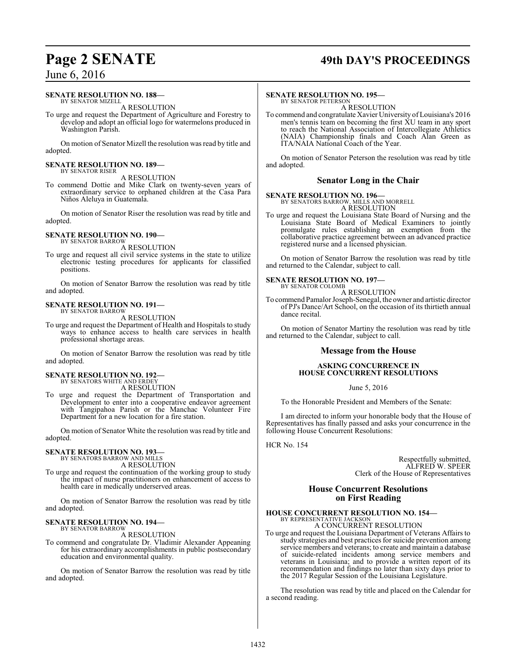# **Page 2 SENATE 49th DAY'S PROCEEDINGS**

# June 6, 2016

#### **SENATE RESOLUTION NO. 188—** BY SENATOR MIZELL

A RESOLUTION

To urge and request the Department of Agriculture and Forestry to develop and adopt an official logo for watermelons produced in Washington Parish.

On motion of Senator Mizell the resolution was read by title and adopted.

#### **SENATE RESOLUTION NO. 189—** BY SENATOR RISER

A RESOLUTION

To commend Dottie and Mike Clark on twenty-seven years of extraordinary service to orphaned children at the Casa Para Niños Aleluya in Guatemala.

On motion of Senator Riser the resolution was read by title and adopted.

#### **SENATE RESOLUTION NO. 190—** BY SENATOR BARROW

A RESOLUTION

To urge and request all civil service systems in the state to utilize electronic testing procedures for applicants for classified positions.

On motion of Senator Barrow the resolution was read by title and adopted.

#### **SENATE RESOLUTION NO. 191—** BY SENATOR BARROW

A RESOLUTION

To urge and request the Department of Health and Hospitals to study ways to enhance access to health care services in health professional shortage areas.

On motion of Senator Barrow the resolution was read by title and adopted.

# **SENATE RESOLUTION NO. 192—**

BY SENATORS WHITE AND ERDEY A RESOLUTION

To urge and request the Department of Transportation and Development to enter into a cooperative endeavor agreement with Tangipahoa Parish or the Manchac Volunteer Fire Department for a new location for a fire station.

On motion of Senator White the resolution was read by title and adopted.

# **SENATE RESOLUTION NO. 193—** BY SENATORS BARROW AND MILLS

A RESOLUTION

To urge and request the continuation of the working group to study the impact of nurse practitioners on enhancement of access to health care in medically underserved areas.

On motion of Senator Barrow the resolution was read by title and adopted.

#### **SENATE RESOLUTION NO. 194—** BY SENATOR BARROW

A RESOLUTION

To commend and congratulate Dr. Vladimir Alexander Appeaning for his extraordinary accomplishments in public postsecondary education and environmental quality.

On motion of Senator Barrow the resolution was read by title and adopted.

### **SENATE RESOLUTION NO. 195—**

BY SENATOR PETERSON A RESOLUTION

To commend and congratulate Xavier University of Louisiana's 2016 men's tennis team on becoming the first XU team in any sport to reach the National Association of Intercollegiate Athletics (NAIA) Championship finals and Coach Alan Green as ITA/NAIA National Coach of the Year.

On motion of Senator Peterson the resolution was read by title and adopted.

# **Senator Long in the Chair**

**SENATE RESOLUTION NO. 196—**

BY SENATORS BARROW, MILLS AND MORRELL

A RESOLUTION To urge and request the Louisiana State Board of Nursing and the Louisiana State Board of Medical Examiners to jointly promulgate rules establishing an exemption from the collaborative practice agreement between an advanced practice registered nurse and a licensed physician.

On motion of Senator Barrow the resolution was read by title and returned to the Calendar, subject to call.

## **SENATE RESOLUTION NO. 197—**

BY SENATOR COLOMB A RESOLUTION

To commend Pamalor Joseph-Senegal, the owner and artistic director of PJ's Dance/Art School, on the occasion of its thirtieth annual dance recital.

On motion of Senator Martiny the resolution was read by title and returned to the Calendar, subject to call.

# **Message from the House**

#### **ASKING CONCURRENCE IN HOUSE CONCURRENT RESOLUTIONS**

June 5, 2016

To the Honorable President and Members of the Senate:

I am directed to inform your honorable body that the House of Representatives has finally passed and asks your concurrence in the following House Concurrent Resolutions:

HCR No. 154

Respectfully submitted, ALFRED W. SPEER Clerk of the House of Representatives

# **House Concurrent Resolutions on First Reading**

#### **HOUSE CONCURRENT RESOLUTION NO. 154—** BY REPRESENTATIVE JACKSON

A CONCURRENT RESOLUTION

To urge and request the Louisiana Department of Veterans Affairs to study strategies and best practices for suicide prevention among service members and veterans; to create and maintain a database of suicide-related incidents among service members and veterans in Louisiana; and to provide a written report of its recommendation and findings no later than sixty days prior to the 2017 Regular Session of the Louisiana Legislature.

The resolution was read by title and placed on the Calendar for a second reading.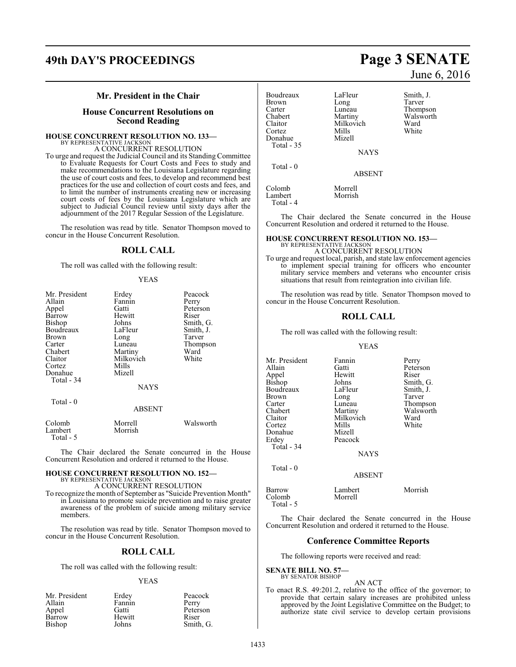# **49th DAY'S PROCEEDINGS Page 3 SENATE**

# **Mr. President in the Chair**

# **House Concurrent Resolutions on Second Reading**

# **HOUSE CONCURRENT RESOLUTION NO. 133—** BY REPRESENTATIVE JACKSON

A CONCURRENT RESOLUTION

To urge and request the Judicial Council and its Standing Committee to Evaluate Requests for Court Costs and Fees to study and make recommendations to the Louisiana Legislature regarding the use of court costs and fees, to develop and recommend best practices for the use and collection of court costs and fees, and to limit the number of instruments creating new or increasing court costs of fees by the Louisiana Legislature which are subject to Judicial Council review until sixty days after the adjournment of the 2017 Regular Session of the Legislature.

The resolution was read by title. Senator Thompson moved to concur in the House Concurrent Resolution.

# **ROLL CALL**

The roll was called with the following result:

#### YEAS

| Mr. President     | Erdey              | Peacock   |
|-------------------|--------------------|-----------|
| Allain            | Fannin             | Perry     |
| Appel             | Gatti              | Peterson  |
| Barrow            | Hewitt             | Riser     |
| Bishop            | Johns              | Smith, G. |
| Boudreaux         | LaFleur            | Smith, J. |
| Brown             | Long               | Tarver    |
| Carter            | Luneau             | Thompson  |
| Chabert           | Martiny            | Ward      |
| Claitor           | Milkovich          | White     |
| Cortez            | Mills              |           |
| Donahue           | Mizell             |           |
| Total - 34        |                    |           |
|                   | NAYS               |           |
| Total - 0         |                    |           |
|                   | <b>ABSENT</b>      |           |
| Colomb<br>Lambert | Morrell<br>Morrish | Walsworth |

Total - 5

The Chair declared the Senate concurred in the House Concurrent Resolution and ordered it returned to the House.

#### **HOUSE CONCURRENT RESOLUTION NO. 152—** BY REPRESENTATIVE JACKSON

A CONCURRENT RESOLUTION

To recognize the month of September as "Suicide Prevention Month" in Louisiana to promote suicide prevention and to raise greater awareness of the problem of suicide among military service members.

The resolution was read by title. Senator Thompson moved to concur in the House Concurrent Resolution.

# **ROLL CALL**

The roll was called with the following result:

#### YEAS

| Mr. President | Erdey  | Peacock   |
|---------------|--------|-----------|
| Allain        | Fannin | Perry     |
| Appel         | Gatti  | Peterson  |
| Barrow        | Hewitt | Riser     |
| Bishop        | Johns  | Smith, G. |

#### Boudreaux LaFleur Smith, J.<br>Brown Long Tarver Brown Long<br>Carter Luneau Carter Luneau Thompson<br>Chabert Martiny Walsworth Chabert Martiny Walsworth<br>Claitor Milkovich Ward Claitor Milkovich<br>Cortez Mills Mills White<br>Mizell Donahue Total - 35

NAYS

Total - 0

ABSENT

Colomb Morrell<br>
Lambert Morrish Lambert Total - 4

The Chair declared the Senate concurred in the House Concurrent Resolution and ordered it returned to the House.

### **HOUSE CONCURRENT RESOLUTION NO. 153—**

BY REPRESENTATIVE JACKSON A CONCURRENT RESOLUTION

To urge and request local, parish, and state law enforcement agencies to implement special training for officers who encounter military service members and veterans who encounter crisis situations that result from reintegration into civilian life.

The resolution was read by title. Senator Thompson moved to concur in the House Concurrent Resolution.

# **ROLL CALL**

The roll was called with the following result:

#### YEAS

Mr. President Fannin Perry<br>Allain Catti Peter: Allain Gatti Peterson Appel Hewitt<br>Bishop Johns Johns Smith, G.<br>LaFleur Smith, J. Boudreaux LaFleur Smith,<br>Brown Long Tarver Brown Long<br>Carter Luneau Carter Luneau Thompson<br>Chabert Martiny Walsworth Chabert Martiny Walsworth<br>Claitor Milkovich Ward Claitor Milkovich Ward<br>Cortez Mills White Cortez Mills White Donahue Mizell Peacock Total - 34 **NAYS**  Total - 0 ABSENT

| Barrow    | Lambert | Morrish |
|-----------|---------|---------|
| Colomb    | Morrell |         |
| Total - 5 |         |         |

The Chair declared the Senate concurred in the House Concurrent Resolution and ordered it returned to the House.

# **Conference Committee Reports**

The following reports were received and read:

**SENATE BILL NO. 57—** BY SENATOR BISHOP

AN ACT

To enact R.S. 49:201.2, relative to the office of the governor; to provide that certain salary increases are prohibited unless approved by the Joint Legislative Committee on the Budget; to authorize state civil service to develop certain provisions

# June 6, 2016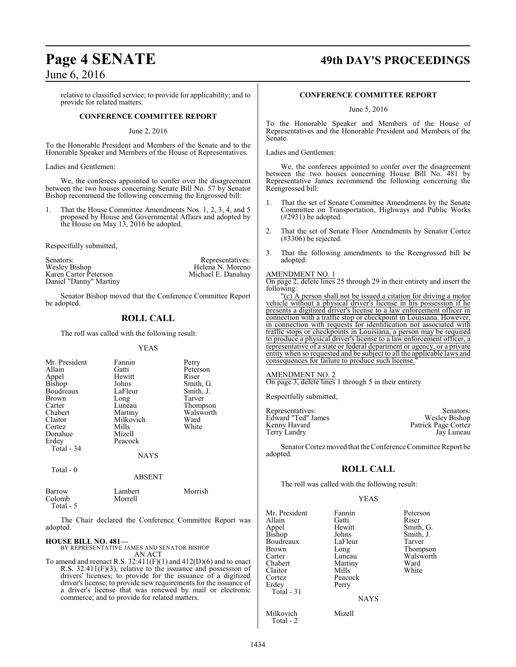relative to classified service; to provide for applicability; and to provide for related matters.

## **CONFERENCE COMMITTEE REPORT**

#### June 2, 2016

To the Honorable President and Members of the Senate and to the Honorable Speaker and Members of the House of Representatives.

#### Ladies and Gentlemen:

We, the conferees appointed to confer over the disagreement between the two houses concerning Senate Bill No. 57 by Senator Bishop recommend the following concerning the Engrossed bill:

1. That the House Committee Amendments Nos. 1, 2, 3, 4, and 5 proposed by House and Governmental Affairs and adopted by the House on May 13, 2016 be adopted.

Respectfully submitted,

Senators: Representatives:<br>
Wesley Bishop Michael B. Moreno<br>
Karen Carter Peterson Michael E. Danahay Wesley Bishop Helena N. Moreno Karen Carter Peterson Michael E. Danahay Daniel "Danny" Martiny

Senator Bishop moved that the Conference Committee Report be adopted.

# **ROLL CALL**

The roll was called with the following result:

#### YEAS

| Mr. President<br>Allain<br>Appel<br>Bishop<br>Boudreaux<br><b>Brown</b><br>Carter<br>Chabert<br>Claitor<br>Cortez<br>Donahue<br>Erdey<br>Total - 34 | Fannin<br>Gatti<br>Hewitt<br>Johns<br>LaFleur<br>Long<br>Luneau<br>Martiny<br>Milkovich<br>Mills<br>Mizell<br>Peacock<br><b>NAYS</b> | Perry<br>Peterson<br>Riser<br>Smith, G.<br>Smith, J.<br>Tarver<br>Thompson<br>Walsworth<br>Ward<br>White |
|-----------------------------------------------------------------------------------------------------------------------------------------------------|--------------------------------------------------------------------------------------------------------------------------------------|----------------------------------------------------------------------------------------------------------|
| Total - 0                                                                                                                                           |                                                                                                                                      |                                                                                                          |

# **ABSENT**

| Barrow    | Lambert | Morrish |
|-----------|---------|---------|
| Colomb    | Morrell |         |
| Total - 5 |         |         |

The Chair declared the Conference Committee Report was adopted.

## **HOUSE BILL NO. 481—**

BY REPRESENTATIVE JAMES AND SENATOR BISHOP AN ACT

To amend and reenact R.S. 32:411(F)(1) and 412(D)(6) and to enact R.S. 32:411(F)(3), relative to the issuance and possession of drivers' licenses; to provide for the issuance of a digitized driver's license; to provide new requirements for the issuance of a driver's license that was renewed by mail or electronic commerce; and to provide for related matters.

# **Page 4 SENATE 49th DAY'S PROCEEDINGS**

### **CONFERENCE COMMITTEE REPORT**

June 5, 2016

To the Honorable Speaker and Members of the House of Representatives and the Honorable President and Members of the Senate.

Ladies and Gentlemen:

We, the conferees appointed to confer over the disagreement between the two houses concerning House Bill No. 481 by Representative James recommend the following concerning the Reengrossed bill:

- 1. That the set of Senate Committee Amendments by the Senate Committee on Transportation, Highways and Public Works (#2931) be adopted.
- 2. That the set of Senate Floor Amendments by Senator Cortez (#3306) be rejected.
- 3. That the following amendments to the Reengrossed bill be adopted:

# AMENDMENT NO. 1

On page 2, delete lines 25 through 29 in their entirety and insert the following:

"(c) A person shall not be issued a citation for driving a motor vehicle without a physical driver's license in his possession if he presents a digitized driver's license to a law enforcement officer in connection with a traffic stop or checkpoint in Louisiana. However, in connection with requests for identification not associated with traffic stops or checkpoints in Louisiana, a person may be required to produce a physical driver's license to a law enforcement officer, a representative of a state or federal department or agency, or a private entity when so requested and be subject to all the applicable laws and consequences for failure to produce such license.

### AMENDMENT NO. 2

On page 3, delete lines 1 through 5 in their entirety

Respectfully submitted,

| Representatives:   | Senators:           |
|--------------------|---------------------|
| Edward "Ted" James | Wesley Bishop       |
| Kenny Havard       | Patrick Page Cortez |
| Terry Landry       | Jay Luneau          |

Senator Cortez moved that the Conference Committee Report be adopted.

# **ROLL CALL**

The roll was called with the following result:

#### YEAS

| Mr. President<br>Allain<br>Appel<br><b>Bishop</b><br>Boudreaux<br><b>Brown</b><br>Carter<br>Chabert<br>Claitor<br>Cortez<br>Erdey<br>Total - 31 | Fannin<br>Gatti<br>Hewitt<br>Johns<br>LaFleur<br>Long<br>Luneau<br>Martiny<br>Mills<br>Peacock<br>Perry | Peterson<br>Riser<br>Smith, G.<br>Smith, J.<br>Tarver<br>Thompson<br>Walsworth<br>Ward<br>White |
|-------------------------------------------------------------------------------------------------------------------------------------------------|---------------------------------------------------------------------------------------------------------|-------------------------------------------------------------------------------------------------|
|                                                                                                                                                 | <b>NAYS</b>                                                                                             |                                                                                                 |
| Milkovich<br>Total - 2                                                                                                                          | Mizell                                                                                                  |                                                                                                 |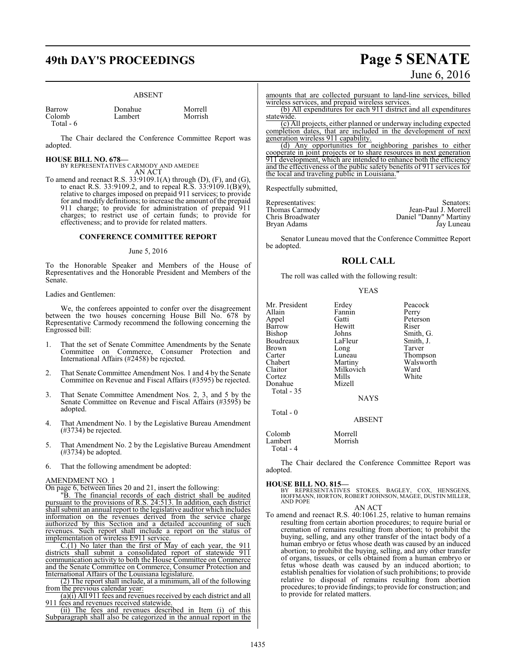# **49th DAY'S PROCEEDINGS Page 5 SENATE**

#### ABSENT

| Barrow    | Donahue | Morrell |
|-----------|---------|---------|
| Colomb    | Lambert | Morrish |
| Total - 6 |         |         |

The Chair declared the Conference Committee Report was adopted.

#### **HOUSE BILL NO. 678—**

BY REPRESENTATIVES CARMODY AND AMEDEE

AN ACT To amend and reenact R.S. 33:9109.1(A) through (D), (F), and (G), to enact R.S. 33:9109.2, and to repeal R.S. 33:9109.1(B)(9), relative to charges imposed on prepaid 911 services; to provide for and modify definitions; to increase the amount ofthe prepaid 911 charge; to provide for administration of prepaid 911 charges; to restrict use of certain funds; to provide for effectiveness; and to provide for related matters.

#### **CONFERENCE COMMITTEE REPORT**

#### June 5, 2016

To the Honorable Speaker and Members of the House of Representatives and the Honorable President and Members of the Senate.

Ladies and Gentlemen:

We, the conferees appointed to confer over the disagreement between the two houses concerning House Bill No. 678 by Representative Carmody recommend the following concerning the Engrossed bill:

- 1. That the set of Senate Committee Amendments by the Senate Committee on Commerce, Consumer Protection and International Affairs (#2458) be rejected.
- 2. That Senate Committee Amendment Nos. 1 and 4 by the Senate Committee on Revenue and Fiscal Affairs (#3595) be rejected.
- 3. That Senate Committee Amendment Nos. 2, 3, and 5 by the Senate Committee on Revenue and Fiscal Affairs (#3595) be adopted.
- 4. That Amendment No. 1 by the Legislative Bureau Amendment (#3734) be rejected.
- 5. That Amendment No. 2 by the Legislative Bureau Amendment (#3734) be adopted.
- 6. That the following amendment be adopted:

#### AMENDMENT NO. 1

On page 6, between lines 20 and 21, insert the following:

"B. The financial records of each district shall be audited pursuant to the provisions of R.S. 24:513. In addition, each district shall submit an annual report to the legislative auditor which includes information on the revenues derived from the service charge authorized by this Section and a detailed accounting of such revenues. Such report shall include a report on the status of implementation of wireless E911 service.

 $C(1)$  No later than the first of May of each year, the 911 districts shall submit a consolidated report of statewide 911 communication activity to both the House Committee on Commerce and the Senate Committee on Commerce, Consumer Protection and International Affairs of the Louisiana legislature.

(2) The report shall include, at a minimum, all of the following from the previous calendar year:

(a)(i) All 911 fees and revenues received by each district and all fees and revenues received statewide.

(ii) The fees and revenues described in Item (i) of this Subparagraph shall also be categorized in the annual report in the

# June 6, 2016

amounts that are collected pursuant to land-line services, billed wireless services, and prepaid wireless services.

(b) All expenditures for each 911 district and all expenditures statewide.

(c) All projects, either planned or underway including expected completion dates, that are included in the development of next generation wireless 911 capability.

(d) Any opportunities for neighboring parishes to either cooperate in joint projects or to share resources in next generation 911 development, which are intended to enhance both the efficiency and the effectiveness of the public safety benefits of 911 services for the local and traveling public in Louisiana.

Respectfully submitted,

| Representatives: | Senators:              |
|------------------|------------------------|
| Thomas Carmody   | Jean-Paul J. Morrell   |
| Chris Broadwater | Daniel "Danny" Martiny |
| Bryan Adams      | Jay Luneau             |

Senator Luneau moved that the Conference Committee Report be adopted.

## **ROLL CALL**

The roll was called with the following result:

YEAS

| Mr. President | Erdey         | Peacock   |
|---------------|---------------|-----------|
| Allain        | Fannin        | Perry     |
| Appel         | Gatti         | Peterson  |
| Barrow        | Hewitt        | Riser     |
| <b>Bishop</b> | Johns         | Smith, G. |
| Boudreaux     | LaFleur       | Smith, J. |
| Brown         | Long          | Tarver    |
| Carter        | Luneau        | Thompson  |
| Chabert       | Martiny       | Walsworth |
| Claitor       | Milkovich     | Ward      |
| Cortez        | Mills         | White     |
| Donahue       | Mizell        |           |
| Total - 35    |               |           |
|               | <b>NAYS</b>   |           |
| Total $-0$    |               |           |
|               | <b>ABSENT</b> |           |
| Colomb        | Morrell       |           |
| Lambert       | Morrish       |           |

The Chair declared the Conference Committee Report was adopted.

#### **HOUSE BILL NO. 815—**

Lambert Total - 4

> BY REPRESENTATIVES STOKES, BAGLEY, COX, HENSGENS, HOFFMANN, HORTON, ROBERT JOHNSON, MAGEE, DUSTIN MILLER, AND POPE

AN ACT

To amend and reenact R.S. 40:1061.25, relative to human remains resulting from certain abortion procedures; to require burial or cremation of remains resulting from abortion; to prohibit the buying, selling, and any other transfer of the intact body of a human embryo or fetus whose death was caused by an induced abortion; to prohibit the buying, selling, and any other transfer of organs, tissues, or cells obtained from a human embryo or fetus whose death was caused by an induced abortion; to establish penalties for violation of such prohibitions; to provide relative to disposal of remains resulting from abortion procedures; to provide findings; to provide for construction; and to provide for related matters.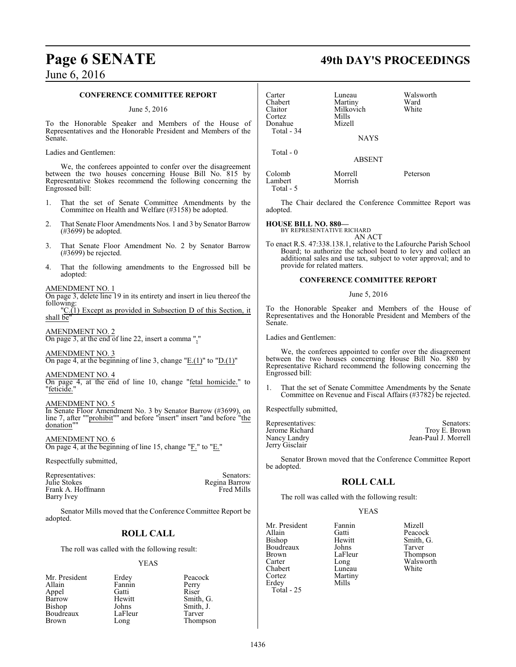# **CONFERENCE COMMITTEE REPORT**

#### June 5, 2016

To the Honorable Speaker and Members of the House of Representatives and the Honorable President and Members of the Senate.

Ladies and Gentlemen:

We, the conferees appointed to confer over the disagreement between the two houses concerning House Bill No. 815 by Representative Stokes recommend the following concerning the Engrossed bill:

- 1. That the set of Senate Committee Amendments by the Committee on Health and Welfare (#3158) be adopted.
- 2. That Senate Floor Amendments Nos. 1 and 3 by Senator Barrow (#3699) be adopted.
- 3. That Senate Floor Amendment No. 2 by Senator Barrow (#3699) be rejected.
- 4. That the following amendments to the Engrossed bill be adopted:

#### AMENDMENT NO. 1

On page 3, delete line 19 in its entirety and insert in lieu thereof the following:

"C.(1) Except as provided in Subsection D of this Section, it shall be"

AMENDMENT NO. 2 On page 3, at the end of line 22, insert a comma ","

AMENDMENT NO. 3

On page 4, at the beginning of line 3, change " $E(1)$ " to " $D(1)$ "

#### AMENDMENT NO. 4

On page 4, at the end of line 10, change "fetal homicide." to "feticide."

AMENDMENT NO. 5

In Senate Floor Amendment No. 3 by Senator Barrow (#3699), on line 7, after ""prohibit"" and before "insert" insert "and before "the donation""

AMENDMENT NO. 6 On page 4, at the beginning of line 15, change "F." to "E."

Respectfully submitted,

| Representatives:  | Senators:     |
|-------------------|---------------|
| Julie Stokes      | Regina Barrow |
| Frank A. Hoffmann | Fred Mills    |
| Barry Ivey        |               |

Senator Mills moved that the Conference Committee Report be adopted.

# **ROLL CALL**

The roll was called with the following result:

#### YEAS

| Mr. President | Erdey   | Peacock   |
|---------------|---------|-----------|
| Allain        | Fannin  | Perry     |
| Appel         | Gatti   | Riser     |
| Barrow        | Hewitt  | Smith, G. |
| Bishop        | Johns   | Smith, J. |
| Boudreaux     | LaFleur | Tarver    |
| <b>Brown</b>  | Long    | Thompson  |

# **Page 6 SENATE 49th DAY'S PROCEEDINGS**

| Carter<br>Chabert<br>Claitor<br>Cortez<br>Donahue<br>Total - 34 | Luneau<br>Martiny<br>Milkovich<br>Mills<br>Mizell<br><b>NAYS</b> | Walsworth<br>Ward<br>White |
|-----------------------------------------------------------------|------------------------------------------------------------------|----------------------------|
| Total $-0$                                                      | <b>ABSENT</b>                                                    |                            |
| Colomb<br>Lambert<br>Total - 5                                  | Morrell<br>Morrish                                               | Peterson                   |

The Chair declared the Conference Committee Report was adopted.

### **HOUSE BILL NO. 880—**

BY REPRESENTATIVE RICHARD AN ACT

To enact R.S. 47:338.138.1, relative to the Lafourche Parish School Board; to authorize the school board to levy and collect an additional sales and use tax, subject to voter approval; and to provide for related matters.

#### **CONFERENCE COMMITTEE REPORT**

June 5, 2016

To the Honorable Speaker and Members of the House of Representatives and the Honorable President and Members of the Senate.

Ladies and Gentlemen:

We, the conferees appointed to confer over the disagreement between the two houses concerning House Bill No. 880 by Representative Richard recommend the following concerning the Engrossed bill:

1. That the set of Senate Committee Amendments by the Senate Committee on Revenue and Fiscal Affairs (#3782) be rejected.

Respectfully submitted,

| Representatives: | Senators:            |
|------------------|----------------------|
| Jerome Richard   | Troy E. Brown        |
| Nancy Landry     | Jean-Paul J. Morrell |
| Jerry Gisclair   |                      |

Senator Brown moved that the Conference Committee Report be adopted.

# **ROLL CALL**

The roll was called with the following result:

Martiny<br>Mills

### YEAS

Mr. President Fannin Mizell<br>Allain Gatti Peacoc Allain Gatti Peacock<br>
Bishop Hewitt Smith, C Boudreaux Johns<br>Brown LaFleur Brown LaFleur Thompson<br>Carter Long Walsworth Chabert<br>Cortez Erdey Total - 25

Hewitt Smith, G.<br>Johns Tarver Long Walsworth<br>
Luneau White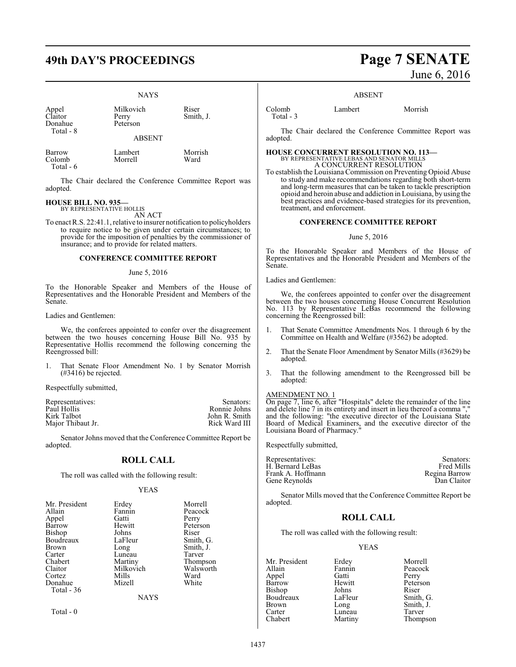# **49th DAY'S PROCEEDINGS Page 7 SENATE**

### NAYS

Appel Milkovic<br>Claitor Perry<br>Donahue Peterson Donahue Total - 8

Milkovich Riser<br>Perry Smith I

ABSENT

Barrow Lambert Morrish Colomb Total - 6

The Chair declared the Conference Committee Report was adopted.

#### **HOUSE BILL NO. 935—** BY REPRESENTATIVE HOLLIS

AN ACT

To enact R.S. 22:41.1, relative to insurer notification to policyholders to require notice to be given under certain circumstances; to provide for the imposition of penalties by the commissioner of insurance; and to provide for related matters.

### **CONFERENCE COMMITTEE REPORT**

#### June 5, 2016

To the Honorable Speaker and Members of the House of Representatives and the Honorable President and Members of the Senate.

Ladies and Gentlemen:

We, the conferees appointed to confer over the disagreement between the two houses concerning House Bill No. 935 by Representative Hollis recommend the following concerning the Reengrossed bill:

1. That Senate Floor Amendment No. 1 by Senator Morrish (#3416) be rejected.

Respectfully submitted,

| Representatives:  | Senators:     |
|-------------------|---------------|
| Paul Hollis       | Ronnie Johns  |
| Kirk Talbot       | John R. Smith |
| Major Thibaut Jr. | Rick Ward III |
|                   |               |

Senator Johns moved that the Conference Committee Report be adopted.

## **ROLL CALL**

The roll was called with the following result:

#### YEAS

| Mr. President | Erdey       | Morrell   |
|---------------|-------------|-----------|
| Allain        | Fannin      | Peacock   |
| Appel         | Gatti       | Perry     |
| Barrow        | Hewitt      | Peterson  |
| <b>Bishop</b> | Johns       | Riser     |
| Boudreaux     | LaFleur     | Smith, G. |
| <b>Brown</b>  | Long        | Smith, J. |
| Carter        | Luneau      | Tarver    |
| Chabert       | Martiny     | Thompson  |
| Claitor       | Milkovich   | Walsworth |
| Cortez        | Mills       | Ward      |
| Donahue       | Mizell      | White     |
| Total $-36$   |             |           |
|               | <b>NAYS</b> |           |

Total - 0

June 6, 2016

#### ABSENT

Colomb Lambert Morrish Total - 3

The Chair declared the Conference Committee Report was adopted.

**HOUSE CONCURRENT RESOLUTION NO. 113—** BY REPRESENTATIVE LEBAS AND SENATOR MILLS A CONCURRENT RESOLUTION

To establish the Louisiana Commission on Preventing Opioid Abuse to study and make recommendations regarding both short-term and long-term measures that can be taken to tackle prescription opioid and heroin abuse and addiction in Louisiana, by using the best practices and evidence-based strategies for its prevention, treatment, and enforcement.

## **CONFERENCE COMMITTEE REPORT**

#### June 5, 2016

To the Honorable Speaker and Members of the House of Representatives and the Honorable President and Members of the Senate.

Ladies and Gentlemen:

We, the conferees appointed to confer over the disagreement between the two houses concerning House Concurrent Resolution No. 113 by Representative LeBas recommend the following concerning the Reengrossed bill:

- 1. That Senate Committee Amendments Nos. 1 through 6 by the Committee on Health and Welfare (#3562) be adopted.
- 2. That the Senate Floor Amendment by Senator Mills (#3629) be adopted.
- 3. That the following amendment to the Reengrossed bill be adopted:

# AMENDMENT NO. 1

On page 7, line 6, after "Hospitals" delete the remainder of the line and delete line 7 in its entirety and insert in lieu thereof a comma ", and the following: "the executive director of the Louisiana State Board of Medical Examiners, and the executive director of the Louisiana Board of Pharmacy."

Respectfully submitted,

| Representatives:  | Senators:         |
|-------------------|-------------------|
| H. Bernard LeBas  | <b>Fred Mills</b> |
| Frank A. Hoffmann | Regina Barrow     |
| Gene Reynolds     | Dan Claitor       |

Senator Mills moved that the Conference Committee Report be adopted.

## **ROLL CALL**

The roll was called with the following result:

# YEAS

Mr. President Erdey Morrell<br>
Allain Fannin Peacocl Appel Gatti<br>Barrow Hewitt Bishop Johns Riser<br>Boudreaux LaFleur Smith, G. Boudreaux LaFle<br>Brown Long Brown Long Smith, J.<br>
Carter Luneau Tarver Carter Luneau<br>Chabert Martiny

Fannin Peacock<br>Gatti Perry Hewitt Peterson<br>
Iohns Riser Thompson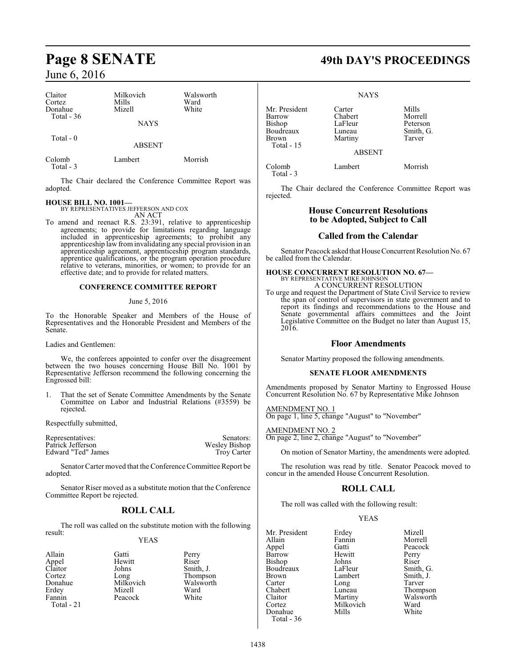| Claitor<br>Cortez<br>Donahue<br>Total $-36$ | Milkovich<br>Mills<br>Mizell | Walsworth<br>Ward<br>White |
|---------------------------------------------|------------------------------|----------------------------|
|                                             | <b>NAYS</b>                  |                            |
| Total $-0$                                  | <b>ABSENT</b>                |                            |
| Colomb<br>Total - 3                         | Lambert                      | Morrish                    |

The Chair declared the Conference Committee Report was adopted.

## **HOUSE BILL NO. 1001—**

BY REPRESENTATIVES JEFFERSON AND COX

AN ACT To amend and reenact R.S. 23:391, relative to apprenticeship agreements; to provide for limitations regarding language included in apprenticeship agreements; to prohibit any apprenticeship law frominvalidating any special provision in an apprenticeship agreement, apprenticeship program standards, apprentice qualifications, or the program operation procedure relative to veterans, minorities, or women; to provide for an effective date; and to provide for related matters.

### **CONFERENCE COMMITTEE REPORT**

#### June 5, 2016

To the Honorable Speaker and Members of the House of Representatives and the Honorable President and Members of the Senate.

Ladies and Gentlemen:

We, the conferees appointed to confer over the disagreement between the two houses concerning House Bill No. 1001 by Representative Jefferson recommend the following concerning the Engrossed bill:

1. That the set of Senate Committee Amendments by the Senate Committee on Labor and Industrial Relations (#3559) be rejected.

Respectfully submitted,

| Representatives:   | Senators:          |
|--------------------|--------------------|
| Patrick Jefferson  | Wesley Bishop      |
| Edward "Ted" James | <b>Troy Carter</b> |

Senator Carter moved that the Conference Committee Report be adopted.

Senator Riser moved as a substitute motion that the Conference Committee Report be rejected.

# **ROLL CALL**

The roll was called on the substitute motion with the following result:

## YEAS

| Allain      | Gatti     | Perry |
|-------------|-----------|-------|
| Appel       | Hewitt    | Riser |
| Claitor     | Johns     | Smith |
| Cortez      | Long      | Thom  |
| Donahue     | Milkovich | Walsy |
| Erdey       | Mizell    | Ward  |
| Fannin      | Peacock   | White |
| Total $-21$ |           |       |
|             |           |       |

Gatti Perry<br>
Hewitt Riser Johns Smith, J.<br>Long Thompsc Long Thompson<br>Milkovich Walsworth Walsworth<br>Ward Peacock White

# **Page 8 SENATE 49th DAY'S PROCEEDINGS**

**NAYS** 

| Mr. President | Carter        | Mills     |
|---------------|---------------|-----------|
| Barrow        | Chabert       | Morrell   |
| Bishop        | LaFleur       | Peterson  |
| Boudreaux     | Luneau        | Smith, G. |
| Brown         | Martiny       | Tarver    |
| Total - $15$  |               |           |
|               | <b>ABSENT</b> |           |
| Colomb        | Lambert       | Morrish   |

Total - 3

The Chair declared the Conference Committee Report was rejected.

# **House Concurrent Resolutions to be Adopted, Subject to Call**

# **Called from the Calendar**

Senator Peacock asked that House Concurrent Resolution No. 67 be called from the Calendar.

# **HOUSE CONCURRENT RESOLUTION NO. 67—**<br>BY REPRESENTATIVE MIKE JOHNSON<br>A CONCURRENT RESOLUTION

To urge and request the Department of State Civil Service to review the span of control of supervisors in state government and to report its findings and recommendations to the House and Senate governmental affairs committees and the Joint Legislative Committee on the Budget no later than August 15, 2016.

## **Floor Amendments**

Senator Martiny proposed the following amendments.

## **SENATE FLOOR AMENDMENTS**

Amendments proposed by Senator Martiny to Engrossed House Concurrent Resolution No. 67 by Representative Mike Johnson

AMENDMENT NO. 1 On page 1, line 5, change "August" to "November"

AMENDMENT NO. 2 On page 2, line 2, change "August" to "November"

On motion of Senator Martiny, the amendments were adopted.

The resolution was read by title. Senator Peacock moved to concur in the amended House Concurrent Resolution.

# **ROLL CALL**

The roll was called with the following result:

## YEAS

| Mr. President | Erdey     | Mizell    |
|---------------|-----------|-----------|
| Allain        | Fannin    | Morrell   |
| Appel         | Gatti     | Peacock   |
| Barrow        | Hewitt    | Perry     |
| <b>Bishop</b> | Johns     | Riser     |
| Boudreaux     | LaFleur   | Smith, G. |
| Brown         | Lambert   | Smith, J. |
| Carter        | Long      | Tarver    |
| Chabert       | Luneau    | Thompson  |
| Claitor       | Martiny   | Walsworth |
| Cortez        | Milkovich | Ward      |
| Donahue       | Mills     | White     |
| Total - 36    |           |           |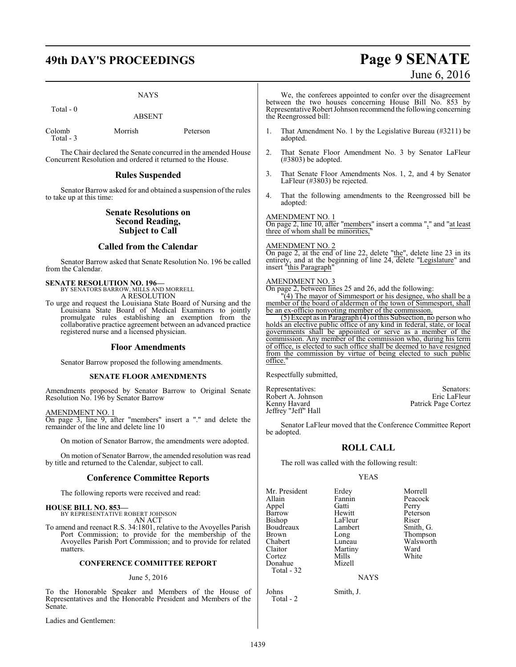# **49th DAY'S PROCEEDINGS Page 9 SENATE**

### NAYS

Total - 0

ABSENT

Colomb Morrish Peterson Total - 3

The Chair declared the Senate concurred in the amended House Concurrent Resolution and ordered it returned to the House.

## **Rules Suspended**

Senator Barrow asked for and obtained a suspension of the rules to take up at this time:

## **Senate Resolutions on Second Reading, Subject to Call**

# **Called from the Calendar**

Senator Barrow asked that Senate Resolution No. 196 be called from the Calendar.

**SENATE RESOLUTION NO. 196—**<br>BY SENATORS BARROW, MILLS AND MORRELL<br>A RESOLUTION

To urge and request the Louisiana State Board of Nursing and the Louisiana State Board of Medical Examiners to jointly promulgate rules establishing an exemption from the collaborative practice agreement between an advanced practice registered nurse and a licensed physician.

### **Floor Amendments**

Senator Barrow proposed the following amendments.

#### **SENATE FLOOR AMENDMENTS**

Amendments proposed by Senator Barrow to Original Senate Resolution No. 196 by Senator Barrow

#### AMENDMENT NO. 1

On page 3, line 9, after "members" insert a "." and delete the remainder of the line and delete line 10

On motion of Senator Barrow, the amendments were adopted.

On motion of Senator Barrow, the amended resolution was read by title and returned to the Calendar, subject to call.

## **Conference Committee Reports**

The following reports were received and read:

# **HOUSE BILL NO. 853—** BY REPRESENTATIVE ROBERT JOHNSON

AN ACT

To amend and reenact R.S. 34:1801, relative to the Avoyelles Parish Port Commission; to provide for the membership of the Avoyelles Parish Port Commission; and to provide for related matters.

#### **CONFERENCE COMMITTEE REPORT**

#### June 5, 2016

To the Honorable Speaker and Members of the House of Representatives and the Honorable President and Members of the Senate.

Ladies and Gentlemen:

# June 6, 2016

We, the conferees appointed to confer over the disagreement between the two houses concerning House Bill No. 853 by Representative Robert Johnson recommend the following concerning the Reengrossed bill:

- 1. That Amendment No. 1 by the Legislative Bureau (#3211) be adopted.
- 2. That Senate Floor Amendment No. 3 by Senator LaFleur (#3803) be adopted.
- 3. That Senate Floor Amendments Nos. 1, 2, and 4 by Senator LaFleur (#3803) be rejected.
- 4. That the following amendments to the Reengrossed bill be adopted:

#### AMENDMENT NO. 1

On page 2, line 10, after "members" insert a comma "," and "at least three of whom shall be minorities,

### AMENDMENT NO. 2

On page 2, at the end of line 22, delete "the", delete line 23 in its entirety, and at the beginning of line 24, delete "Legislature" and insert "this Paragraph"

### AMENDMENT NO. 3

On page 2, between lines 25 and 26, add the following:

"(4) The mayor of Simmesport or his designee, who shall be a member of the board of aldermen of the town of Simmesport, shall be an ex-officio nonvoting member of the commission.

(5) Except as in Paragraph (4) ofthis Subsection, no person who holds an elective public office of any kind in federal, state, or local governments shall be appointed or serve as a member of the commission. Any member of the commission who, during his term of office, is elected to such office shall be deemed to have resigned from the commission by virtue of being elected to such public office."

Respectfully submitted,

Representatives: Senators: Senators: Senators: Senators: Senators: Senators: Senators: Senators: Senators: Senators: Senators: Senators: Senators: Senators: Senators: Senators: Senators: Senators: Senators: Senators: Senat Robert A. Johnson<br>Kenny Havard Patrick Page Cortez Jeffrey "Jeff" Hall

Senator LaFleur moved that the Conference Committee Report be adopted.

# **ROLL CALL**

The roll was called with the following result:

#### YEAS

Mr. President Erdey Morrell<br>
Allain Fannin Peacock Appel Gatti<br>Barrow Hewitt Bishop LaFleur Riser<br>Boudreaux Lambert Smith, G. Boudreaux<br>Brown Brown Long Chabert Luneau Thompson<br>
Chabert Luneau Walsworth Chabert Luneau Walsworth<br>Claitor Martiny Ward Cortez Mills<br>
Donahue Mizell Donahue Total - 32

Fannin Peacock<br>Gatti Perry Hewitt Peterson<br>LaFleur Riser Martiny Ward<br>
Mills White

**NAYS** 

Johns Smith, J. Total - 2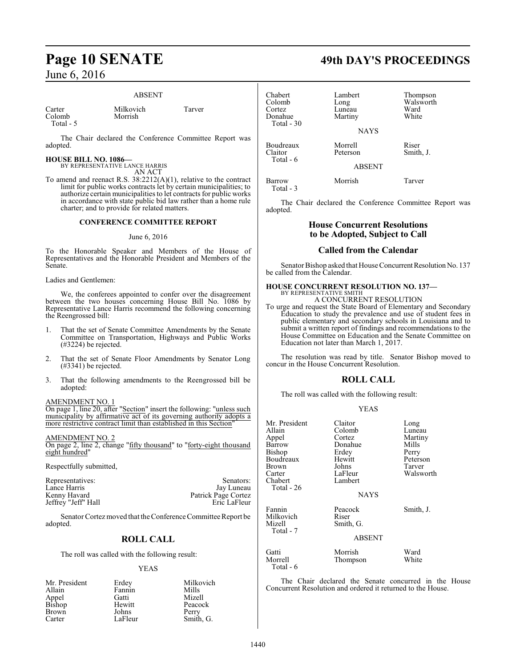#### ABSENT

Carter Milkovich Tarver<br>Colomb Morrish Tarver Colomb Total - 5

The Chair declared the Conference Committee Report was adopted.

# **HOUSE BILL NO. 1086—**

BY REPRESENTATIVE LANCE HARRIS AN ACT

To amend and reenact R.S. 38:2212(A)(1), relative to the contract limit for public works contracts let by certain municipalities; to authorize certain municipalities to let contracts for public works in accordance with state public bid law rather than a home rule charter; and to provide for related matters.

# **CONFERENCE COMMITTEE REPORT**

#### June 6, 2016

To the Honorable Speaker and Members of the House of Representatives and the Honorable President and Members of the Senate.

Ladies and Gentlemen:

We, the conferees appointed to confer over the disagreement between the two houses concerning House Bill No. 1086 by Representative Lance Harris recommend the following concerning the Reengrossed bill:

- 1. That the set of Senate Committee Amendments by the Senate Committee on Transportation, Highways and Public Works (#3224) be rejected.
- 2. That the set of Senate Floor Amendments by Senator Long (#3341) be rejected.
- 3. That the following amendments to the Reengrossed bill be adopted:

AMENDMENT NO. 1

On page 1, line 20, after "Section" insert the following: "unless such municipality by affirmative act of its governing authority adopts a more restrictive contract limit than established in this Section"

#### AMENDMENT NO. 2

On page 2, line 2, change "fifty thousand" to "forty-eight thousand eight hundred"

Respectfully submitted,

| Representatives:    | Senators:           |
|---------------------|---------------------|
| Lance Harris        | Jay Luneau          |
| Kenny Havard        | Patrick Page Cortez |
| Jeffrey "Jeff" Hall | Eric LaFleur        |

Senator Cortez moved that the Conference Committee Report be adopted.

# **ROLL CALL**

The roll was called with the following result:

#### YEAS

| Mr. President   | Erdey   | Milkovich |
|-----------------|---------|-----------|
| Allain          | Fannin  | Mills     |
|                 | Gatti   | Mizell    |
| Appel<br>Bishop | Hewitt  | Peacock   |
| Brown           | Johns   | Perry     |
| Carter          | LaFleur | Smith, G. |

# **Page 10 SENATE 49th DAY'S PROCEEDINGS**

| Chabert<br>Colomb<br>Cortez<br>Donahue<br>Total $-30$ | Lambert<br>Long<br>Luneau<br>Martiny<br><b>NAYS</b> | Thompson<br>Walsworth<br>Ward<br>White |
|-------------------------------------------------------|-----------------------------------------------------|----------------------------------------|
| Boudreaux<br>Claitor<br>Total - 6                     | Morrell<br>Peterson<br><b>ABSENT</b>                | Riser<br>Smith, J.                     |
| Barrow                                                | Morrish                                             | Tarver                                 |

Total - 3

The Chair declared the Conference Committee Report was adopted.

# **House Concurrent Resolutions to be Adopted, Subject to Call**

# **Called from the Calendar**

Senator Bishop asked that House Concurrent Resolution No. 137 be called from the Calendar.

# **HOUSE CONCURRENT RESOLUTION NO. 137—** BY REPRESENTATIVE SMITH

A CONCURRENT RESOLUTION

To urge and request the State Board of Elementary and Secondary Education to study the prevalence and use of student fees in public elementary and secondary schools in Louisiana and to submit a written report of findings and recommendations to the House Committee on Education and the Senate Committee on Education not later than March 1, 2017.

The resolution was read by title. Senator Bishop moved to concur in the House Concurrent Resolution.

# **ROLL CALL**

The roll was called with the following result:

### YEAS

| Mr. President<br>Allain<br>Appel<br>Barrow<br>Bishop<br>Boudreaux<br>Brown<br>Carter<br>Chabert<br>Total - 26 | Claitor<br>Colomb<br>Cortez<br>Donahue<br>Erdey<br>Hewitt<br>Johns<br>LaFleur<br>Lambert<br><b>NAYS</b> | Long<br>Luneau<br>Martiny<br>Mills<br>Perry<br>Peterson<br>Tarver<br>Walsworth |
|---------------------------------------------------------------------------------------------------------------|---------------------------------------------------------------------------------------------------------|--------------------------------------------------------------------------------|
| Fannin<br>Milkovich<br>Mizell<br>Total - 7                                                                    | Peacock<br>Riser<br>Smith, G.<br><b>ABSENT</b>                                                          | Smith, J.                                                                      |
| Gatti<br>Morrell<br>Total - 6                                                                                 | Morrish<br>Thompson                                                                                     | Ward<br>White                                                                  |

The Chair declared the Senate concurred in the House Concurrent Resolution and ordered it returned to the House.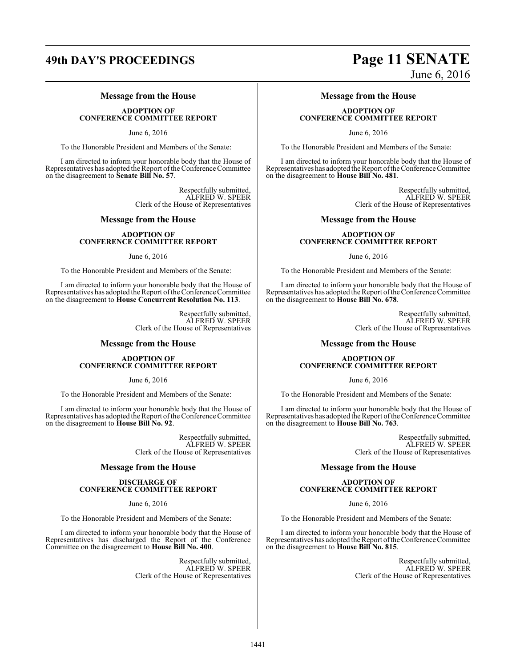# **Message from the House**

**ADOPTION OF CONFERENCE COMMITTEE REPORT**

June 6, 2016

To the Honorable President and Members of the Senate:

I am directed to inform your honorable body that the House of Representatives has adopted the Report ofthe Conference Committee on the disagreement to **Senate Bill No. 57**.

> Respectfully submitted, ALFRED W. SPEER Clerk of the House of Representatives

## **Message from the House**

#### **ADOPTION OF CONFERENCE COMMITTEE REPORT**

June 6, 2016

To the Honorable President and Members of the Senate:

I am directed to inform your honorable body that the House of Representatives has adopted the Report ofthe Conference Committee on the disagreement to **House Concurrent Resolution No. 113**.

> Respectfully submitted, ALFRED W. SPEER Clerk of the House of Representatives

## **Message from the House**

#### **ADOPTION OF CONFERENCE COMMITTEE REPORT**

June 6, 2016

To the Honorable President and Members of the Senate:

I am directed to inform your honorable body that the House of Representatives has adopted the Report of the Conference Committee on the disagreement to **House Bill No. 92**.

> Respectfully submitted, ALFRED W. SPEER Clerk of the House of Representatives

# **Message from the House**

#### **DISCHARGE OF CONFERENCE COMMITTEE REPORT**

June 6, 2016

To the Honorable President and Members of the Senate:

I am directed to inform your honorable body that the House of Representatives has discharged the Report of the Conference Committee on the disagreement to **House Bill No. 400**.

> Respectfully submitted, ALFRED W. SPEER Clerk of the House of Representatives

# **49th DAY'S PROCEEDINGS Page 11 SENATE** June 6, 2016

**Message from the House**

## **ADOPTION OF CONFERENCE COMMITTEE REPORT**

June 6, 2016

To the Honorable President and Members of the Senate:

I am directed to inform your honorable body that the House of Representatives has adopted the Report ofthe Conference Committee on the disagreement to **House Bill No. 481**.

> Respectfully submitted, ALFRED W. SPEER Clerk of the House of Representatives

# **Message from the House**

### **ADOPTION OF CONFERENCE COMMITTEE REPORT**

June 6, 2016

To the Honorable President and Members of the Senate:

I am directed to inform your honorable body that the House of Representatives has adopted the Report ofthe Conference Committee on the disagreement to **House Bill No. 678**.

> Respectfully submitted, ALFRED W. SPEER Clerk of the House of Representatives

# **Message from the House**

## **ADOPTION OF CONFERENCE COMMITTEE REPORT**

June 6, 2016

To the Honorable President and Members of the Senate:

I am directed to inform your honorable body that the House of Representatives has adopted the Report of the Conference Committee on the disagreement to **House Bill No. 763**.

> Respectfully submitted, ALFRED W. SPEER Clerk of the House of Representatives

# **Message from the House**

## **ADOPTION OF CONFERENCE COMMITTEE REPORT**

June 6, 2016

To the Honorable President and Members of the Senate:

I am directed to inform your honorable body that the House of Representatives has adopted the Report ofthe Conference Committee on the disagreement to **House Bill No. 815**.

> Respectfully submitted, ALFRED W. SPEER Clerk of the House of Representatives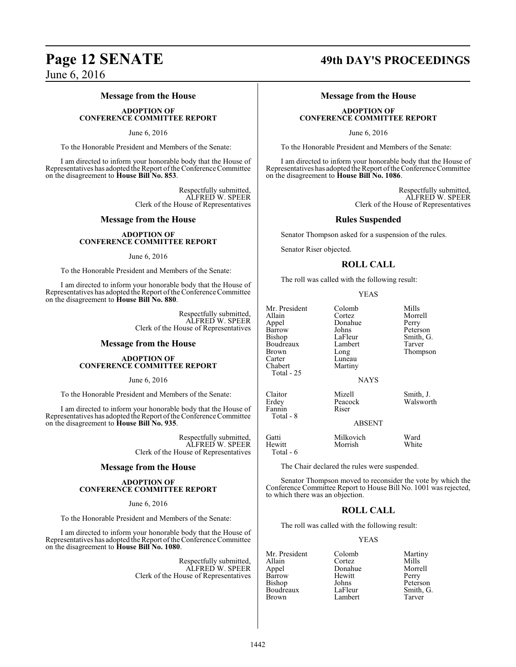# **Message from the House**

**ADOPTION OF CONFERENCE COMMITTEE REPORT**

June 6, 2016

To the Honorable President and Members of the Senate:

I am directed to inform your honorable body that the House of Representatives has adopted the Report ofthe Conference Committee on the disagreement to **House Bill No. 853**.

> Respectfully submitted, ALFRED W. SPEER Clerk of the House of Representatives

### **Message from the House**

#### **ADOPTION OF CONFERENCE COMMITTEE REPORT**

June 6, 2016

To the Honorable President and Members of the Senate:

I am directed to inform your honorable body that the House of Representatives has adopted the Report of the Conference Committee on the disagreement to **House Bill No. 880**.

> Respectfully submitted, ALFRED W. SPEER Clerk of the House of Representatives

### **Message from the House**

#### **ADOPTION OF CONFERENCE COMMITTEE REPORT**

June 6, 2016

To the Honorable President and Members of the Senate:

I am directed to inform your honorable body that the House of Representatives has adopted the Report of the Conference Committee on the disagreement to **House Bill No. 935**.

> Respectfully submitted, ALFRED W. SPEER Clerk of the House of Representatives

### **Message from the House**

#### **ADOPTION OF CONFERENCE COMMITTEE REPORT**

June 6, 2016

To the Honorable President and Members of the Senate:

I am directed to inform your honorable body that the House of Representatives has adopted the Report of the Conference Committee on the disagreement to **House Bill No. 1080**.

> Respectfully submitted, ALFRED W. SPEER Clerk of the House of Representatives

# **Page 12 SENATE 49th DAY'S PROCEEDINGS**

# **Message from the House**

## **ADOPTION OF CONFERENCE COMMITTEE REPORT**

June 6, 2016

To the Honorable President and Members of the Senate:

I am directed to inform your honorable body that the House of Representatives has adopted the Report ofthe Conference Committee on the disagreement to **House Bill No. 1086**.

> Respectfully submitted, ALFRED W. SPEER Clerk of the House of Representatives

### **Rules Suspended**

Senator Thompson asked for a suspension of the rules.

Senator Riser objected.

## **ROLL CALL**

The roll was called with the following result:

#### YEAS

| Mr. President<br>Allain<br>Appel<br>Barrow<br>Bishop<br>Boudreaux<br>Brown<br>Carter<br>Chabert<br>Total - 25 | Colomb<br>Cortez<br>Donahue<br>Johns<br>LaFleur<br>Lambert<br>Long<br>Luneau<br>Martiny | Mills<br>Morrell<br>Perry<br>Peterson<br>Smith, G.<br>Tarver<br>Thompson |
|---------------------------------------------------------------------------------------------------------------|-----------------------------------------------------------------------------------------|--------------------------------------------------------------------------|
|                                                                                                               | <b>NAYS</b>                                                                             |                                                                          |
| Claitor<br>Erdey<br>Fannin<br>Total - 8                                                                       | Mizell<br>Peacock<br>Riser                                                              | Smith, J.<br>Walsworth                                                   |
|                                                                                                               | <b>ABSENT</b>                                                                           |                                                                          |
| $\sim$ $\cdot$                                                                                                | $\mathbf{A}$ and $\mathbf{A}$ and $\mathbf{A}$ and $\mathbf{A}$                         | <b>TT7</b> 1                                                             |

Gatti Milkovich Ward Morrish Total - 6

The Chair declared the rules were suspended.

Senator Thompson moved to reconsider the vote by which the Conference Committee Report to House Bill No. 1001 was rejected, to which there was an objection.

# **ROLL CALL**

The roll was called with the following result:

### YEAS

| Mr. President | Colomb  | Marti |
|---------------|---------|-------|
| Allain        | Cortez  | Mills |
| Appel         | Donahue | Morr  |
| Barrow        | Hewitt  | Perry |
| Bishop        | Johns   | Peter |
| Boudreaux     | LaFleur | Smith |
| Brown         | Lambert | Tarve |

Colomb Martiny<br>Cortez Mills Donahue Morrell<br>Hewitt Perry Johns Peterson<br>LaFleur Smith G Smith, G.<br>Tarver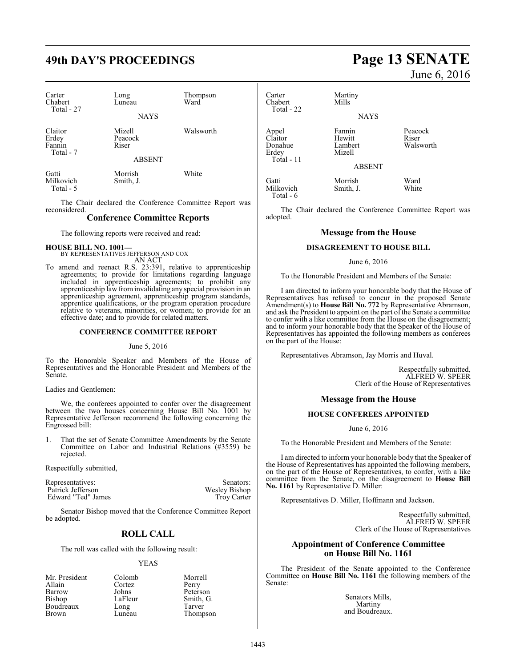# **49th DAY'S PROCEEDINGS Page 13 SENATE**

| Carter<br>Chabert<br>Total - 27         | Long<br>Luneau                              | Thompson<br>Ward |
|-----------------------------------------|---------------------------------------------|------------------|
|                                         | <b>NAYS</b>                                 |                  |
| Claitor<br>Erdey<br>Fannin<br>Total - 7 | Mizell<br>Peacock<br>Riser<br><b>ABSENT</b> | Walsworth        |
| Gatti<br>Milkovich<br>Total - 5         | Morrish<br>Smith, J.                        | White            |

The Chair declared the Conference Committee Report was reconsidered.

## **Conference Committee Reports**

The following reports were received and read:

#### **HOUSE BILL NO. 1001—** BY REPRESENTATIVES JEFFERSON AND COX

AN ACT

To amend and reenact R.S. 23:391, relative to apprenticeship agreements; to provide for limitations regarding language included in apprenticeship agreements; to prohibit any apprenticeship law frominvalidating any special provision in an apprenticeship agreement, apprenticeship program standards, apprentice qualifications, or the program operation procedure relative to veterans, minorities, or women; to provide for an effective date; and to provide for related matters.

#### **CONFERENCE COMMITTEE REPORT**

#### June 5, 2016

To the Honorable Speaker and Members of the House of Representatives and the Honorable President and Members of the Senate.

Ladies and Gentlemen:

We, the conferees appointed to confer over the disagreement between the two houses concerning House Bill No. 1001 by Representative Jefferson recommend the following concerning the Engrossed bill:

That the set of Senate Committee Amendments by the Senate Committee on Labor and Industrial Relations (#3559) be rejected.

Respectfully submitted,

| Representatives:   | Senators:          |
|--------------------|--------------------|
| Patrick Jefferson  | Wesley Bishop      |
| Edward "Ted" James | <b>Troy Carter</b> |

Senator Bishop moved that the Conference Committee Report be adopted.

# **ROLL CALL**

The roll was called with the following result:

#### YEAS

|         | Morrell   |
|---------|-----------|
| Cortez  | Perry     |
| Johns   | Peterson  |
| LaFleur | Smith, G. |
| Long    | Tarver    |
| Luneau  | Thompson  |
|         | Colomb    |

# June 6, 2016

Carter Martiny<br>Chabert Mills Chabert Total - 22 **NAYS** Appel Fannin Peacock<br>Claitor Hewitt Riser Claitor Hewitt<br>Donahue Lambert Donahue Lambert Walsworth Mizell Total - 11 ABSENT Gatti Morrish Ward Milkovich Total - 6

The Chair declared the Conference Committee Report was adopted.

# **Message from the House**

## **DISAGREEMENT TO HOUSE BILL**

#### June 6, 2016

To the Honorable President and Members of the Senate:

I am directed to inform your honorable body that the House of Representatives has refused to concur in the proposed Senate Amendment(s) to **House Bill No. 772** by Representative Abramson, and ask the President to appoint on the part of the Senate a committee to confer with a like committee from the House on the disagreement; and to inform your honorable body that the Speaker of the House of Representatives has appointed the following members as conferees on the part of the House:

Representatives Abramson, Jay Morris and Huval.

Respectfully submitted, ALFRED W. SPEER Clerk of the House of Representatives

## **Message from the House**

## **HOUSE CONFEREES APPOINTED**

#### June 6, 2016

To the Honorable President and Members of the Senate:

I am directed to inform your honorable body that the Speaker of the House of Representatives has appointed the following members, on the part of the House of Representatives, to confer, with a like committee from the Senate, on the disagreement to **House Bill No. 1161** by Representative D. Miller:

Representatives D. Miller, Hoffmann and Jackson.

Respectfully submitted, ALFRED W. SPEER Clerk of the House of Representatives

# **Appointment of Conference Committee on House Bill No. 1161**

The President of the Senate appointed to the Conference Committee on **House Bill No. 1161** the following members of the Senate:

> Senators Mills, Martiny and Boudreaux.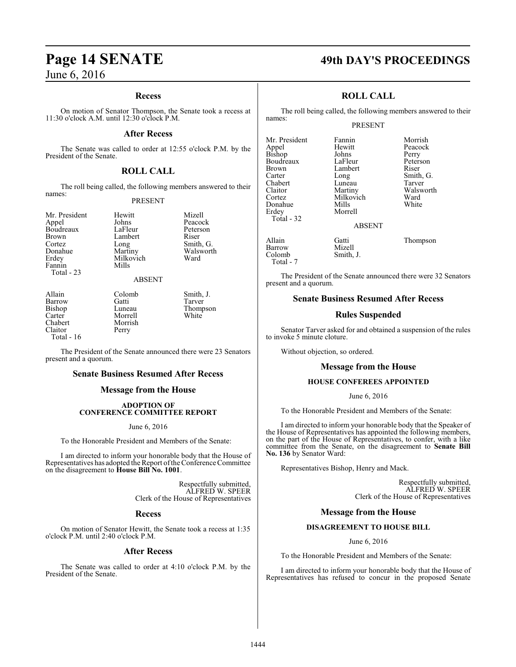## **Recess**

On motion of Senator Thompson, the Senate took a recess at 11:30 o'clock A.M. until 12:30 o'clock P.M.

### **After Recess**

The Senate was called to order at 12:55 o'clock P.M. by the President of the Senate.

# **ROLL CALL**

The roll being called, the following members answered to their names:

#### PRESENT

Mr. President Hewitt Mizell<br>
Appel Johns Peacoc Brown Lambert<br>Cortez Long Fannin Total - 23

Johns Peacock<br>LaFleur Peterson Boudreaux LaFleur Peters<br>Brown Lambert Riser Cortez Long Smith, G.<br>
Donahue Martiny Walswort Donahue Martiny Walsworth<br>
Erdev Milkovich Ward Milkovich<br>Mills

Perry

#### ABSENT

Carter Morrell<br>Chabert Morrish Chabert Morrish<br>Claitor Perry Total - 16

Allain Colomb Smith, J.<br>
Barrow Gatti Tarver Barrow Gatti Tarver<br>Bishop Luneau Thomp Bishop Luneau Thompson

The President of the Senate announced there were 23 Senators present and a quorum.

# **Senate Business Resumed After Recess**

# **Message from the House**

## **ADOPTION OF CONFERENCE COMMITTEE REPORT**

#### June 6, 2016

To the Honorable President and Members of the Senate:

I am directed to inform your honorable body that the House of Representatives has adopted the Report ofthe Conference Committee on the disagreement to **House Bill No. 1001**.

> Respectfully submitted, ALFRED W. SPEER Clerk of the House of Representatives

### **Recess**

On motion of Senator Hewitt, the Senate took a recess at 1:35 o'clock P.M. until 2:40 o'clock P.M.

## **After Recess**

The Senate was called to order at 4:10 o'clock P.M. by the President of the Senate.

# **Page 14 SENATE 49th DAY'S PROCEEDINGS**

# **ROLL CALL**

The roll being called, the following members answered to their names:

# PRESENT

Milkovich Ward<br>
Mills White

Morrell

Mr. President Fannin Morrish<br>
Appel Hewitt Peacock Appel Hewitt Peacock Bishop Johns Perry Boudreaux LaFleur Peterson Brown Lambert<br>Carter Long Carter Long Smith, G. Chabert Luneau<br>Claitor Martiny Claitor Martiny Walsworth<br>
Cortez Milkovich Ward Donahue<br>Erdev Total - 32

Allain Gatti Thompson Barrow Mizell<br>Colomb Smith, J. Total - 7

Colomb

The President of the Senate announced there were 32 Senators present and a quorum.

ABSENT

## **Senate Business Resumed After Recess**

## **Rules Suspended**

Senator Tarver asked for and obtained a suspension of the rules to invoke 5 minute cloture.

Without objection, so ordered.

#### **Message from the House**

#### **HOUSE CONFEREES APPOINTED**

June 6, 2016

To the Honorable President and Members of the Senate:

I am directed to inform your honorable body that the Speaker of the House of Representatives has appointed the following members, on the part of the House of Representatives, to confer, with a like committee from the Senate, on the disagreement to **Senate Bill No. 136** by Senator Ward:

Representatives Bishop, Henry and Mack.

Respectfully submitted, ALFRED W. SPEER Clerk of the House of Representatives

#### **Message from the House**

#### **DISAGREEMENT TO HOUSE BILL**

June 6, 2016

To the Honorable President and Members of the Senate:

I am directed to inform your honorable body that the House of Representatives has refused to concur in the proposed Senate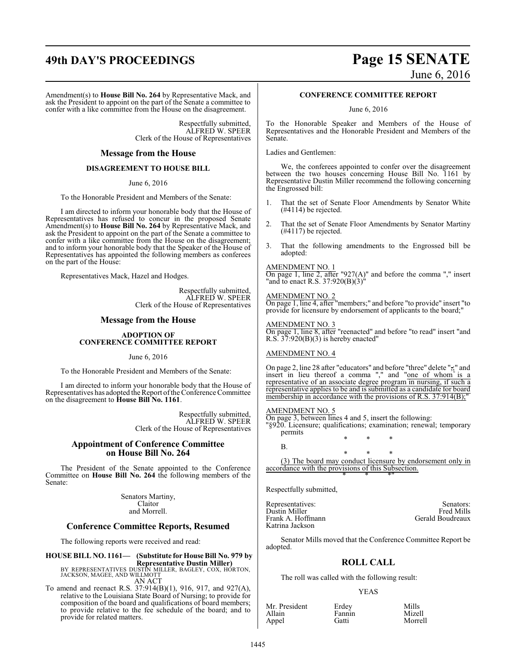# **49th DAY'S PROCEEDINGS Page 15 SENATE**

Amendment(s) to **House Bill No. 264** by Representative Mack, and ask the President to appoint on the part of the Senate a committee to confer with a like committee from the House on the disagreement.

> Respectfully submitted, ALFRED W. SPEER Clerk of the House of Representatives

### **Message from the House**

### **DISAGREEMENT TO HOUSE BILL**

June 6, 2016

To the Honorable President and Members of the Senate:

I am directed to inform your honorable body that the House of Representatives has refused to concur in the proposed Senate Amendment(s) to **House Bill No. 264** by Representative Mack, and ask the President to appoint on the part of the Senate a committee to confer with a like committee from the House on the disagreement; and to inform your honorable body that the Speaker of the House of Representatives has appointed the following members as conferees on the part of the House:

Representatives Mack, Hazel and Hodges.

Respectfully submitted, ALFRED W. SPEER Clerk of the House of Representatives

## **Message from the House**

#### **ADOPTION OF CONFERENCE COMMITTEE REPORT**

#### June 6, 2016

To the Honorable President and Members of the Senate:

I am directed to inform your honorable body that the House of Representatives has adopted the Report ofthe Conference Committee on the disagreement to **House Bill No. 1161**.

> Respectfully submitted, ALFRED W. SPEER Clerk of the House of Representatives

### **Appointment of Conference Committee on House Bill No. 264**

The President of the Senate appointed to the Conference Committee on **House Bill No. 264** the following members of the Senate:

> Senators Martiny, Claitor and Morrell.

## **Conference Committee Reports, Resumed**

The following reports were received and read:

**HOUSE BILL NO. 1161— (Substitute for House Bill No. 979 by Representative Dustin Miller)** BY REPRESENTATIVES DUSTIN MILLER, BAGLEY, COX, HORTON, JACKSON, MAGEE, AND WILLMOTT

AN ACT To amend and reenact R.S. 37:914(B)(1), 916, 917, and 927(A), relative to the Louisiana State Board of Nursing; to provide for composition of the board and qualifications of board members; to provide relative to the fee schedule of the board; and to provide for related matters.

# June 6, 2016

### **CONFERENCE COMMITTEE REPORT**

June 6, 2016

To the Honorable Speaker and Members of the House of Representatives and the Honorable President and Members of the Senate.

Ladies and Gentlemen:

We, the conferees appointed to confer over the disagreement between the two houses concerning House Bill No. 1161 by Representative Dustin Miller recommend the following concerning the Engrossed bill:

- 1. That the set of Senate Floor Amendments by Senator White (#4114) be rejected.
- 2. That the set of Senate Floor Amendments by Senator Martiny (#4117) be rejected.
- 3. That the following amendments to the Engrossed bill be adopted:

#### AMENDMENT NO. 1

On page 1, line 2, after "927(A)" and before the comma "," insert "and to enact R.S. 37:920(B)(3)"

#### AMENDMENT NO. 2

On page 1, line 4, after "members;" and before "to provide" insert "to provide for licensure by endorsement of applicants to the board;

### AMENDMENT NO. 3

On page 1, line 8, after "reenacted" and before "to read" insert "and R.S.  $37:920(B)(3)$  is hereby enacted"

### AMENDMENT NO. 4

On page 2, line 28 after "educators" and before "three" delete ",;" and insert in lieu thereof a comma "," and "one of whom is a representative of an associate degree program in nursing, if such a representative applies to be and is submitted as a candidate for board membership in accordance with the provisions of R.S. 37:914(B);

#### AMENDMENT NO. 5

On page 3, between lines 4 and 5, insert the following: "§920. Licensure; qualifications; examination; renewal; temporary permits \* \* \*

B.

\* \* \* (3) The board may conduct licensure by endorsement only in accordance with the provisions of this Subsection. \* \* \*"

Respectfully submitted,

| Representatives:   | Senators:        |
|--------------------|------------------|
| Dustin Miller      | Fred Mills       |
| Frank A. Hoffmann- | Gerald Boudreaux |
| Katrina Jackson    |                  |

Senator Mills moved that the Conference Committee Report be adopted.

## **ROLL CALL**

The roll was called with the following result:

#### YEAS

| Mr. President | Erdey  | Mills   |
|---------------|--------|---------|
| Allain        | Fannin | Mizell  |
| Appel         | Gatti  | Morrell |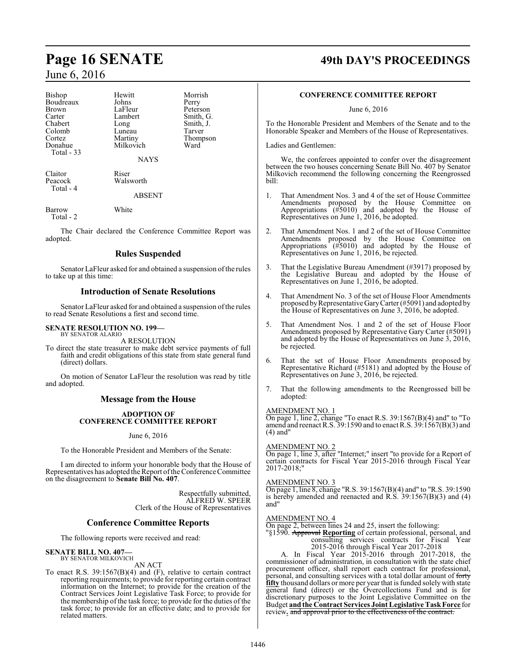| <b>Bishop</b><br>Boudreaux<br><b>Brown</b><br>Carter<br>Chabert<br>Colomb<br>Cortez<br>Donahue<br>Total - 33 | Hewitt<br>Johns<br>LaFleur<br>Lambert<br>Long<br>Luneau<br>Martiny<br>Milkovich<br><b>NAYS</b> | Morrish<br>Perry<br>Peterson<br>Smith, G.<br>Smith, J.<br>Tarver<br>Thompson<br>Ward |
|--------------------------------------------------------------------------------------------------------------|------------------------------------------------------------------------------------------------|--------------------------------------------------------------------------------------|
| Claitor<br>Peacock<br>Total - 4                                                                              | Riser<br>Walsworth<br><b>ABSENT</b>                                                            |                                                                                      |
| Barrow<br>Total - 2                                                                                          | White                                                                                          |                                                                                      |

The Chair declared the Conference Committee Report was adopted.

# **Rules Suspended**

Senator LaFleur asked for and obtained a suspension of the rules to take up at this time:

# **Introduction of Senate Resolutions**

Senator LaFleur asked for and obtained a suspension of the rules to read Senate Resolutions a first and second time.

### **SENATE RESOLUTION NO. 199—**

BY SENATOR ALARIO A RESOLUTION

To direct the state treasurer to make debt service payments of full faith and credit obligations of this state from state general fund (direct) dollars.

On motion of Senator LaFleur the resolution was read by title and adopted.

# **Message from the House**

#### **ADOPTION OF CONFERENCE COMMITTEE REPORT**

#### June 6, 2016

To the Honorable President and Members of the Senate:

I am directed to inform your honorable body that the House of Representatives has adopted the Report ofthe Conference Committee on the disagreement to **Senate Bill No. 407**.

> Respectfully submitted, ALFRED W. SPEER Clerk of the House of Representatives

# **Conference Committee Reports**

The following reports were received and read:

#### **SENATE BILL NO. 407—** BY SENATOR MILKOVICH

AN ACT

To enact R.S. 39:1567(B)(4) and (F), relative to certain contract reporting requirements; to provide for reporting certain contract information on the Internet; to provide for the creation of the Contract Services Joint Legislative Task Force; to provide for the membership of the task force; to provide for the duties of the task force; to provide for an effective date; and to provide for related matters.

# **Page 16 SENATE 49th DAY'S PROCEEDINGS**

### **CONFERENCE COMMITTEE REPORT**

June 6, 2016

To the Honorable President and Members of the Senate and to the Honorable Speaker and Members of the House of Representatives.

Ladies and Gentlemen:

We, the conferees appointed to confer over the disagreement between the two houses concerning Senate Bill No. 407 by Senator Milkovich recommend the following concerning the Reengrossed bill:

- That Amendment Nos. 3 and 4 of the set of House Committee Amendments proposed by the House Committee on Appropriations (#5010) and adopted by the House of Representatives on June 1, 2016, be adopted.
- 2. That Amendment Nos. 1 and 2 of the set of House Committee Amendments proposed by the House Committee on Appropriations (#5010) and adopted by the House of Representatives on June 1, 2016, be rejected.
- 3. That the Legislative Bureau Amendment (#3917) proposed by the Legislative Bureau and adopted by the House of Representatives on June 1, 2016, be adopted.
- 4. That Amendment No. 3 of the set of House Floor Amendments proposed by Representative Gary Carter (#5091) and adopted by the House of Representatives on June 3, 2016, be adopted.
- 5. That Amendment Nos. 1 and 2 of the set of House Floor Amendments proposed by Representative Gary Carter (#5091) and adopted by the House of Representatives on June 3, 2016, be rejected.
- 6. That the set of House Floor Amendments proposed by Representative Richard (#5181) and adopted by the House of Representatives on June 3, 2016, be rejected.
- 7. That the following amendments to the Reengrossed bill be adopted:

#### AMENDMENT NO. 1

On page 1, line 2, change "To enact R.S. 39:1567(B)(4) and" to "To amend and reenact R.S. 39:1590 and to enact R.S. 39:1567(B)(3) and (4) and"

#### AMENDMENT NO. 2

On page 1, line 3, after "Internet;" insert "to provide for a Report of certain contracts for Fiscal Year 2015-2016 through Fiscal Year 2017-2018;"

#### AMENDMENT NO. 3

On page 1, line 8, change "R.S. 39:1567(B)(4) and" to "R.S. 39:1590 is hereby amended and reenacted and R.S. 39:1567(B)(3) and (4) and"

# AMENDMENT NO. 4

On page 2, between lines 24 and 25, insert the following:

"§1590. Approval **Reporting** of certain professional, personal, and consulting services contracts for Fiscal Year 2015-2016 through Fiscal Year 2017-2018

A. In Fiscal Year 2015-2016 through 2017-2018, the commissioner of administration, in consultation with the state chief procurement officer, shall report each contract for professional, personal, and consulting services with a total dollar amount of forty **fifty** thousand dollars or more per year that is funded solely with state general fund (direct) or the Overcollections Fund and is for discretionary purposes to the Joint Legislative Committee on the Budget **and the Contract Services Joint Legislative TaskForce** for review. and approval prior to the effectiveness of the contract.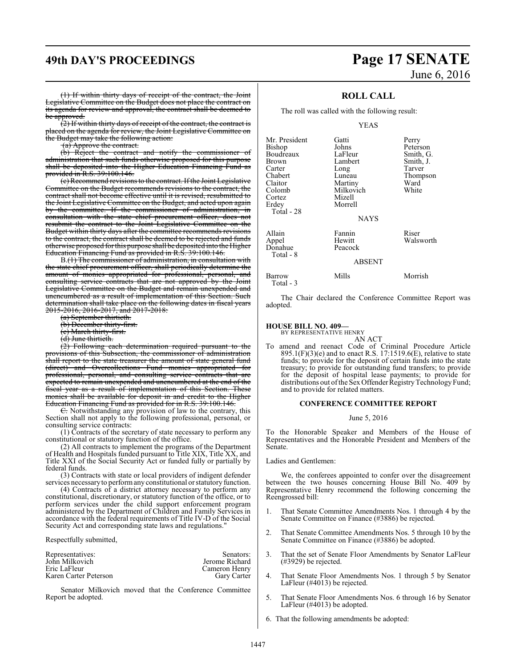# **49th DAY'S PROCEEDINGS Page 17 SENATE**

# June 6, 2016

(1) If within thirty days of receipt of the contract, the Joint Legislative Committee on the Budget does not place the contract on its agenda for review and approval, the contract shall be deemed to be approved.

 $(2)$  If within thirty days of receipt of the contract, the contract is placed on the agenda for review, the Joint Legislative Committee on the Budget may take the following action:

(a) Approve the contract.

(b) Reject the contract and notify the commissioner of administration that such funds otherwise proposed for this purpose shall be deposited into the Higher Education Financing Fund as provided in R.S. 39:100.146.

(c) Recommend revisions to the contract. If the Joint Legislative Committee on the Budget recommends revisions to the contract, the contract shall not become effective until it is revised, resubmitted to the Joint Legislative Committee on the Budget, and acted upon again by the committee. If the commissioner of administration, in consultation with the state chief procurement officer, does not resubmit the contract to the Joint Legislative Committee on the Budget within thirty days after the committee recommends revisions to the contract, the contract shall be deemed to be rejected and funds otherwise proposed forthis purpose shall be deposited into the Higher Education Financing Fund as provided in R.S. 39:100.146.

B.(1) The commissioner of administration, in consultation with the state chief procurement officer, shall periodically determine the amount of monies appropriated for professional, personal, and consulting service contracts that are not approved by the Joint Legislative Committee on the Budget and remain unexpended and unencumbered as a result of implementation of this Section. Such determination shall take place on the following dates in fiscal years 2015-2016, 2016-2017, and 2017-2018:

- (a) September thirtieth.
- (b) December thirty-first.
- (c) March thirty-first.
- (d) June thirtieth.

(2) Following each determination required pursuant to the provisions of this Subsection, the commissioner of administration shall report to the state treasurer the amount of state general fund (direct) and Overcollections Fund monies appropriated for professional, personal, and consulting service contracts that are expected to remain unexpended and unencumbered at the end of the fiscal year as a result of implementation of this Section. These monies shall be available for deposit in and credit to the Higher Education Financing Fund as provided for in R.S. 39:100.146.

 $E$ . Notwithstanding any provision of law to the contrary, this Section shall not apply to the following professional, personal, or consulting service contracts:

(1) Contracts of the secretary of state necessary to perform any constitutional or statutory function of the office.

(2) All contracts to implement the programs of the Department of Health and Hospitals funded pursuant to Title XIX, Title XX, and Title XXI of the Social Security Act or funded fully or partially by federal funds.

(3) Contracts with state or local providers of indigent defender services necessaryto performany constitutional or statutory function.

(4) Contracts of a district attorney necessary to perform any constitutional, discretionary, or statutory function of the office, or to perform services under the child support enforcement program administered by the Department of Children and Family Services in accordance with the federal requirements of Title IV-D of the Social Security Act and corresponding state laws and regulations."

Respectfully submitted,

| Representatives:      | Senators:      |
|-----------------------|----------------|
| John Milkovich        | Jerome Richard |
| Eric LaFleur          | Cameron Henry  |
| Karen Carter Peterson | Gary Carter    |

Senator Milkovich moved that the Conference Committee Report be adopted.

# **ROLL CALL**

The roll was called with the following result:

#### YEAS

| Mr. President | Gatti         | Perry     |
|---------------|---------------|-----------|
| Bishop        | Johns         | Peterson  |
| Boudreaux     | LaFleur       | Smith, G. |
| <b>Brown</b>  | Lambert       | Smith, J. |
| Carter        | Long          | Tarver    |
| Chabert       | Luneau        | Thompson  |
| Claitor       | Martiny       | Ward      |
| Colomb        | Milkovich     | White     |
| Cortez        | Mizell        |           |
| Erdey         | Morrell       |           |
| Total - 28    |               |           |
|               | <b>NAYS</b>   |           |
| Allain        | Fannin        | Riser     |
| Appel         | Hewitt        | Walsworth |
| Donahue       | Peacock       |           |
| Total - 8     |               |           |
|               | <b>ABSENT</b> |           |
|               |               |           |

Barrow Mills Morrish

The Chair declared the Conference Committee Report was adopted.

#### **HOUSE BILL NO. 409—**

Total - 3

BY REPRESENTATIVE HENRY

AN ACT To amend and reenact Code of Criminal Procedure Article  $895.1(F)(3)$ (e) and to enact R.S. 17:1519.6(E), relative to state funds; to provide for the deposit of certain funds into the state treasury; to provide for outstanding fund transfers; to provide for the deposit of hospital lease payments; to provide for distributions out of the Sex Offender Registry Technology Fund; and to provide for related matters.

# **CONFERENCE COMMITTEE REPORT**

#### June 5, 2016

To the Honorable Speaker and Members of the House of Representatives and the Honorable President and Members of the Senate.

Ladies and Gentlemen:

We, the conferees appointed to confer over the disagreement between the two houses concerning House Bill No. 409 by Representative Henry recommend the following concerning the Reengrossed bill:

- That Senate Committee Amendments Nos. 1 through 4 by the Senate Committee on Finance (#3886) be rejected.
- 2. That Senate Committee Amendments Nos. 5 through 10 by the Senate Committee on Finance (#3886) be adopted.
- 3. That the set of Senate Floor Amendments by Senator LaFleur (#3929) be rejected.
- 4. That Senate Floor Amendments Nos. 1 through 5 by Senator LaFleur (#4013) be rejected.
- 5. That Senate Floor Amendments Nos. 6 through 16 by Senator LaFleur (#4013) be adopted.
- 6. That the following amendments be adopted: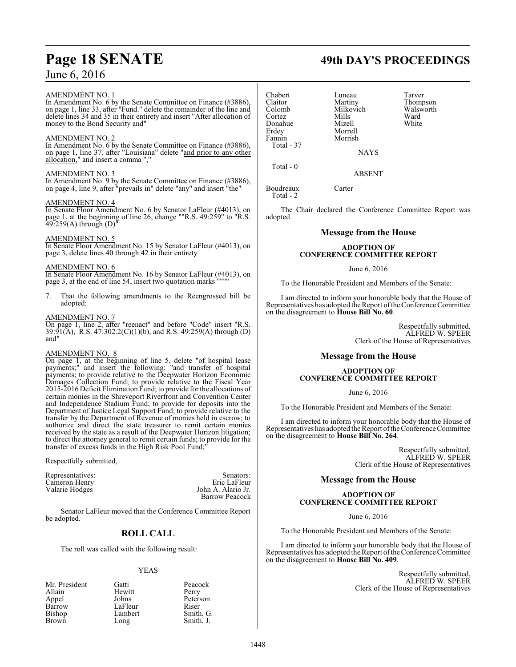### AMENDMENT NO. 1

In Amendment No. 6 by the Senate Committee on Finance (#3886), on page 1, line 33, after "Fund." delete the remainder of the line and delete lines 34 and 35 in their entirety and insert "After allocation of money to the Bond Security and"

## AMENDMENT NO. 2

In Amendment No. 6 by the Senate Committee on Finance (#3886), on page 1, line 37, after "Louisiana" delete "and prior to any other allocation," and insert a comma ","

### AMENDMENT NO. 3

In Amendment No. 9 by the Senate Committee on Finance (#3886), on page 4, line 9, after "prevails in" delete "any" and insert "the"

### AMENDMENT NO. 4

In Senate Floor Amendment No. 6 by Senator LaFleur (#4013), on page 1, at the beginning of line 26, change ""R.S. 49:259" to "R.S.  $49:259(A)$  through  $(D)$ 

### AMENDMENT NO. 5

In Senate Floor Amendment No. 15 by Senator LaFleur (#4013), on page 3, delete lines 40 through 42 in their entirety

# AMENDMENT NO. 6

In Senate Floor Amendment No. 16 by Senator LaFleur (#4013), on page 3, at the end of line 54, insert two quotation marks """"

7. That the following amendments to the Reengrossed bill be adopted:

### AMENDMENT NO. 7

On page 1, line 2, after "reenact" and before "Code" insert "R.S. 39:91(A), R.S. 47:302.2(C)(1)(b), and R.S. 49:259(A) through (D) and"

### AMENDMENT NO. 8

On page 1, at the beginning of line 5, delete "of hospital lease payments;" and insert the following: "and transfer of hospital payments; to provide relative to the Deepwater Horizon Economic Damages Collection Fund; to provide relative to the Fiscal Year 2015-2016 Deficit Elimination Fund; to provide for the allocations of certain monies in the Shreveport Riverfront and Convention Center and Independence Stadium Fund; to provide for deposits into the Department of Justice Legal Support Fund; to provide relative to the transfer by the Department of Revenue of monies held in escrow; to authorize and direct the state treasurer to remit certain monies received by the state as a result of the Deepwater Horizon litigation; to direct the attorney general to remit certain funds; to provide for the transfer of excess funds in the High Risk Pool Fund;"

Respectfully submitted,

Representatives: Senators: Senators: Senators: Senators: Senators: Senators: Senators: Senators: Senators: Senators: Senators: Senators: Senators: Senators: Senators: Senators: Senators: Senators: Senators: Senators: Senat Cameron Henry<br>Valarie Hodges

John A. Alario Jr. Barrow Peacock

Senator LaFleur moved that the Conference Committee Report be adopted.

# **ROLL CALL**

The roll was called with the following result:

## YEAS

| Mr. President | Gatti   | Peacock   |
|---------------|---------|-----------|
| Allain        | Hewitt  | Perry     |
| Appel         | Johns   | Peterson  |
| Barrow        | LaFleur | Riser     |
| Bishop        | Lambert | Smith, G. |
| Brown         | Long    | Smith, J. |

Claitor Martiny Thompson Colomb Milkovich Walsworth Walsworth Milkovich Walsworth Walsworth Walsworth Walsworth Milkovich Milkovich Mil<br>Context Milkovich Ward Cortez Mills Ward Donahue Mizell White<br>Erdey Morrell Erdey Morrell<br>Fannin Morrish Total - 37

Total - 0

Chabert Luneau Tarver Morrish

**NAYS** 

ABSENT

Boudreaux Carter Total - 2

The Chair declared the Conference Committee Report was adopted.

# **Message from the House**

## **ADOPTION OF CONFERENCE COMMITTEE REPORT**

## June 6, 2016

To the Honorable President and Members of the Senate:

I am directed to inform your honorable body that the House of Representatives has adopted the Report ofthe Conference Committee on the disagreement to **House Bill No. 60**.

> Respectfully submitted, ALFRED W. SPEER Clerk of the House of Representatives

# **Message from the House**

## **ADOPTION OF CONFERENCE COMMITTEE REPORT**

June 6, 2016

To the Honorable President and Members of the Senate:

I am directed to inform your honorable body that the House of Representatives has adopted the Report of the Conference Committee on the disagreement to **House Bill No. 264**.

> Respectfully submitted, ALFRED W. SPEER Clerk of the House of Representatives

# **Message from the House**

### **ADOPTION OF CONFERENCE COMMITTEE REPORT**

June 6, 2016

To the Honorable President and Members of the Senate:

I am directed to inform your honorable body that the House of Representatives has adopted the Report ofthe Conference Committee on the disagreement to **House Bill No. 409**.

> Respectfully submitted, ALFRED W. SPEER Clerk of the House of Representatives

# **Page 18 SENATE 49th DAY'S PROCEEDINGS**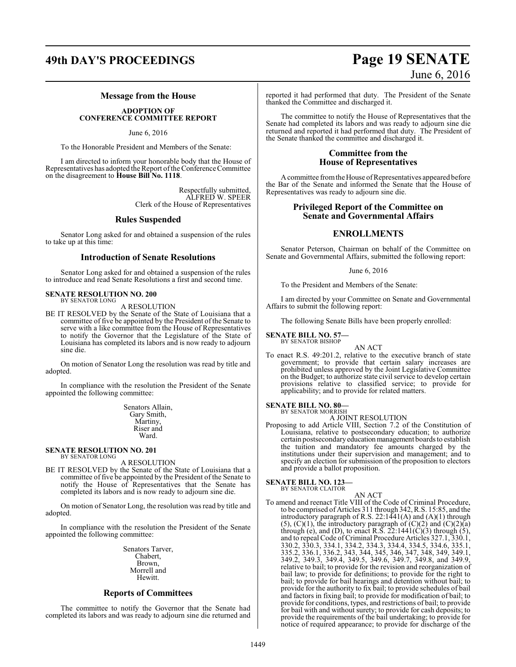# **49th DAY'S PROCEEDINGS Page 19 SENATE** June 6, 2016

## **Message from the House**

### **ADOPTION OF CONFERENCE COMMITTEE REPORT**

June 6, 2016

To the Honorable President and Members of the Senate:

I am directed to inform your honorable body that the House of Representatives has adopted the Report ofthe Conference Committee on the disagreement to **House Bill No. 1118**.

> Respectfully submitted, ALFRED W. SPEER Clerk of the House of Representatives

# **Rules Suspended**

Senator Long asked for and obtained a suspension of the rules to take up at this time:

# **Introduction of Senate Resolutions**

Senator Long asked for and obtained a suspension of the rules to introduce and read Senate Resolutions a first and second time.

#### **SENATE RESOLUTION NO. 200** BY SENATOR LONG

A RESOLUTION

BE IT RESOLVED by the Senate of the State of Louisiana that a committee of five be appointed by the President of the Senate to serve with a like committee from the House of Representatives to notify the Governor that the Legislature of the State of Louisiana has completed its labors and is now ready to adjourn sine die.

On motion of Senator Long the resolution was read by title and adopted.

In compliance with the resolution the President of the Senate appointed the following committee:

> Senators Allain, Gary Smith, Martiny, Riser and Ward.

#### **SENATE RESOLUTION NO. 201** BY SENATOR LONG

A RESOLUTION

BE IT RESOLVED by the Senate of the State of Louisiana that a committee of five be appointed by the President of the Senate to notify the House of Representatives that the Senate has completed its labors and is now ready to adjourn sine die.

On motion of Senator Long, the resolution was read by title and adopted.

In compliance with the resolution the President of the Senate appointed the following committee:

> Senators Tarver, Chabert, Brown, Morrell and Hewitt.

# **Reports of Committees**

The committee to notify the Governor that the Senate had completed its labors and was ready to adjourn sine die returned and reported it had performed that duty. The President of the Senate thanked the Committee and discharged it.

The committee to notify the House of Representatives that the Senate had completed its labors and was ready to adjourn sine die returned and reported it had performed that duty. The President of the Senate thanked the committee and discharged it.

# **Committee from the House of Representatives**

A committee from the House of Representatives appeared before the Bar of the Senate and informed the Senate that the House of Representatives was ready to adjourn sine die.

# **Privileged Report of the Committee on Senate and Governmental Affairs**

# **ENROLLMENTS**

Senator Peterson, Chairman on behalf of the Committee on Senate and Governmental Affairs, submitted the following report:

### June 6, 2016

To the President and Members of the Senate:

I am directed by your Committee on Senate and Governmental Affairs to submit the following report:

The following Senate Bills have been properly enrolled:

**SENATE BILL NO. 57—**

BY SENATOR BISHOP

AN ACT To enact R.S. 49:201.2, relative to the executive branch of state government; to provide that certain salary increases are prohibited unless approved by the Joint Legislative Committee on the Budget; to authorize state civil service to develop certain provisions relative to classified service; to provide for applicability; and to provide for related matters.

# **SENATE BILL NO. 80—** BY SENATOR MORRISH

A JOINT RESOLUTION

Proposing to add Article VIII, Section 7.2 of the Constitution of Louisiana, relative to postsecondary education; to authorize certain postsecondaryeducationmanagement boards to establish the tuition and mandatory fee amounts charged by the institutions under their supervision and management; and to specify an election for submission of the proposition to electors and provide a ballot proposition.

#### **SENATE BILL NO. 123—** BY SENATOR CLAITOR

AN ACT To amend and reenact Title VIII of the Code of Criminal Procedure, to be comprised of Articles 311 through 342, R.S. 15:85, and the introductory paragraph of R.S.  $22:1441(A)$  and  $(A)(1)$  through  $(5)$ ,  $(C)(1)$ , the introductory paragraph of  $(C)(2)$  and  $(C)(2)(a)$ through  $(e)$ , and  $(D)$ , to enact R.S. 22:1441 $(C)(3)$  through  $(5)$ , and to repeal Code of Criminal Procedure Articles 327.1, 330.1, 330.2, 330.3, 334.1, 334.2, 334.3, 334.4, 334.5, 334.6, 335.1, 335.2, 336.1, 336.2, 343, 344, 345, 346, 347, 348, 349, 349.1, 349.2, 349.3, 349.4, 349.5, 349.6, 349.7, 349.8, and 349.9, relative to bail; to provide for the revision and reorganization of bail law; to provide for definitions; to provide for the right to bail; to provide for bail hearings and detention without bail; to provide for the authority to fix bail; to provide schedules of bail and factors in fixing bail; to provide for modification of bail; to provide for conditions, types, and restrictions of bail; to provide for bail with and without surety; to provide for cash deposits; to provide the requirements of the bail undertaking; to provide for notice of required appearance; to provide for discharge of the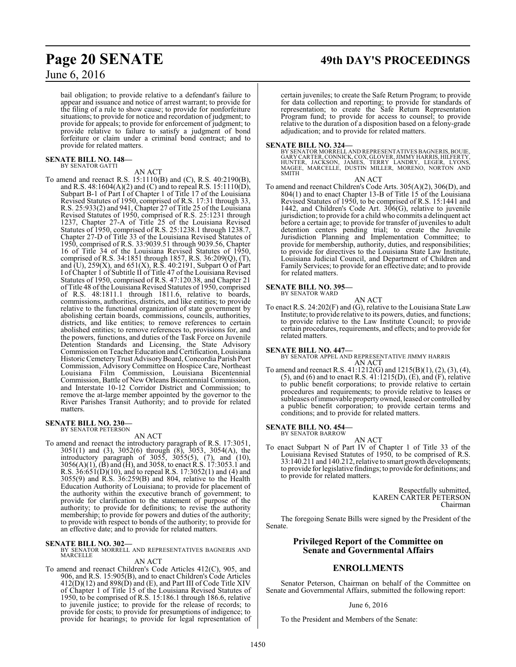bail obligation; to provide relative to a defendant's failure to appear and issuance and notice of arrest warrant; to provide for the filing of a rule to show cause; to provide for nonforfeiture situations; to provide for notice and recordation of judgment; to provide for appeals; to provide for enforcement of judgment; to provide relative to failure to satisfy a judgment of bond forfeiture or claim under a criminal bond contract; and to provide for related matters.

#### **SENATE BILL NO. 148—** BY SENATOR GATTI

AN ACT

To amend and reenact R.S. 15:1110(B) and (C), R.S. 40:2190(B), and R.S.  $48:1604(A)(2)$  and (C) and to repeal R.S.  $15:1110(D)$ , Subpart B-1 of Part I of Chapter 1 of Title 17 of the Louisiana Revised Statutes of 1950, comprised of R.S. 17:31 through 33, R.S. 25:933(2) and 941, Chapter 27 of Title 25 of the Louisiana Revised Statutes of 1950, comprised of R.S. 25:1231 through 1237, Chapter 27-A of Title 25 of the Louisiana Revised Statutes of 1950, comprised of R.S. 25:1238.1 through 1238.7, Chapter 27-D of Title 33 of the Louisiana Revised Statutes of 1950, comprised of R.S. 33:9039.51 through 9039.56, Chapter 16 of Title 34 of the Louisiana Revised Statutes of 1950, comprised of R.S. 34:1851 through 1857, R.S. 36:209(Q), (T), and (U), 259(X), and 651(X), R.S. 40:2191, Subpart O of Part I of Chapter 1 of Subtitle II of Title 47 of the Louisiana Revised Statutes of 1950, comprised of R.S. 47:120.38, and Chapter 21 of Title 48 of the Louisiana Revised Statutes of 1950, comprised of R.S. 48:1811.1 through 1811.6, relative to boards, commissions, authorities, districts, and like entities; to provide relative to the functional organization of state government by abolishing certain boards, commissions, councils, authorities, districts, and like entities; to remove references to certain abolished entities; to remove references to, provisions for, and the powers, functions, and duties of the Task Force on Juvenile Detention Standards and Licensing, the State Advisory Commission on Teacher Education and Certification, Louisiana Historic CemeteryTrust AdvisoryBoard, Concordia Parish Port Commission, Advisory Committee on Hospice Care, Northeast Louisiana Film Commission, Louisiana Bicentennial Commission, Battle of New Orleans Bicentennial Commission, and Interstate 10-12 Corridor District and Commission; to remove the at-large member appointed by the governor to the River Parishes Transit Authority; and to provide for related matters.

# **SENATE BILL NO. 230—** BY SENATOR PETERSON

#### AN ACT

To amend and reenact the introductory paragraph of R.S. 17:3051, 3051(1) and (3), 3052(6) through (8), 3053, 3054(A), the introductory paragraph of 3055, 3055(5), (7), and (10), 3056(A)(1), (B) and (H), and 3058, to enact R.S. 17:3053.1 and R.S. 36:651(D)(10), and to repeal R.S. 17:3052(1) and (4) and 3055(9) and R.S. 36:259(B) and 804, relative to the Health Education Authority of Louisiana; to provide for placement of the authority within the executive branch of government; to provide for clarification to the statement of purpose of the authority; to provide for definitions; to revise the authority membership; to provide for powers and duties of the authority; to provide with respect to bonds of the authority; to provide for an effective date; and to provide for related matters.

**SENATE BILL NO. 302—**<br>BY SENATOR MORRELL AND REPRESENTATIVES BAGNERIS AND MARCELLE AN ACT

To amend and reenact Children's Code Articles 412(C), 905, and 906, and R.S. 15:905(B), and to enact Children's Code Articles 412(D)(12) and 898(D) and (E), and Part III of Code Title XIV of Chapter 1 of Title 15 of the Louisiana Revised Statutes of 1950, to be comprised of R.S. 15:186.1 through 186.6, relative to juvenile justice; to provide for the release of records; to provide for costs; to provide for presumptions of indigence; to provide for hearings; to provide for legal representation of

# **Page 20 SENATE 49th DAY'S PROCEEDINGS**

certain juveniles; to create the Safe Return Program; to provide for data collection and reporting; to provide for standards of representation; to create the Safe Return Representation Program fund; to provide for access to counsel; to provide relative to the duration of a disposition based on a felony-grade adjudication; and to provide for related matters.

**SENATE BILL NO. 324—** BY SENATOR MORRELL AND REPRESENTATIVES BAGNERIS, BOUIE, GARY CARTER,CONNICK,COX, GLOVER,JIMMY HARRIS, HILFERTY, HUNTER, JACKSON, JAMES, TERRY LANDRY, LEGER, LYONS, MAGEE, MARCELLE, DUSTIN MILLER, MORENO, NORTON AND SMITH

#### AN ACT

To amend and reenact Children's Code Arts. 305(A)(2), 306(D), and 804(1) and to enact Chapter 13-B of Title 15 of the Louisiana Revised Statutes of 1950, to be comprised of R.S. 15:1441 and 1442, and Children's Code Art. 306(G), relative to juvenile jurisdiction; to provide for a child who commits a delinquent act before a certain age; to provide for transfer of juveniles to adult detention centers pending trial; to create the Juvenile Jurisdiction Planning and Implementation Committee; to provide for membership, authority, duties, and responsibilities; to provide for directives to the Louisiana State Law Institute, Louisiana Judicial Council, and Department of Children and Family Services; to provide for an effective date; and to provide for related matters.

# **SENATE BILL NO. 395—** BY SENATOR WARD

AN ACT To enact R.S. 24:202(F) and (G), relative to the Louisiana State Law Institute; to provide relative to its powers, duties, and functions; to provide relative to the Law Institute Council; to provide certain procedures, requirements, and effects; and to provide for related matters.

#### **SENATE BILL NO. 447—**

BY SENATOR APPEL AND REPRESENTATIVE JIMMY HARRIS AN ACT

To amend and reenact R.S. 41:1212(G) and  $1215(B)(1)$ , (2), (3), (4), (5), and (6) and to enact R.S.  $41:1215(D)$ ,  $(\dot{E})$ , and  $(\dot{F})$ , relative to public benefit corporations; to provide relative to certain procedures and requirements; to provide relative to leases or subleases of immovable property owned, leased or controlled by a public benefit corporation; to provide certain terms and conditions; and to provide for related matters.

# **SENATE BILL NO. 454—** BY SENATOR BARROW

AN ACT To enact Subpart N of Part IV of Chapter 1 of Title 33 of the Louisiana Revised Statutes of 1950, to be comprised of R.S. 33:140.211 and 140.212, relative to smart growth developments; to provide for legislative findings; to provide for definitions; and to provide for related matters.

> Respectfully submitted, KAREN CARTER PETERSON Chairman

The foregoing Senate Bills were signed by the President of the Senate.

# **Privileged Report of the Committee on Senate and Governmental Affairs**

# **ENROLLMENTS**

Senator Peterson, Chairman on behalf of the Committee on Senate and Governmental Affairs, submitted the following report:

## June 6, 2016

To the President and Members of the Senate: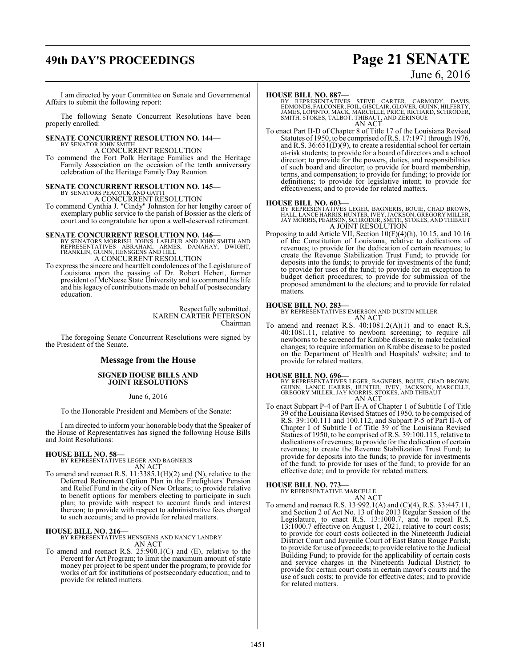# **49th DAY'S PROCEEDINGS Page 21 SENATE**

# June 6, 2016

I am directed by your Committee on Senate and Governmental Affairs to submit the following report:

The following Senate Concurrent Resolutions have been properly enrolled:

# **SENATE CONCURRENT RESOLUTION NO. 144—** BY SENATOR JOHN SMITH

A CONCURRENT RESOLUTION

To commend the Fort Polk Heritage Families and the Heritage Family Association on the occasion of the tenth anniversary celebration of the Heritage Family Day Reunion.

# **SENATE CONCURRENT RESOLUTION NO. 145—** BY SENATORS PEACOCK AND GATTI A CONCURRENT RESOLUTION

To commend Cynthia J. "Cindy" Johnston for her lengthy career of exemplary public service to the parish of Bossier as the clerk of court and to congratulate her upon a well-deserved retirement.

**SENATE CONCURRENT RESOLUTION NO. 146—**<br>
BY SENATORS MORRISH, JOHNS, LAFLEUR AND JOHN SMITH AND<br>
REPRESENTATIVES ABRAHAM, ARMES, DANAHAY, DWIGHT,<br>
FRANKLIN, GUINN, HENSGENS AND HILL<br>
A CONCURRENT RESOLUTION

To express the sincere and heartfelt condolences of the Legislature of Louisiana upon the passing of Dr. Robert Hebert, former president of McNeese State University and to commend his life and his legacy of contributions made on behalf of postsecondary education.

> Respectfully submitted, KAREN CARTER PETERSON Chairman

The foregoing Senate Concurrent Resolutions were signed by the President of the Senate.

# **Message from the House**

## **SIGNED HOUSE BILLS AND JOINT RESOLUTIONS**

### June 6, 2016

To the Honorable President and Members of the Senate:

I am directed to inform your honorable body that the Speaker of the House of Representatives has signed the following House Bills and Joint Resolutions:

#### **HOUSE BILL NO. 58—**

BY REPRESENTATIVES LEGER AND BAGNERIS AN ACT

To amend and reenact R.S. 11:3385.1(H)(2) and (N), relative to the Deferred Retirement Option Plan in the Firefighters' Pension and Relief Fund in the city of New Orleans; to provide relative to benefit options for members electing to participate in such plan; to provide with respect to account funds and interest thereon; to provide with respect to administrative fees charged to such accounts; and to provide for related matters.

#### **HOUSE BILL NO. 216—**

BY REPRESENTATIVES HENSGENS AND NANCY LANDRY AN ACT

To amend and reenact R.S. 25:900.1(C) and (E), relative to the Percent for Art Program; to limit the maximum amount of state money per project to be spent under the program; to provide for works of art for institutions of postsecondary education; and to provide for related matters.

### **HOUSE BILL NO. 887—**

BY REPRESENTATIVES STEVE CARTER, CARMODY, DAVIS,<br>EDMONDS,FALCONER,FOIL,GISCLAIR,GLOVER,GUINN,HILFERTY,<br>JAMES,LOPINTO,MACK,MARCELLE,PRICE,RICHARD,SCHRODER,<br>SMITH,STOKES,TALBOT,THIBAUT,ANDZERINGUE AN ACT

To enact Part II-D of Chapter 8 of Title 17 of the Louisiana Revised Statutes of 1950, to be comprised of R.S. 17:1971 through 1976, and R.S. 36:651(D)(9), to create a residential school for certain at-risk students; to provide for a board of directors and a school director; to provide for the powers, duties, and responsibilities of such board and director; to provide for board membership, terms, and compensation; to provide for funding; to provide for definitions; to provide for legislative intent; to provide for effectiveness; and to provide for related matters.

### **HOUSE BILL NO. 603—**

BY REPRESENTATIVES LEGER, BAGNERIS, BOUIE, CHAD BROWN, HALL, LANCE HARRIS, HUNTER, IVEY,JACKSON, GREGORY MILLER, JAY MORRIS, PEARSON, SCHRODER, SMITH, STOKES, AND THIBAUT A JOINT RESOLUTION

Proposing to add Article VII, Section 10(F)(4)(h), 10.15, and 10.16 of the Constitution of Louisiana, relative to dedications of revenues; to provide for the dedication of certain revenues; to create the Revenue Stabilization Trust Fund; to provide for deposits into the funds; to provide for investments of the fund; to provide for uses of the fund; to provide for an exception to budget deficit procedures; to provide for submission of the proposed amendment to the electors; and to provide for related matters.

# **HOUSE BILL NO. 283—**

BY REPRESENTATIVES EMERSON AND DUSTIN MILLER AN ACT

To amend and reenact R.S.  $40:1081.2(A)(1)$  and to enact R.S. 40:1081.11, relative to newborn screening; to require all newborns to be screened for Krabbe disease; to make technical changes; to require information on Krabbe disease to be posted on the Department of Health and Hospitals' website; and to provide for related matters.

#### **HOUSE BILL NO. 696—**

BY REPRESENTATIVES LEGER, BAGNERIS, BOUIE, CHAD BROWN,<br>GUINN, LANCE HARRIS, HUNTER, IVEY, JACKSON, MARCELLE,<br>GREGORY MILLER, JAY MORRIS, STOKES, AND THIBAUT AN ACT

To enact Subpart P-4 of Part II-A of Chapter 1 of Subtitle I of Title 39 of the Louisiana Revised Statues of 1950, to be comprised of R.S. 39:100.111 and 100.112, and Subpart P-5 of Part II-A of Chapter I of Subtitle I of Title 39 of the Louisiana Revised Statues of 1950, to be comprised of R.S. 39:100.115, relative to dedications of revenues; to provide for the dedication of certain revenues; to create the Revenue Stabilization Trust Fund; to provide for deposits into the funds; to provide for investments of the fund; to provide for uses of the fund; to provide for an effective date; and to provide for related matters.

# **HOUSE BILL NO. 773—** BY REPRESENTATIVE MARCELLE

AN ACT

To amend and reenact R.S. 13:992.1(A) and (C)(4), R.S. 33:447.11, and Section 2 of Act No. 13 of the 2013 Regular Session of the Legislature, to enact R.S. 13:1000.7, and to repeal R.S. 13:1000.7 effective on August 1, 2021, relative to court costs; to provide for court costs collected in the Nineteenth Judicial District Court and Juvenile Court of East Baton Rouge Parish; to provide for use of proceeds; to provide relative to the Judicial Building Fund; to provide for the applicability of certain costs and service charges in the Nineteenth Judicial District; to provide for certain court costs in certain mayor's courts and the use of such costs; to provide for effective dates; and to provide for related matters.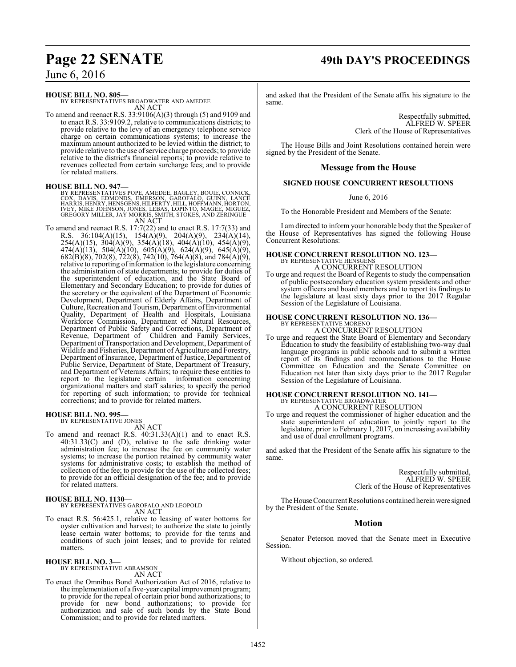# **Page 22 SENATE 49th DAY'S PROCEEDINGS**

**HOUSE BILL NO. 805—**

BY REPRESENTATIVES BROADWATER AND AMEDEE AN ACT

To amend and reenact R.S. 33:9106(A)(3) through (5) and 9109 and to enact R.S. 33:9109.2, relative to communications districts; to provide relative to the levy of an emergency telephone service charge on certain communications systems; to increase the maximum amount authorized to be levied within the district; to provide relative to the use ofservice charge proceeds; to provide relative to the district's financial reports; to provide relative to revenues collected from certain surcharge fees; and to provide for related matters.

# **HOUSE BILL NO. 947—**

BY REPRESENTATIVES POPE, AMEDEE, BAGLEY, BOUIE, CONNICK,<br>COX, DAVIS, EDMONDS, EMERSON, GAROFALO, GUINN, LANCE<br>HARRIS,HENRY,HENSGENS,HILFERTY,HILL,HOFFMANN,HORTON,<br>IVEY, MIKE JOHNSON, JONES, LEBAS, LOPINTO, MAGEE, MIGUEZ,<br>G AN ACT

To amend and reenact R.S. 17:7(22) and to enact R.S. 17:7(33) and R.S. 36:104(A)(15), 154(A)(9), 204(A)(9), 234(A)(14), 254(A)(15), 304(A)(9), 354(A)(18), 404(A)(10), 454(A)(9), 474(A)(13), 504(A)(10), 605(A)(9), 624(A)(9), 645(A)(9), 682(B)(8), 702(8), 722(8), 742(10), 764(A)(8), and 784(A)(9), relative to reporting of information to the legislature concerning the administration of state departments; to provide for duties of the superintendent of education, and the State Board of Elementary and Secondary Education; to provide for duties of the secretary or the equivalent of the Department of Economic Development, Department of Elderly Affairs, Department of Culture, Recreation and Tourism, Department ofEnvironmental Quality, Department of Health and Hospitals, Louisiana Workforce Commission, Department of Natural Resources, Department of Public Safety and Corrections, Department of Revenue, Department of Children and Family Services, Department of Transportation and Development, Department of Wildlife and Fisheries, Department of Agriculture and Forestry, Department of Insurance, Department of Justice, Department of Public Service, Department of State, Department of Treasury, and Department of Veterans Affairs; to require these entities to report to the legislature certain information concerning organizational matters and staff salaries; to specify the period for reporting of such information; to provide for technical corrections; and to provide for related matters.

#### **HOUSE BILL NO. 995—** BY REPRESENTATIVE JONES

AN ACT

To amend and reenact R.S.  $40:31.33(A)(1)$  and to enact R.S. 40:31.33(C) and (D), relative to the safe drinking water administration fee; to increase the fee on community water systems; to increase the portion retained by community water systems for administrative costs; to establish the method of collection of the fee; to provide for the use of the collected fees; to provide for an official designation of the fee; and to provide for related matters.

# **HOUSE BILL NO. 1130—** BY REPRESENTATIVES GAROFALO AND LEOPOLD AN ACT

To enact R.S. 56:425.1, relative to leasing of water bottoms for oyster cultivation and harvest; to authorize the state to jointly lease certain water bottoms; to provide for the terms and conditions of such joint leases; and to provide for related matters.

# **HOUSE BILL NO. 3—**

BY REPRESENTATIVE ABRAMSON AN ACT

To enact the Omnibus Bond Authorization Act of 2016, relative to the implementation of a five-year capital improvement program; to provide for the repeal of certain prior bond authorizations; to provide for new bond authorizations; to provide for authorization and sale of such bonds by the State Bond Commission; and to provide for related matters.

and asked that the President of the Senate affix his signature to the same.

> Respectfully submitted, ALFRED W. SPEER Clerk of the House of Representatives

The House Bills and Joint Resolutions contained herein were signed by the President of the Senate.

# **Message from the House**

## **SIGNED HOUSE CONCURRENT RESOLUTIONS**

June 6, 2016

To the Honorable President and Members of the Senate:

I am directed to inform your honorable body that the Speaker of the House of Representatives has signed the following House Concurrent Resolutions:

# **HOUSE CONCURRENT RESOLUTION NO. 123—** BY REPRESENTATIVE HENSGENS

A CONCURRENT RESOLUTION

To urge and request the Board of Regents to study the compensation of public postsecondary education system presidents and other system officers and board members and to report its findings to the legislature at least sixty days prior to the 2017 Regular Session of the Legislature of Louisiana.

#### **HOUSE CONCURRENT RESOLUTION NO. 136—** BY REPRESENTATIVE MORENO

A CONCURRENT RESOLUTION

To urge and request the State Board of Elementary and Secondary Education to study the feasibility of establishing two-way dual language programs in public schools and to submit a written report of its findings and recommendations to the House Committee on Education and the Senate Committee on Education not later than sixty days prior to the 2017 Regular Session of the Legislature of Louisiana.

# **HOUSE CONCURRENT RESOLUTION NO. 141—** BY REPRESENTATIVE BROADWATER A CONCURRENT RESOLUTION

To urge and request the commissioner of higher education and the state superintendent of education to jointly report to the legislature, prior to February 1, 2017, on increasing availability and use of dual enrollment programs.

and asked that the President of the Senate affix his signature to the same.

> Respectfully submitted, ALFRED W. SPEER Clerk of the House of Representatives

The House Concurrent Resolutions contained herein were signed by the President of the Senate.

# **Motion**

Senator Peterson moved that the Senate meet in Executive Session.

Without objection, so ordered.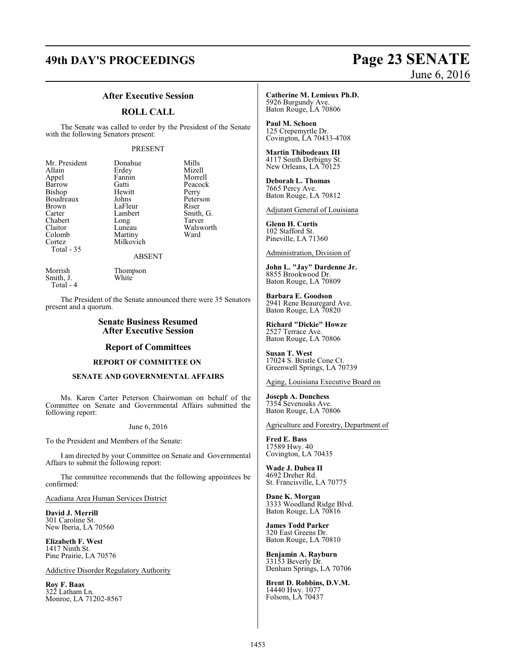# **49th DAY'S PROCEEDINGS Page 23 SENATE**

# June 6, 2016

# **After Executive Session**

## **ROLL CALL**

The Senate was called to order by the President of the Senate with the following Senators present:

## PRESENT

| Mr. President | Donahue   | Mills     |
|---------------|-----------|-----------|
| Allain        | Erdey     | Mizell    |
| Appel         | Fannin    | Morrell   |
| Barrow        | Gatti     | Peacock   |
| Bishop        | Hewitt    | Perry     |
| Boudreaux     | Johns     | Peterson  |
| Brown         | LaFleur   | Riser     |
| Carter        | Lambert   | Smith, G. |
| Chabert       | Long      | Tarver    |
| Claitor       | Luneau    | Walsworth |
| Colomb        | Martiny   | Ward      |
| Cortez        | Milkovich |           |
| Total - 35    |           |           |
| <b>ABSENT</b> |           |           |

Smith, J. Total - 4

Morrish Thompson<br>Smith, J. White

The President of the Senate announced there were 35 Senators present and a quorum.

# **Senate Business Resumed After Executive Session**

### **Report of Committees**

#### **REPORT OF COMMITTEE ON**

### **SENATE AND GOVERNMENTAL AFFAIRS**

Ms. Karen Carter Peterson Chairwoman on behalf of the Committee on Senate and Governmental Affairs submitted the following report:

### June 6, 2016

To the President and Members of the Senate:

I am directed by your Committee on Senate and Governmental Affairs to submit the following report:

The committee recommends that the following appointees be confirmed:

Acadiana Area Human Services District

**David J. Merrill** 301 Caroline St. New Iberia, LA 70560

**Elizabeth F. West** 1417 Ninth St. Pine Prairie, LA 70576

#### Addictive Disorder Regulatory Authority

**Roy F. Baas** 322 Latham Ln. Monroe, LA 71202-8567 **Catherine M. Lemieux Ph.D.** 5926 Burgundy Ave. Baton Rouge, LA 70806

**Paul M. Schoen** 125 Crepemyrtle Dr. Covington, LA 70433-4708

**Martin Thibodeaux III** 4117 South Derbigny St. New Orleans, LA 70125

**Deborah L. Thomas** 7665 Percy Ave. Baton Rouge, LA 70812

Adjutant General of Louisiana

**Glenn H. Curtis** 102 Stafford St. Pineville, LA 71360

Administration, Division of

**John L. "Jay" Dardenne Jr.** 8855 Brookwood Dr. Baton Rouge, LA 70809

**Barbara E. Goodson** 2941 Rene Beauregard Ave. Baton Rouge, LA 70820

**Richard "Dickie" Howze** 2527 Terrace Ave. Baton Rouge, LA 70806

**Susan T. West** 17024 S. Bristle Cone Ct. Greenwell Springs, LA 70739

Aging, Louisiana Executive Board on

**Joseph A. Donchess** 7354 Sevenoaks Ave. Baton Rouge, LA 70806

## Agriculture and Forestry, Department of

**Fred E. Bass** 17589 Hwy. 40 Covington, LA 70435

**Wade J. Dubea II** 4692 Dreher Rd. St. Francisville, LA 70775

**Dane K. Morgan** 3333 Woodland Ridge Blvd. Baton Rouge, LA 70816

**James Todd Parker** 320 East Greens Dr. Baton Rouge, LA 70810

**Benjamin A. Rayburn** 33153 Beverly Dr. Denham Springs, LA 70706

**Brent D. Robbins, D.V.M.** 14440 Hwy. 1077 Folsom, LA 70437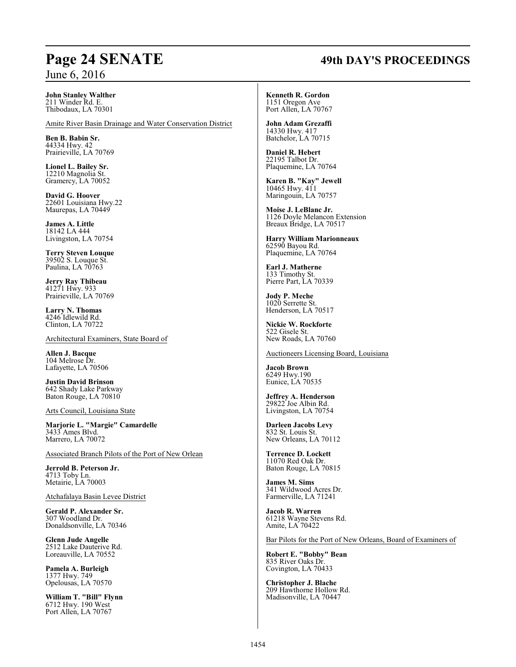# **Page 24 SENATE 49th DAY'S PROCEEDINGS**

**John Stanley Walther** 211 Winder Rd. E.

Thibodaux, LA 70301

Amite River Basin Drainage and Water Conservation District

**Ben B. Babin Sr.** 44334 Hwy. 42 Prairieville, LA 70769

**Lionel L. Bailey Sr.** 12210 Magnolia St. Gramercy, LA 70052

**David G. Hoover** 22601 Louisiana Hwy.22 Maurepas, LA 70449

**James A. Little** 18142 LA 444 Livingston, LA 70754

**Terry Steven Louque** 39502 S. Louque St. Paulina, LA 70763

**Jerry Ray Thibeau** 41271 Hwy. 933 Prairieville, LA 70769

**Larry N. Thomas** 4246 Idlewild Rd. Clinton, LA 70722

Architectural Examiners, State Board of

**Allen J. Bacque** 104 Melrose Dr. Lafayette, LA 70506

**Justin David Brinson** 642 Shady Lake Parkway Baton Rouge, LA 70810

Arts Council, Louisiana State

**Marjorie L. "Margie" Camardelle** 3433 Ames Blvd. Marrero, LA 70072

Associated Branch Pilots of the Port of New Orlean

**Jerrold B. Peterson Jr.** 4713 Toby Ln. Metairie, LA 70003

Atchafalaya Basin Levee District

**Gerald P. Alexander Sr.** 307 Woodland Dr. Donaldsonville, LA 70346

**Glenn Jude Angelle** 2512 Lake Dauterive Rd. Loreauville, LA 70552

**Pamela A. Burleigh** 1377 Hwy. 749 Opelousas, LA 70570

**William T. "Bill" Flynn** 6712 Hwy. 190 West Port Allen, LA 70767

#### **Kenneth R. Gordon** 1151 Oregon Ave

Port Allen, LA 70767

**John Adam Grezaffi** 14330 Hwy. 417 Batchelor, LA 70715

**Daniel R. Hebert** 22195 Talbot Dr. Plaquemine, LA 70764

**Karen B. "Kay" Jewell** 10465 Hwy. 411 Maringouin, LA 70757

**Moise J. LeBlanc Jr.** 1126 Doyle Melancon Extension Breaux Bridge, LA 70517

**Harry William Marionneaux** 62590 Bayou Rd. Plaquemine, LA 70764

**Earl J. Matherne** 133 Timothy St. Pierre Part, LA 70339

**Jody P. Meche** 1020 Serrette St. Henderson, LA 70517

**Nickie W. Rockforte** 522 Gisele St. New Roads, LA 70760

Auctioneers Licensing Board, Louisiana

**Jacob Brown** 6249 Hwy.190 Eunice, LA 70535

**Jeffrey A. Henderson** 29822 Joe Albin Rd. Livingston, LA 70754

**Darleen Jacobs Levy** 832 St. Louis St. New Orleans, LA 70112

**Terrence D. Lockett** 11070 Red Oak Dr. Baton Rouge, LA 70815

**James M. Sims** 341 Wildwood Acres Dr. Farmerville, LA 71241

**Jacob R. Warren** 61218 Wayne Stevens Rd. Amite, LA 70422

Bar Pilots for the Port of New Orleans, Board of Examiners of

**Robert E. "Bobby" Bean** 835 River Oaks Dr. Covington, LA 70433

**Christopher J. Blache** 209 Hawthorne Hollow Rd. Madisonville, LA 70447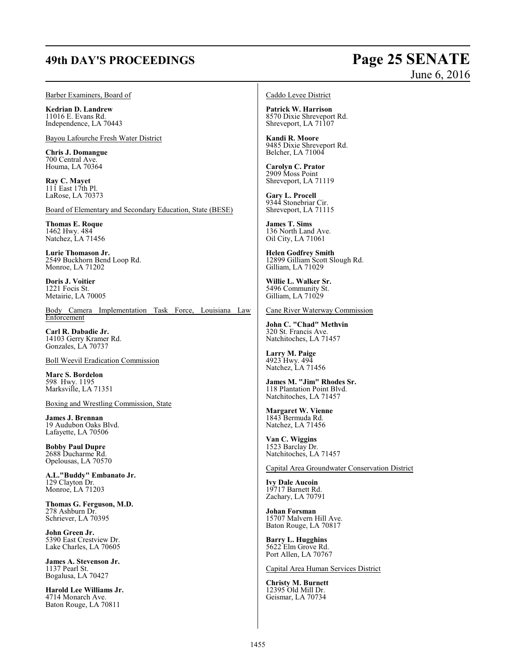# **49th DAY'S PROCEEDINGS Page 25 SENATE**

# June 6, 2016

Barber Examiners, Board of

**Kedrian D. Landrew** 11016 E. Evans Rd. Independence, LA 70443

Bayou Lafourche Fresh Water District

**Chris J. Domangue** 700 Central Ave. Houma, LA 70364

**Ray C. Mayet** 111 East 17th Pl. LaRose, LA 70373

Board of Elementary and Secondary Education, State (BESE)

**Thomas E. Roque** 1462 Hwy. 484 Natchez, LA 71456

**Lurie Thomason Jr.** 2549 Buckhorn Bend Loop Rd. Monroe, LA 71202

**Doris J. Voitier** 1221 Focis St. Metairie, LA 70005

Body Camera Implementation Task Force, Louisiana Law **Enforcement** 

**Carl R. Dabadie Jr.** 14103 Gerry Kramer Rd. Gonzales, LA 70737

Boll Weevil Eradication Commission

**Marc S. Bordelon** 598 Hwy. 1195 Marksville, LA 71351

Boxing and Wrestling Commission, State

**James J. Brennan** 19 Audubon Oaks Blvd. Lafayette, LA 70506

**Bobby Paul Dupre** 2688 Ducharme Rd. Opelousas, LA 70570

**A.L."Buddy" Embanato Jr.** 129 Clayton Dr. Monroe, LA 71203

**Thomas G. Ferguson, M.D.** 278 Ashburn Dr. Schriever, LA 70395

**John Green Jr.** 5390 East Crestview Dr. Lake Charles, LA 70605

**James A. Stevenson Jr.** 1137 Pearl St. Bogalusa, LA 70427

**Harold Lee Williams Jr.** 4714 Monarch Ave. Baton Rouge, LA 70811

Caddo Levee District

**Patrick W. Harrison** 8570 Dixie Shreveport Rd. Shreveport, LA 71107

**Kandi R. Moore** 9485 Dixie Shreveport Rd. Belcher, LA 71004

**Carolyn C. Prator** 2909 Moss Point Shreveport, LA 71119

**Gary L. Procell** 9344 Stonebriar Cir. Shreveport, LA 71115

**James T. Sims** 136 North Land Ave. Oil City, LA 71061

**Helen Godfrey Smith** 12899 Gilliam Scott Slough Rd. Gilliam, LA 71029

**Willie L. Walker Sr.** 5496 Community St. Gilliam, LA 71029

#### Cane River Waterway Commission

**John C. "Chad" Methvin** 320 St. Francis Ave. Natchitoches, LA 71457

**Larry M. Paige** 4923 Hwy. 494 Natchez, LA 71456

**James M. "Jim" Rhodes Sr.** 118 Plantation Point Blvd. Natchitoches, LA 71457

**Margaret W. Vienne** 1843 Bermuda Rd. Natchez, LA 71456

**Van C. Wiggins** 1523 Barclay Dr. Natchitoches, LA 71457

Capital Area Groundwater Conservation District

**Ivy Dale Aucoin** 19717 Barnett Rd. Zachary, LA 70791

**Johan Forsman** 15707 Malvern Hill Ave. Baton Rouge, LA 70817

**Barry L. Hugghins** 5622 Elm Grove Rd. Port Allen, LA 70767

Capital Area Human Services District

**Christy M. Burnett** 12395 Old Mill Dr. Geismar, LA 70734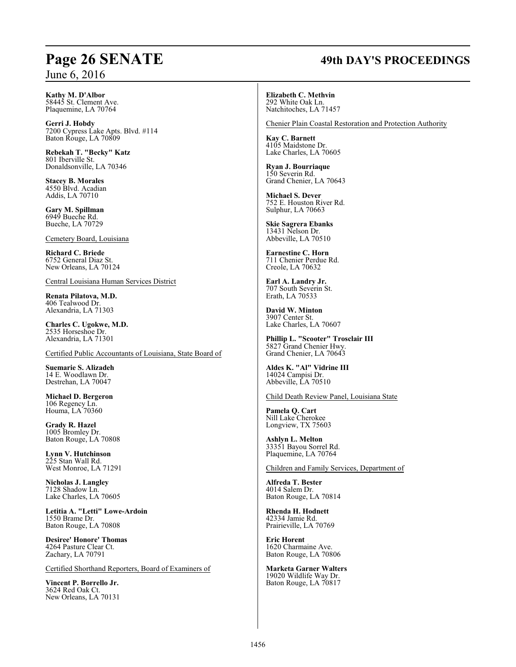# **Page 26 SENATE 49th DAY'S PROCEEDINGS**

**Kathy M. D'Albor** 58445 St. Clement Ave. Plaquemine, LA 70764

**Gerri J. Hobdy** 7200 Cypress Lake Apts. Blvd. #114 Baton Rouge, LA 70809

**Rebekah T. "Becky" Katz** 801 Iberville St. Donaldsonville, LA 70346

**Stacey B. Morales** 4550 Blvd. Acadian Addis, LA 70710

**Gary M. Spillman** 6949 Bueche Rd. Bueche, LA 70729

Cemetery Board, Louisiana

**Richard C. Briede** 6752 General Diaz St. New Orleans, LA 70124

Central Louisiana Human Services District

**Renata Pilatova, M.D.** 406 Tealwood Dr. Alexandria, LA 71303

**Charles C. Ugokwe, M.D.** 2535 Horseshoe Dr. Alexandria, LA 71301

Certified Public Accountants of Louisiana, State Board of

**Suemarie S. Alizadeh** 14 E. Woodlawn Dr. Destrehan, LA 70047

**Michael D. Bergeron** 106 Regency Ln. Houma, LA 70360

**Grady R. Hazel** 1005 Bromley Dr. Baton Rouge, LA 70808

**Lynn V. Hutchinson** 225 Stan Wall Rd. West Monroe, LA 71291

**Nicholas J. Langley** 7128 Shadow Ln. Lake Charles, LA 70605

**Letitia A. "Letti" Lowe-Ardoin** 1550 Brame Dr. Baton Rouge, LA 70808

**Desiree' Honore' Thomas** 4264 Pasture Clear Ct. Zachary, LA 70791

Certified Shorthand Reporters, Board of Examiners of

**Vincent P. Borrello Jr.** 3624 Red Oak Ct. New Orleans, LA 70131 **Elizabeth C. Methvin** 292 White Oak Ln. Natchitoches, LA 71457

Chenier Plain Coastal Restoration and Protection Authority

**Kay C. Barnett** 4105 Maidstone Dr. Lake Charles, LA 70605

**Ryan J. Bourriaque** 150 Severin Rd. Grand Chenier, LA 70643

**Michael S. Dever** 752 E. Houston River Rd. Sulphur, LA 70663

**Skie Sagrera Ebanks** 13431 Nelson Dr. Abbeville, LA 70510

**Earnestine C. Horn** 711 Chenier Perdue Rd. Creole, LA 70632

**Earl A. Landry Jr.** 707 South Severin St. Erath, LA 70533

**David W. Minton** 3907 Center St. Lake Charles, LA 70607

**Phillip L. "Scooter" Trosclair III** 5827 Grand Chenier Hwy. Grand Chenier, LA 70643

**Aldes K. "Al" Vidrine III** 14024 Campisi Dr. Abbeville, LA 70510

Child Death Review Panel, Louisiana State

**Pamela Q. Cart** Nill Lake Cherokee Longview, TX 75603

**Ashlyn L. Melton** 33351 Bayou Sorrel Rd. Plaquemine, LA 70764

Children and Family Services, Department of

**Alfreda T. Bester** 4014 Salem Dr. Baton Rouge, LA 70814

**Rhenda H. Hodnett** 42334 Jamie Rd. Prairieville, LA 70769

**Eric Horent** 1620 Charmaine Ave. Baton Rouge, LA 70806

**Marketa Garner Walters** 19020 Wildlife Way Dr. Baton Rouge, LA 70817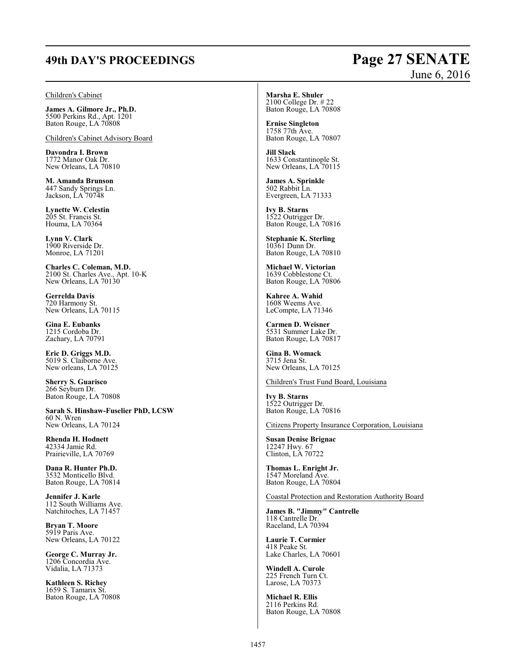# **49th DAY'S PROCEEDINGS Page 27 SENATE**

#### Children's Cabinet

**James A. Gilmore Jr., Ph.D.** 5500 Perkins Rd., Apt. 1201 Baton Rouge, LA 70808

Children's Cabinet Advisory Board

**Davondra I. Brown** 1772 Manor Oak Dr. New Orleans, LA 70810

**M. Amanda Brunson** 447 Sandy Springs Ln. Jackson, LA 70748

**Lynette W. Celestin** 205 St. Francis St. Houma, LA 70364

**Lynn V. Clark** 1900 Riverside Dr. Monroe, LA 71201

**Charles C. Coleman, M.D.** 2100 St. Charles Ave., Apt. 10-K New Orleans, LA 70130

**Gerrelda Davis** 720 Harmony St. New Orleans, LA 70115

**Gina E. Eubanks** 1215 Cordoba Dr. Zachary, LA 70791

**Eric D. Griggs M.D.** 5019 S. Claiborne Ave. New orleans, LA 70125

**Sherry S. Guarisco** 266 Seyburn Dr. Baton Rouge, LA 70808

**Sarah S. Hinshaw-Fuselier PhD, LCSW** 60 N. Wren New Orleans, LA 70124

**Rhenda H. Hodnett** 42334 Jamie Rd. Prairieville, LA 70769

**Dana R. Hunter Ph.D.** 3532 Monticello Blvd. Baton Rouge, LA 70814

**Jennifer J. Karle** 112 South Williams Ave. Natchitoches, LA 71457

**Bryan T. Moore** 5919 Paris Ave. New Orleans, LA 70122

**George C. Murray Jr.** 1206 Concordia Ave. Vidalia, LA 71373

**Kathleen S. Richey** 1659 S. Tamarix St. Baton Rouge, LA 70808 **Marsha E. Shuler** 2100 College Dr. # 22 Baton Rouge, LA 70808

**Ernise Singleton** 1758 77th Ave. Baton Rouge, LA 70807

**Jill Slack** 1633 Constantinople St. New Orleans, LA 70115

**James A. Sprinkle** 502 Rabbit Ln. Evergreen, LA 71333

**Ivy B. Starns** 1522 Outrigger Dr. Baton Rouge, LA 70816

**Stephanie K. Sterling** 10361 Dunn Dr. Baton Rouge, LA 70810

**Michael W. Victorian** 1639 Cobblestone Ct. Baton Rouge, LA 70806

**Kahree A. Wahid** 1608 Weems Ave. LeCompte, LA 71346

**Carmen D. Weisner** 5531 Summer Lake Dr. Baton Rouge, LA 70817

**Gina B. Womack** 3715 Jena St. New Orleans, LA 70125

Children's Trust Fund Board, Louisiana

**Ivy B. Starns** 1522 Outrigger Dr. Baton Rouge, LA 70816

Citizens Property Insurance Corporation, Louisiana

**Susan Denise Brignac** 12247 Hwy. 67 Clinton, LA 70722

**Thomas L. Enright Jr.** 1547 Moreland Ave. Baton Rouge, LA 70804

Coastal Protection and Restoration Authority Board

**James B. "Jimmy" Cantrelle** 118 Cantrelle Dr. Raceland, LA 70394

**Laurie T. Cormier** 418 Peake St. Lake Charles, LA 70601

**Windell A. Curole** 225 French Turn Ct. Larose, LA 70373

**Michael R. Ellis** 2116 Perkins Rd. Baton Rouge, LA 70808

# June 6, 2016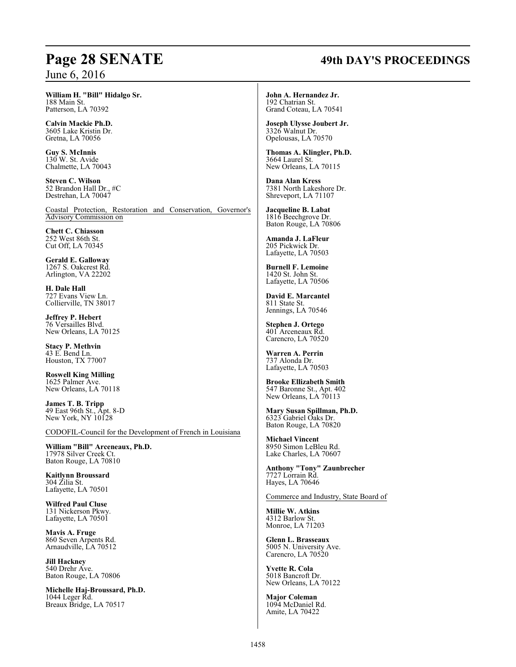### **William H. "Bill" Hidalgo Sr.** 188 Main St.

Patterson, LA 70392

**Calvin Mackie Ph.D.** 3605 Lake Kristin Dr. Gretna, LA 70056

**Guy S. McInnis** 130 W. St. Avide Chalmette, LA 70043

**Steven C. Wilson** 52 Brandon Hall Dr., #C Destrehan, LA 70047

Coastal Protection, Restoration and Conservation, Governor's Advisory Commission on

**Chett C. Chiasson** 252 West 86th St. Cut Off, LA 70345

**Gerald E. Galloway** 1267 S. Oakcrest Rd. Arlington, VA 22202

**H. Dale Hall** 727 Evans View Ln. Collierville, TN 38017

**Jeffrey P. Hebert** 76 Versailles Blvd. New Orleans, LA 70125

**Stacy P. Methvin** 43 E. Bend Ln. Houston, TX 77007

**Roswell King Milling** 1625 Palmer Ave. New Orleans, LA 70118

**James T. B. Tripp** 49 East 96th St., Apt. 8-D New York, NY 10128

CODOFIL-Council for the Development of French in Louisiana

**William "Bill" Arceneaux, Ph.D.** 17978 Silver Creek Ct. Baton Rouge, LA 70810

**Kaitlynn Broussard** 304 Zilia St. Lafayette, LA 70501

**Wilfred Paul Cluse** 131 Nickerson Pkwy. Lafayette, LA 70501

**Mavis A. Fruge** 860 Seven Arpents Rd. Arnaudville, LA 70512

**Jill Hackney** 540 Drehr Ave. Baton Rouge, LA 70806

**Michelle Haj-Broussard, Ph.D.** 1044 Leger Rd. Breaux Bridge, LA 70517

# **Page 28 SENATE 49th DAY'S PROCEEDINGS**

**John A. Hernandez Jr.** 192 Chatrian St. Grand Coteau, LA 70541

**Joseph Ulysse Joubert Jr.** 3326 Walnut Dr. Opelousas, LA 70570

**Thomas A. Klingler, Ph.D.** 3664 Laurel St. New Orleans, LA 70115

**Dana Alan Kress** 7381 North Lakeshore Dr. Shreveport, LA 71107

**Jacqueline B. Labat** 1816 Beechgrove Dr. Baton Rouge, LA 70806

**Amanda J. LaFleur** 205 Pickwick Dr. Lafayette, LA 70503

**Burnell F. Lemoine** 1420 St. John St. Lafayette, LA 70506

**David E. Marcantel** 811 State St. Jennings, LA 70546

**Stephen J. Ortego** 401 Arceneaux Rd. Carencro, LA 70520

**Warren A. Perrin** 737 Alonda Dr. Lafayette, LA 70503

**Brooke Ellizabeth Smith** 547 Baronne St., Apt. 402 New Orleans, LA 70113

**Mary Susan Spillman, Ph.D.** 6323 Gabriel Oaks Dr. Baton Rouge, LA 70820

**Michael Vincent** 8950 Simon LeBleu Rd. Lake Charles, LA 70607

**Anthony "Tony" Zaunbrecher** 7727 Lorrain Rd. Hayes, LA 70646

Commerce and Industry, State Board of

**Millie W. Atkins** 4312 Barlow St. Monroe, LA 71203

**Glenn L. Brasseaux** 5005 N. University Ave. Carencro, LA 70520

**Yvette R. Cola** 5018 Bancroft Dr. New Orleans, LA 70122

**Major Coleman** 1094 McDaniel Rd. Amite, LA 70422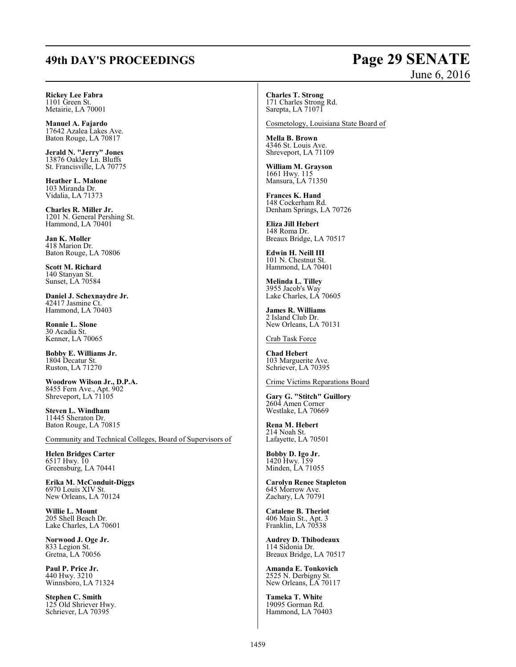# **49th DAY'S PROCEEDINGS Page 29 SENATE**

# June 6, 2016

**Rickey Lee Fabra** 1101 Green St. Metairie, LA 70001

**Manuel A. Fajardo** 17642 Azalea Lakes Ave. Baton Rouge, LA 70817

**Jerald N. "Jerry" Jones** 13876 Oakley Ln. Bluffs St. Francisville, LA 70775

**Heather L. Malone** 103 Miranda Dr. Vidalia, LA 71373

**Charles R. Miller Jr.** 1201 N. General Pershing St. Hammond, LA 70401

**Jan K. Moller** 418 Marion Dr. Baton Rouge, LA 70806

**Scott M. Richard** 140 Stanyan St. Sunset, LA 70584

**Daniel J. Schexnaydre Jr.** 42417 Jasmine Ct. Hammond, LA 70403

**Ronnie L. Slone** 30 Acadia St. Kenner, LA 70065

**Bobby E. Williams Jr.** 1804 Decatur St. Ruston, LA 71270

**Woodrow Wilson Jr., D.P.A.** 8455 Fern Ave., Apt. 902 Shreveport, LA 71105

**Steven L. Windham** 11445 Sheraton Dr. Baton Rouge, LA 70815

Community and Technical Colleges, Board of Supervisors of

**Helen Bridges Carter** 6517 Hwy. 10 Greensburg, LA 70441

**Erika M. McConduit-Diggs** 6970 Louis XIV St. New Orleans, LA 70124

**Willie L. Mount** 205 Shell Beach Dr. Lake Charles, LA 70601

**Norwood J. Oge Jr.** 833 Legion St. Gretna, LA 70056

**Paul P. Price Jr.** 440 Hwy. 3210 Winnsboro, LA 71324

**Stephen C. Smith** 125 Old Shriever Hwy. Schriever, LA 70395

**Charles T. Strong** 171 Charles Strong Rd. Sarepta, LA 71071

Cosmetology, Louisiana State Board of

**Mella B. Brown** 4346 St. Louis Ave. Shreveport, LA 71109

**William M. Grayson** 1661 Hwy. 115 Mansura, LA 71350

**Frances K. Hand** 148 Cockerham Rd. Denham Springs, LA 70726

**Eliza Jill Hebert** 148 Roma Dr. Breaux Bridge, LA 70517

**Edwin H. Neill III** 101 N. Chestnut St. Hammond, LA 70401

**Melinda L. Tilley** 3955 Jacob's Way Lake Charles, LA 70605

**James R. Williams** 2 Island Club Dr. New Orleans, LA 70131

Crab Task Force

**Chad Hebert** 103 Marguerite Ave. Schriever, LA 70395

Crime Victims Reparations Board

**Gary G. "Stitch" Guillory** 2604 Amen Corner Westlake, LA 70669

**Rena M. Hebert** 214 Noah St. Lafayette, LA 70501

**Bobby D. Igo Jr.** 1420 Hwy. 159 Minden, LA 71055

**Carolyn Renee Stapleton** 645 Morrow Ave. Zachary, LA 70791

**Catalene B. Theriot** 406 Main St., Apt. 3 Franklin, LA 70538

**Audrey D. Thibodeaux** 114 Sidonia Dr. Breaux Bridge, LA 70517

**Amanda E. Tonkovich** 2525 N. Derbigny St. New Orleans, LA 70117

**Tameka T. White** 19095 Gorman Rd. Hammond, LA 70403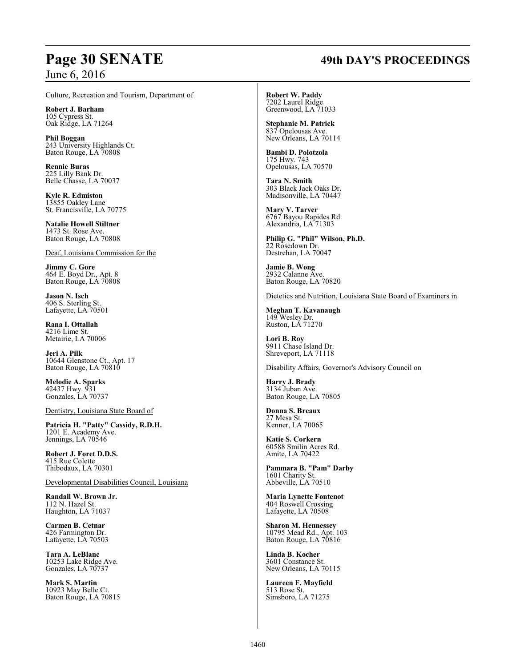# **Page 30 SENATE 49th DAY'S PROCEEDINGS**

Culture, Recreation and Tourism, Department of

**Robert J. Barham** 105 Cypress St. Oak Ridge, LA 71264

**Phil Boggan** 243 University Highlands Ct. Baton Rouge, LA 70808

**Rennie Buras** 225 Lilly Bank Dr. Belle Chasse, LA 70037

**Kyle R. Edmiston** 13855 Oakley Lane St. Francisville, LA 70775

**Natalie Howell Stiltner** 1473 St. Rose Ave. Baton Rouge, LA 70808

Deaf, Louisiana Commission for the

**Jimmy C. Gore** 464 E. Boyd Dr., Apt. 8 Baton Rouge, LA 70808

**Jason N. Isch** 406 S. Sterling St. Lafayette, LA 70501

**Rana I. Ottallah** 4216 Lime St. Metairie, LA 70006

**Jeri A. Pilk** 10644 Glenstone Ct., Apt. 17 Baton Rouge, LA 70810

**Melodie A. Sparks** 42437 Hwy. 931 Gonzales, LA 70737

Dentistry, Louisiana State Board of

**Patricia H. "Patty" Cassidy, R.D.H.** 1201 E. Academy Ave. Jennings, LA 70546

**Robert J. Foret D.D.S.** 415 Rue Colette Thibodaux, LA 70301

Developmental Disabilities Council, Louisiana

**Randall W. Brown Jr.** 112 N. Hazel St. Haughton, LA 71037

**Carmen B. Cetnar** 426 Farmington Dr. Lafayette, LA 70503

**Tara A. LeBlanc** 10253 Lake Ridge Ave. Gonzales, LA 70737

**Mark S. Martin** 10923 May Belle Ct. Baton Rouge, LA 70815 **Robert W. Paddy** 7202 Laurel Ridge Greenwood, LA 71033

**Stephanie M. Patrick** 837 Opelousas Ave. New Orleans, LA 70114

**Bambi D. Polotzola** 175 Hwy. 743 Opelousas, LA 70570

**Tara N. Smith** 303 Black Jack Oaks Dr. Madisonville, LA 70447

**Mary V. Tarver** 6767 Bayou Rapides Rd. Alexandria, LA 71303

**Philip G. "Phil" Wilson, Ph.D.** 22 Rosedown Dr. Destrehan, LA 70047

**Jamie B. Wong** 2932 Calanne Ave. Baton Rouge, LA 70820

Dietetics and Nutrition, Louisiana State Board of Examiners in

**Meghan T. Kavanaugh** 149 Wesley Dr. Ruston, LA 71270

**Lori B. Roy** 9911 Chase Island Dr. Shreveport, LA 71118

Disability Affairs, Governor's Advisory Council on

**Harry J. Brady** 3134 Juban Ave. Baton Rouge, LA 70805

**Donna S. Breaux** 27 Mesa St. Kenner, LA 70065

**Katie S. Corkern** 60588 Smilin Acres Rd. Amite, LA 70422

**Pammara B. "Pam" Darby** 1601 Charity St. Abbeville, LA 70510

**Maria Lynette Fontenot** 404 Roswell Crossing Lafayette, LA 70508

**Sharon M. Hennessey** 10795 Mead Rd., Apt. 103 Baton Rouge, LA 70816

**Linda B. Kocher** 3601 Constance St. New Orleans, LA 70115

**Laureen F. Mayfield** 513 Rose St. Simsboro, LA 71275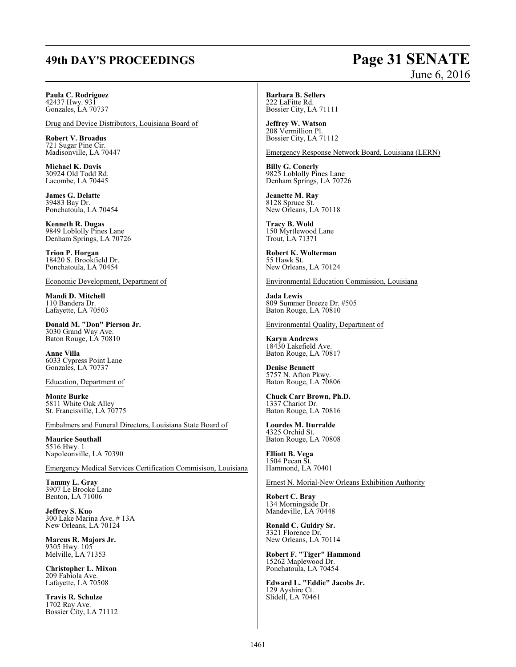# **49th DAY'S PROCEEDINGS Page 31 SENATE**

# June 6, 2016

# **Paula C. Rodriguez**

42437 Hwy. 931 Gonzales, LA 70737

Drug and Device Distributors, Louisiana Board of

**Robert V. Broadus** 721 Sugar Pine Cir. Madisonville, LA 70447

**Michael K. Davis** 30924 Old Todd Rd. Lacombe, LA 70445

**James G. Delatte** 39483 Bay Dr. Ponchatoula, LA 70454

**Kenneth R. Dugas** 9849 Loblolly Pines Lane Denham Springs, LA 70726

**Trion P. Horgan** 18420 S. Brookfield Dr. Ponchatoula, LA 70454

Economic Development, Department of

**Mandi D. Mitchell** 110 Bandera Dr. Lafayette, LA 70503

**Donald M. "Don" Pierson Jr.** 3030 Grand Way Ave. Baton Rouge, LA 70810

**Anne Villa** 6033 Cypress Point Lane Gonzales, LA 70737

Education, Department of

**Monte Burke** 5811 White Oak Alley St. Francisville, LA 70775

Embalmers and Funeral Directors, Louisiana State Board of

**Maurice Southall** 5516 Hwy. 1 Napoleonville, LA 70390

Emergency Medical Services Certification Commisison, Louisiana

**Tammy L. Gray** 3907 Le Brooke Lane Benton, LA 71006

**Jeffrey S. Kuo** 300 Lake Marina Ave. # 13A New Orleans, LA 70124

**Marcus R. Majors Jr.** 9305 Hwy. 105 Melville, LA 71353

**Christopher L. Mixon** 209 Fabiola Ave. Lafayette, LA 70508

**Travis R. Schulze** 1702 Ray Ave. Bossier City, LA 71112 **Barbara B. Sellers** 222 LaFitte Rd.

Bossier City, LA 71111 **Jeffrey W. Watson**

208 Vermillion Pl. Bossier City, LA 71112

Emergency Response Network Board, Louisiana (LERN)

**Billy G. Conerly** 9825 Loblolly Pines Lane Denham Springs, LA 70726

**Jeanette M. Ray** 8128 Spruce St. New Orleans, LA 70118

**Tracy B. Wold** 150 Myrtlewood Lane Trout, LA 71371

**Robert K. Wolterman** 55 Hawk St. New Orleans, LA 70124

Environmental Education Commission, Louisiana

**Jada Lewis** 809 Summer Breeze Dr. #505 Baton Rouge, LA 70810

Environmental Quality, Department of

**Karyn Andrews** 18430 Lakefield Ave. Baton Rouge, LA 70817

**Denise Bennett** 5757 N. Afton Pkwy. Baton Rouge, LA 70806

**Chuck Carr Brown, Ph.D.** 1337 Chariot Dr. Baton Rouge, LA 70816

**Lourdes M. Iturralde** 4325 Orchid St. Baton Rouge, LA 70808

**Elliott B. Vega** 1504 Pecan St. Hammond, LA 70401

Ernest N. Morial-New Orleans Exhibition Authority

**Robert C. Bray** 134 Morningside Dr. Mandeville, LA 70448

**Ronald C. Guidry Sr.** 3321 Florence Dr. New Orleans, LA 70114

**Robert F. "Tiger" Hammond** 15262 Maplewood Dr. Ponchatoula, LA 70454

**Edward L. "Eddie" Jacobs Jr.** 129 Ayshire Ct. Slidell, LA 70461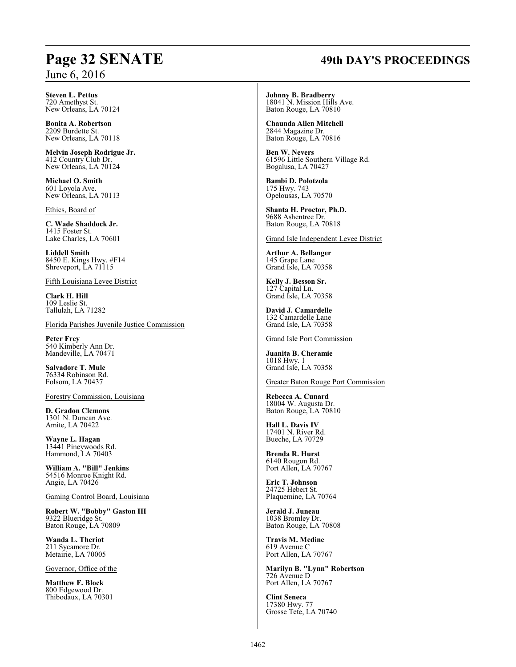# **Page 32 SENATE 49th DAY'S PROCEEDINGS**

**Steven L. Pettus** 720 Amethyst St. New Orleans, LA 70124

**Bonita A. Robertson** 2209 Burdette St. New Orleans, LA 70118

**Melvin Joseph Rodrigue Jr.** 412 Country Club Dr. New Orleans, LA 70124

**Michael O. Smith** 601 Loyola Ave. New Orleans, LA 70113

Ethics, Board of

**C. Wade Shaddock Jr.** 1415 Foster St. Lake Charles, LA 70601

**Liddell Smith** 8450 E. Kings Hwy. #F14 Shreveport, LA 71115

Fifth Louisiana Levee District

**Clark H. Hill** 109 Leslie St. Tallulah, LA 71282

Florida Parishes Juvenile Justice Commission

**Peter Frey** 540 Kimberly Ann Dr. Mandeville, LA 70471

**Salvadore T. Mule** 76334 Robinson Rd. Folsom, LA 70437

Forestry Commission, Louisiana

**D. Gradon Clemons** 1301 N. Duncan Ave. Amite, LA 70422

**Wayne L. Hagan** 13441 Pineywoods Rd. Hammond, LA 70403

**William A. "Bill" Jenkins** 54516 Monroe Knight Rd. Angie, LA 70426

Gaming Control Board, Louisiana

**Robert W. "Bobby" Gaston III** 9322 Blueridge St. Baton Rouge, LA 70809

**Wanda L. Theriot** 211 Sycamore Dr. Metairie, LA 70005

Governor, Office of the

**Matthew F. Block** 800 Edgewood Dr. Thibodaux, LA 70301 **Johnny B. Bradberry** 18041 N. Mission Hills Ave. Baton Rouge, LA 70810

**Chaunda Allen Mitchell** 2844 Magazine Dr. Baton Rouge, LA 70816

**Ben W. Nevers** 61596 Little Southern Village Rd. Bogalusa, LA 70427

**Bambi D. Polotzola** 175 Hwy. 743 Opelousas, LA 70570

**Shanta H. Proctor, Ph.D.** 9688 Ashentree Dr. Baton Rouge, LA 70818

Grand Isle Independent Levee District

**Arthur A. Bellanger** 145 Grape Lane Grand Isle, LA 70358

**Kelly J. Besson Sr.** 127 Capital Ln. Grand Isle, LA 70358

**David J. Camardelle** 132 Camardelle Lane Grand Isle, LA 70358

Grand Isle Port Commission

**Juanita B. Cheramie** 1018 Hwy. 1 Grand Isle, LA 70358

Greater Baton Rouge Port Commission

**Rebecca A. Cunard** 18004 W. Augusta Dr. Baton Rouge, LA 70810

**Hall L. Davis IV** 17401 N. River Rd. Bueche, LA 70729

**Brenda R. Hurst** 6140 Rougon Rd. Port Allen, LA 70767

**Eric T. Johnson** 24725 Hebert St. Plaquemine, LA 70764

**Jerald J. Juneau** 1038 Bromley Dr. Baton Rouge, LA 70808

**Travis M. Medine** 619 Avenue C Port Allen, LA 70767

**Marilyn B. "Lynn" Robertson** 726 Avenue D Port Allen, LA 70767

**Clint Seneca** 17380 Hwy. 77 Grosse Tete, LA 70740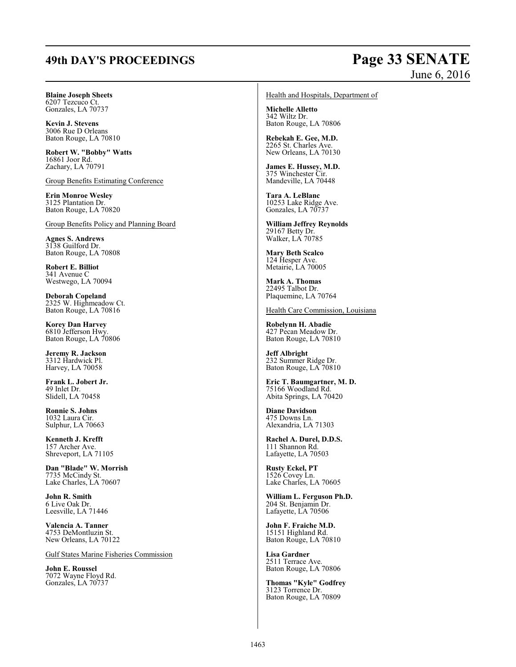# **49th DAY'S PROCEEDINGS Page 33 SENATE**

# June 6, 2016

## **Blaine Joseph Sheets**

6207 Tezcuco Ct. Gonzales, LA 70737

**Kevin J. Stevens** 3006 Rue D Orleans Baton Rouge, LA 70810

**Robert W. "Bobby" Watts** 16861 Joor Rd. Zachary, LA 70791

Group Benefits Estimating Conference

**Erin Monroe Wesley** 3125 Plantation Dr. Baton Rouge, LA 70820

Group Benefits Policy and Planning Board

**Agnes S. Andrews** 3138 Guilford Dr. Baton Rouge, LA 70808

**Robert E. Billiot** 341 Avenue C Westwego, LA 70094

**Deborah Copeland** 2325 W. Highmeadow Ct. Baton Rouge, LA 70816

**Korey Dan Harvey** 6810 Jefferson Hwy. Baton Rouge, LA 70806

**Jeremy R. Jackson** 3312 Hardwick Pl. Harvey, LA 70058

**Frank L. Jobert Jr.** 49 Inlet Dr. Slidell, LA 70458

**Ronnie S. Johns** 1032 Laura Cir. Sulphur, LA 70663

**Kenneth J. Krefft** 157 Archer Ave. Shreveport, LA 71105

**Dan "Blade" W. Morrish** 7735 McCindy St. Lake Charles, LA 70607

**John R. Smith** 6 Live Oak Dr. Leesville, LA 71446

**Valencia A. Tanner** 4753 DeMontluzin St. New Orleans, LA 70122

Gulf States Marine Fisheries Commission

**John E. Roussel** 7072 Wayne Floyd Rd. Gonzales, LA 70737

Health and Hospitals, Department of

**Michelle Alletto** 342 Wiltz Dr. Baton Rouge, LA 70806

**Rebekah E. Gee, M.D.** 2265 St. Charles Ave. New Orleans, LA 70130

**James E. Hussey, M.D.** 375 Winchester Cir. Mandeville, LA 70448

**Tara A. LeBlanc** 10253 Lake Ridge Ave. Gonzales, LA 70737

**William Jeffrey Reynolds** 29167 Betty Dr. Walker, LA 70785

**Mary Beth Scalco** 124 Hesper Ave. Metairie, LA 70005

**Mark A. Thomas** 22495 Talbot Dr. Plaquemine, LA 70764

Health Care Commission, Louisiana

**Robelynn H. Abadie** 427 Pecan Meadow Dr. Baton Rouge, LA 70810

**Jeff Albright** 232 Summer Ridge Dr. Baton Rouge, LA 70810

**Eric T. Baumgartner, M. D.** 75166 Woodland Rd. Abita Springs, LA 70420

**Diane Davidson** 475 Downs Ln. Alexandria, LA 71303

**Rachel A. Durel, D.D.S.** 111 Shannon Rd. Lafayette, LA 70503

**Rusty Eckel, PT** 1526 Covey Ln. Lake Charles, LA 70605

**William L. Ferguson Ph.D.** 204 St. Benjamin Dr. Lafayette, LA 70506

**John F. Fraiche M.D.** 15151 Highland Rd. Baton Rouge, LA 70810

**Lisa Gardner** 2511 Terrace Ave. Baton Rouge, LA 70806

**Thomas "Kyle" Godfrey** 3123 Torrence Dr. Baton Rouge, LA 70809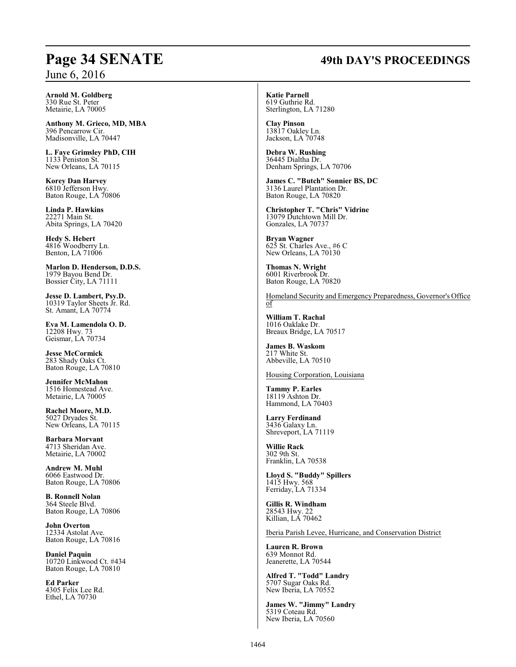# **Page 34 SENATE 49th DAY'S PROCEEDINGS**

**Arnold M. Goldberg** 330 Rue St. Peter Metairie, LA 70005

**Anthony M. Grieco, MD, MBA** 396 Pencarrow Cir. Madisonville, LA 70447

**L. Faye Grimsley PhD, CIH** 1133 Peniston St. New Orleans, LA 70115

**Korey Dan Harvey** 6810 Jefferson Hwy. Baton Rouge, LA 70806

**Linda P. Hawkins** 22271 Main St. Abita Springs, LA 70420

**Hedy S. Hebert** 4816 Woodberry Ln. Benton, LA 71006

**Marlon D. Henderson, D.D.S.** 1979 Bayou Bend Dr. Bossier City, LA 71111

**Jesse D. Lambert, Psy.D.** 10319 Taylor Sheets Jr. Rd. St. Amant, LA 70774

**Eva M. Lamendola O. D.** 12208 Hwy. 73 Geismar, LA 70734

**Jesse McCormick** 283 Shady Oaks Ct. Baton Rouge, LA 70810

**Jennifer McMahon** 1516 Homestead Ave. Metairie, LA 70005

**Rachel Moore, M.D.** 5027 Dryades St. New Orleans, LA 70115

**Barbara Morvant** 4713 Sheridan Ave. Metairie, LA 70002

**Andrew M. Muhl** 6066 Eastwood Dr. Baton Rouge, LA 70806

**B. Ronnell Nolan** 364 Steele Blvd. Baton Rouge, LA 70806

**John Overton** 12334 Astolat Ave. Baton Rouge, LA 70816

**Daniel Paquin** 10720 Linkwood Ct. #434 Baton Rouge, LA 70810

**Ed Parker** 4305 Felix Lee Rd. Ethel, LA 70730

**Katie Parnell** 619 Guthrie Rd.

Sterlington, LA 71280

**Clay Pinson** 13817 Oakley Ln. Jackson, LA 70748

**Debra W. Rushing** 36445 Dialtha Dr. Denham Springs, LA 70706

**James C. "Butch" Sonnier BS, DC** 3136 Laurel Plantation Dr. Baton Rouge, LA 70820

**Christopher T. "Chris" Vidrine** 13079 Dutchtown Mill Dr. Gonzales, LA 70737

**Bryan Wagner** 625 St. Charles Ave., #6 C New Orleans, LA 70130

**Thomas N. Wright** 6001 Riverbrook Dr. Baton Rouge, LA 70820

Homeland Security and Emergency Preparedness, Governor's Office of

**William T. Rachal** 1016 Oaklake Dr. Breaux Bridge, LA 70517

**James B. Waskom** 217 White St. Abbeville, LA 70510

Housing Corporation, Louisiana

**Tammy P. Earles** 18119 Ashton Dr. Hammond, LA 70403

**Larry Ferdinand** 3436 Galaxy Ln. Shreveport, LA 71119

**Willie Rack** 302 9th St. Franklin, LA 70538

**Lloyd S. "Buddy" Spillers** 1415 Hwy. 568 Ferriday, LA 71334

**Gillis R. Windham** 28543 Hwy. 22 Killian, LA 70462

Iberia Parish Levee, Hurricane, and Conservation District

**Lauren R. Brown** 639 Monnot Rd. Jeanerette, LA 70544

**Alfred T. "Todd" Landry** 5707 Sugar Oaks Rd. New Iberia, LA 70552

**James W. "Jimmy" Landry** 5319 Coteau Rd. New Iberia, LA 70560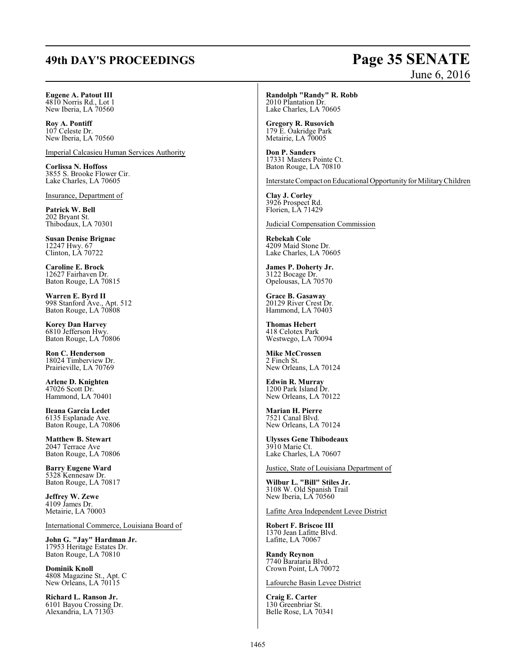# **49th DAY'S PROCEEDINGS Page 35 SENATE**

# June 6, 2016

# **Eugene A. Patout III**

4810 Norris Rd., Lot 1 New Iberia, LA 70560

**Roy A. Pontiff** 107 Celeste Dr. New Iberia, LA 70560

Imperial Calcasieu Human Services Authority

**Corlissa N. Hoffoss** 3855 S. Brooke Flower Cir. Lake Charles, LA 70605

Insurance, Department of

**Patrick W. Bell** 202 Bryant St. Thibodaux, LA 70301

**Susan Denise Brignac** 12247 Hwy. 67 Clinton, LA 70722

**Caroline E. Brock** 12627 Fairhaven Dr. Baton Rouge, LA 70815

**Warren E. Byrd II** 998 Stanford Ave., Apt. 512 Baton Rouge, LA 70808

**Korey Dan Harvey** 6810 Jefferson Hwy. Baton Rouge, LA 70806

**Ron C. Henderson** 18024 Timberview Dr. Prairieville, LA 70769

**Arlene D. Knighten** 47026 Scott Dr. Hammond, LA 70401

**Ileana Garcia Ledet** 6135 Esplanade Ave. Baton Rouge, LA 70806

**Matthew B. Stewart** 2047 Terrace Ave Baton Rouge, LA 70806

**Barry Eugene Ward** 5328 Kennesaw Dr. Baton Rouge, LA 70817

**Jeffrey W. Zewe** 4109 James Dr. Metairie, LA 70003

International Commerce, Louisiana Board of

**John G. "Jay" Hardman Jr.** 17953 Heritage Estates Dr. Baton Rouge, LA 70810

**Dominik Knoll** 4808 Magazine St., Apt. C New Orleans, LA 70115

**Richard L. Ranson Jr.** 6101 Bayou Crossing Dr. Alexandria, LA 71303

**Randolph "Randy" R. Robb** 2010 Plantation Dr. Lake Charles, LA 70605

**Gregory R. Rusovich** 179 E. Oakridge Park Metairie, LA 70005

**Don P. Sanders** 17331 Masters Pointe Ct. Baton Rouge, LA 70810

Interstate Compact onEducational Opportunity for MilitaryChildren

**Clay J. Corley** 3926 Prospect Rd. Florien, LA 71429

Judicial Compensation Commission

**Rebekah Cole** 4209 Maid Stone Dr. Lake Charles, LA 70605

**James P. Doherty Jr.** 3122 Bocage Dr. Opelousas, LA 70570

**Grace B. Gasaway** 20129 River Crest Dr. Hammond, LA 70403

**Thomas Hebert** 418 Celotex Park Westwego, LA 70094

**Mike McCrossen** 2 Finch St. New Orleans, LA 70124

**Edwin R. Murray** 1200 Park Island Dr. New Orleans, LA 70122

**Marian H. Pierre** 7521 Canal Blvd. New Orleans, LA 70124

**Ulysses Gene Thibodeaux** 3910 Marie Ct. Lake Charles, LA 70607

Justice, State of Louisiana Department of

**Wilbur L. "Bill" Stiles Jr.** 3108 W. Old Spanish Trail New Iberia, LA 70560

Lafitte Area Independent Levee District

**Robert F. Briscoe III** 1370 Jean Lafitte Blvd. Lafitte, LA 70067

**Randy Reynon** 7740 Barataria Blvd. Crown Point, LA 70072

Lafourche Basin Levee District

**Craig E. Carter** 130 Greenbriar St. Belle Rose, LA 70341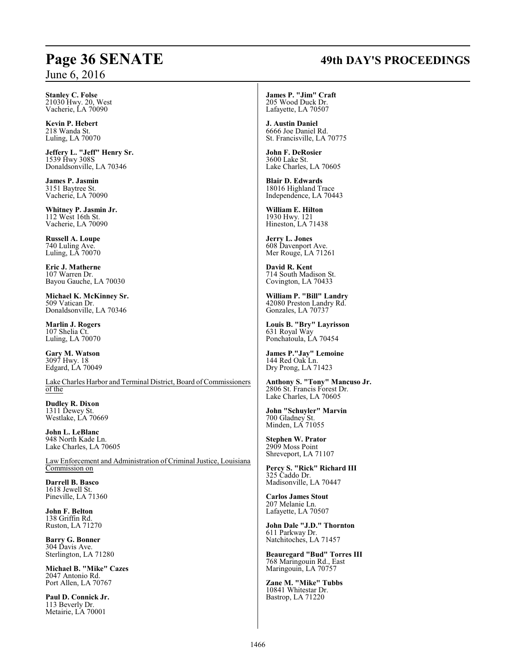# **Page 36 SENATE 49th DAY'S PROCEEDINGS**

**Stanley C. Folse** 21030 Hwy. 20, West Vacherie, LA 70090

**Kevin P. Hebert** 218 Wanda St. Luling, LA 70070

**Jeffery L. "Jeff" Henry Sr.** 1539 Hwy 308S Donaldsonville, LA 70346

**James P. Jasmin** 3151 Baytree St. Vacherie, LA 70090

**Whitney P. Jasmin Jr.** 112 West 16th St. Vacherie, LA 70090

**Russell A. Loupe** 740 Luling Ave. Luling, LA 70070

**Eric J. Matherne** 107 Warren Dr. Bayou Gauche, LA 70030

**Michael K. McKinney Sr.** 509 Vatican Dr. Donaldsonville, LA 70346

**Marlin J. Rogers** 107 Shelia Ct. Luling, LA 70070

**Gary M. Watson** 3097 Hwy. 18 Edgard, LA 70049

Lake Charles Harbor and Terminal District, Board of Commissioners of the

**Dudley R. Dixon** 1311 Dewey St. Westlake, LA 70669

**John L. LeBlanc** 948 North Kade Ln. Lake Charles, LA 70605

Law Enforcement and Administration of Criminal Justice, Louisiana Commission on

**Darrell B. Basco** 1618 Jewell St. Pineville, LA 71360

**John F. Belton** 138 Griffin Rd. Ruston, LA 71270

**Barry G. Bonner** 304 Davis Ave. Sterlington, LA 71280

**Michael B. "Mike" Cazes** 2047 Antonio Rd. Port Allen, LA 70767

**Paul D. Connick Jr.** 113 Beverly Dr. Metairie, LA 70001

**James P. "Jim" Craft** 205 Wood Duck Dr. Lafayette, LA 70507

**J. Austin Daniel** 6666 Joe Daniel Rd. St. Francisville, LA 70775

**John F. DeRosier** 3600 Lake St. Lake Charles, LA 70605

**Blair D. Edwards** 18016 Highland Trace Independence, LA 70443

**William E. Hilton** 1930 Hwy. 121 Hineston, LA 71438

**Jerry L. Jones** 608 Davenport Ave. Mer Rouge, LA 71261

**David R. Kent** 714 South Madison St. Covington, LA 70433

**William P. "Bill" Landry** 42080 Preston Landry Rd. Gonzales, LA 70737

**Louis B. "Bry" Layrisson** 631 Royal Way Ponchatoula, LA 70454

**James P."Jay" Lemoine** 144 Red Oak Ln. Dry Prong, LA 71423

**Anthony S. "Tony" Mancuso Jr.** 2806 St. Francis Forest Dr. Lake Charles, LA 70605

**John "Schuyler" Marvin** 700 Gladney St. Minden, LA 71055

**Stephen W. Prator** 2909 Moss Point Shreveport, LA 71107

**Percy S. "Rick" Richard III** 325 Caddo Dr. Madisonville, LA 70447

**Carlos James Stout** 207 Melanie Ln. Lafayette, LA 70507

**John Dale "J.D." Thornton** 611 Parkway Dr. Natchitoches, LA 71457

**Beauregard "Bud" Torres III** 768 Maringouin Rd., East Maringouin, LA 70757

**Zane M. "Mike" Tubbs** 10841 Whitestar Dr. Bastrop, LA 71220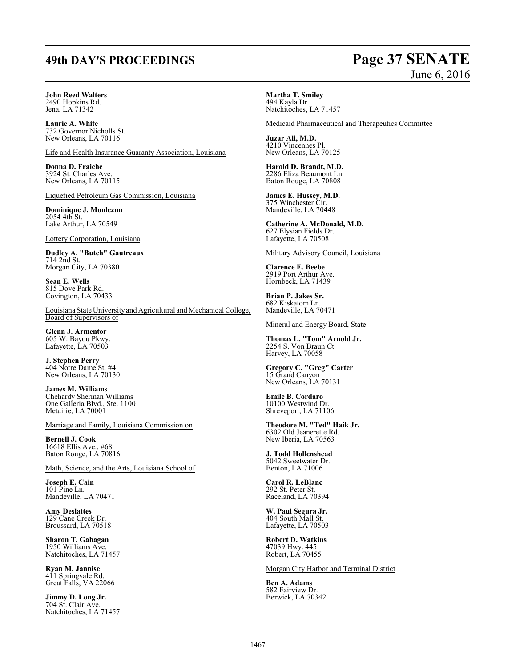# **49th DAY'S PROCEEDINGS Page 37 SENATE**

# June 6, 2016

#### **John Reed Walters** 2490 Hopkins Rd. Jena, LA 71342

**Laurie A. White** 732 Governor Nicholls St. New Orleans, LA 70116

Life and Health Insurance Guaranty Association, Louisiana

**Donna D. Fraiche** 3924 St. Charles Ave. New Orleans, LA 70115

Liquefied Petroleum Gas Commission, Louisiana

**Dominique J. Monlezun** 2054 4th St. Lake Arthur, LA 70549

Lottery Corporation, Louisiana

**Dudley A. "Butch" Gautreaux** 714 2nd St. Morgan City, LA 70380

**Sean E. Wells** 815 Dove Park Rd. Covington, LA 70433

Louisiana State University and Agricultural and Mechanical College, Board of Supervisors of

**Glenn J. Armentor** 605 W. Bayou Pkwy. Lafayette, LA 70503

**J. Stephen Perry** 404 Notre Dame St. #4 New Orleans, LA 70130

**James M. Williams** Chehardy Sherman Williams One Galleria Blvd., Ste. 1100 Metairie, LA 70001

Marriage and Family, Louisiana Commission on

**Bernell J. Cook** 16618 Ellis Ave., #68 Baton Rouge, LA 70816

Math, Science, and the Arts, Louisiana School of

**Joseph E. Cain** 101 Pine Ln. Mandeville, LA 70471

**Amy Deslattes** 129 Cane Creek Dr. Broussard, LA 70518

**Sharon T. Gahagan** 1950 Williams Ave. Natchitoches, LA 71457

**Ryan M. Jannise** 411 Springvale Rd. Great Falls, VA 22066

**Jimmy D. Long Jr.** 704 St. Clair Ave. Natchitoches, LA 71457

**Martha T. Smiley** 494 Kayla Dr. Natchitoches, LA 71457

Medicaid Pharmaceutical and Therapeutics Committee

**Juzar Ali, M.D.** 4210 Vincennes Pl. New Orleans, LA 70125

**Harold D. Brandt, M.D.** 2286 Eliza Beaumont Ln. Baton Rouge, LA 70808

**James E. Hussey, M.D.** 375 Winchester Cir. Mandeville, LA 70448

**Catherine A. McDonald, M.D.** 627 Elysian Fields Dr. Lafayette, LA 70508

Military Advisory Council, Louisiana

**Clarence E. Beebe** 2919 Port Arthur Ave. Hornbeck, LA 71439

**Brian P. Jakes Sr.** 682 Kiskatom Ln. Mandeville, LA 70471

Mineral and Energy Board, State

**Thomas L. "Tom" Arnold Jr.** 2254 S. Von Braun Ct. Harvey, LA 70058

**Gregory C. "Greg" Carter** 15 Grand Canyon New Orleans, LA 70131

**Emile B. Cordaro** 10100 Westwind Dr. Shreveport, LA 71106

**Theodore M. "Ted" Haik Jr.** 6302 Old Jeanerette Rd. New Iberia, LA 70563

**J. Todd Hollenshead** 5042 Sweetwater Dr. Benton, LA 71006

**Carol R. LeBlanc** 292 St. Peter St. Raceland, LA 70394

**W. Paul Segura Jr.** 404 South Mall St. Lafayette, LA 70503

**Robert D. Watkins** 47039 Hwy. 445 Robert, LA 70455

Morgan City Harbor and Terminal District

**Ben A. Adams** 582 Fairview Dr. Berwick, LA 70342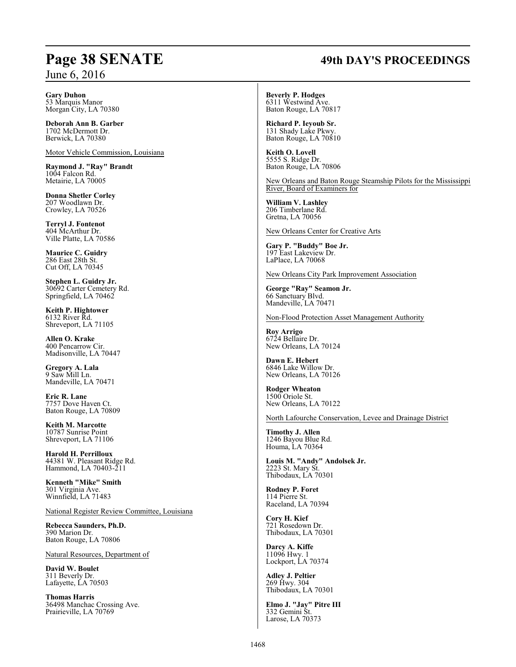# **Page 38 SENATE 49th DAY'S PROCEEDINGS**

**Gary Duhon**

53 Marquis Manor Morgan City, LA 70380

**Deborah Ann B. Garber** 1702 McDermott Dr. Berwick, LA 70380

Motor Vehicle Commission, Louisiana

**Raymond J. "Ray" Brandt** 1004 Falcon Rd. Metairie, LA 70005

**Donna Shetler Corley** 207 Woodlawn Dr. Crowley, LA 70526

**Terryl J. Fontenot** 404 McArthur Dr. Ville Platte, LA 70586

**Maurice C. Guidry** 286 East 28th St. Cut Off, LA 70345

**Stephen L. Guidry Jr.** 30692 Carter Cemetery Rd. Springfield, LA 70462

**Keith P. Hightower** 6132 River Rd. Shreveport, LA 71105

**Allen O. Krake** 400 Pencarrow Cir. Madisonville, LA 70447

**Gregory A. Lala** 9 Saw Mill Ln. Mandeville, LA 70471

**Eric R. Lane** 7757 Dove Haven Ct. Baton Rouge, LA 70809

**Keith M. Marcotte** 10787 Sunrise Point Shreveport, LA 71106

**Harold H. Perrilloux** 44381 W. Pleasant Ridge Rd. Hammond, LA 70403-211

**Kenneth "Mike" Smith** 301 Virginia Ave. Winnfield, LA 71483

National Register Review Committee, Louisiana

**Rebecca Saunders, Ph.D.** 390 Marion Dr. Baton Rouge, LA 70806

Natural Resources, Department of

**David W. Boulet** 311 Beverly Dr. Lafayette, LA 70503

**Thomas Harris** 36498 Manchac Crossing Ave. Prairieville, LA 70769

**Beverly P. Hodges** 6311 Westwind Ave. Baton Rouge, LA 70817

**Richard P. Ieyoub Sr.** 131 Shady Lake Pkwy. Baton Rouge, LA 70810

**Keith O. Lovell** 5555 S. Ridge Dr. Baton Rouge, LA 70806

New Orleans and Baton Rouge Steamship Pilots for the Mississippi River, Board of Examiners for

**William V. Lashley** 206 Timberlane Rd. Gretna, LA 70056

New Orleans Center for Creative Arts

**Gary P. "Buddy" Boe Jr.** 197 East Lakeview Dr. LaPlace, LA 70068

New Orleans City Park Improvement Association

**George "Ray" Seamon Jr.** 66 Sanctuary Blvd. Mandeville, LA 70471

Non-Flood Protection Asset Management Authority

**Roy Arrigo** 6724 Bellaire Dr. New Orleans, LA 70124

**Dawn E. Hebert** 6846 Lake Willow Dr. New Orleans, LA 70126

**Rodger Wheaton** 1500 Oriole St. New Orleans, LA 70122

North Lafourche Conservation, Levee and Drainage District

**Timothy J. Allen** 1246 Bayou Blue Rd. Houma, LA 70364

**Louis M. "Andy" Andolsek Jr.** 2223 St. Mary St. Thibodaux, LA 70301

**Rodney P. Foret** 114 Pierre St. Raceland, LA 70394

**Cory H. Kief** 721 Rosedown Dr. Thibodaux, LA 70301

**Darcy A. Kiffe** 11096 Hwy. 1 Lockport, LA 70374

**Adley J. Peltier** 269 Hwy. 304 Thibodaux, LA 70301

**Elmo J. "Jay" Pitre III** 332 Gemini St. Larose, LA 70373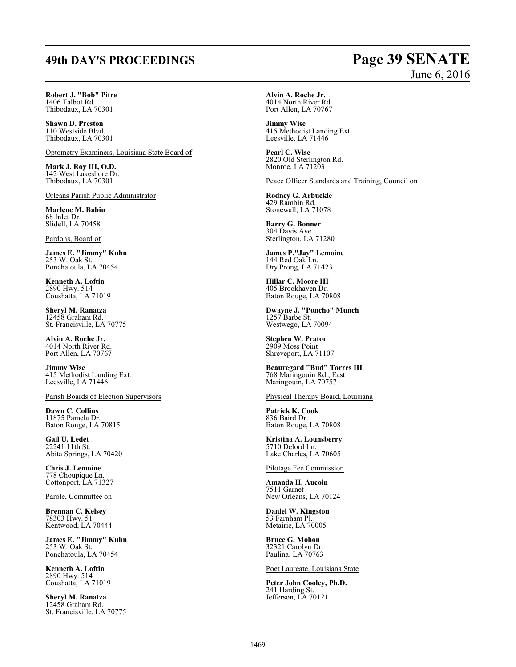# **49th DAY'S PROCEEDINGS Page 39 SENATE**

# June 6, 2016

**Robert J. "Bob" Pitre** 1406 Talbot Rd. Thibodaux, LA 70301

**Shawn D. Preston** 110 Westside Blvd. Thibodaux, LA 70301

Optometry Examiners, Louisiana State Board of

**Mark J. Roy III, O.D.** 142 West Lakeshore Dr. Thibodaux, LA 70301

Orleans Parish Public Administrator

**Marlene M. Babin** 68 Inlet Dr. Slidell, LA 70458

Pardons, Board of

**James E. "Jimmy" Kuhn** 253 W. Oak St. Ponchatoula, LA 70454

**Kenneth A. Loftin** 2890 Hwy. 514 Coushatta, LA 71019

**Sheryl M. Ranatza** 12458 Graham Rd. St. Francisville, LA 70775

**Alvin A. Roche Jr.** 4014 North River Rd. Port Allen, LA 70767

**Jimmy Wise** 415 Methodist Landing Ext. Leesville, LA 71446

Parish Boards of Election Supervisors

**Dawn C. Collins** 11875 Pamela Dr. Baton Rouge, LA 70815

**Gail U. Ledet** 22241 11th St. Abita Springs, LA 70420

**Chris J. Lemoine** 778 Choupique Ln. Cottonport, LA 71327

Parole, Committee on

**Brennan C. Kelsey** 78303 Hwy. 51 Kentwood, LA 70444

**James E. "Jimmy" Kuhn** 253 W. Oak St. Ponchatoula, LA 70454

**Kenneth A. Loftin** 2890 Hwy. 514 Coushatta, LA 71019

**Sheryl M. Ranatza** 12458 Graham Rd. St. Francisville, LA 70775 **Alvin A. Roche Jr.** 4014 North River Rd. Port Allen, LA 70767

**Jimmy Wise** 415 Methodist Landing Ext. Leesville, LA 71446

**Pearl C. Wise** 2820 Old Sterlington Rd. Monroe, LA 71203

Peace Officer Standards and Training, Council on

**Rodney G. Arbuckle** 429 Rambin Rd. Stonewall, LA 71078

**Barry G. Bonner** 304 Davis Ave. Sterlington, LA 71280

**James P."Jay" Lemoine** 144 Red Oak Ln. Dry Prong, LA 71423

**Hillar C. Moore III** 405 Brookhaven Dr. Baton Rouge, LA 70808

**Dwayne J. "Poncho" Munch** 1257 Barbe St. Westwego, LA 70094

**Stephen W. Prator** 2909 Moss Point Shreveport, LA 71107

**Beauregard "Bud" Torres III** 768 Maringouin Rd., East Maringouin, LA 70757

Physical Therapy Board, Louisiana

**Patrick K. Cook** 836 Baird Dr. Baton Rouge, LA 70808

**Kristina A. Lounsberry** 5710 Delord Ln. Lake Charles, LA 70605

Pilotage Fee Commission

**Amanda H. Aucoin** 7511 Garnet New Orleans, LA 70124

**Daniel W. Kingston** 53 Farnham Pl. Metairie, LA 70005

**Bruce G. Mohon** 32321 Carolyn Dr. Paulina, LA 70763

Poet Laureate, Louisiana State

**Peter John Cooley, Ph.D.** 241 Harding St. Jefferson, LA 70121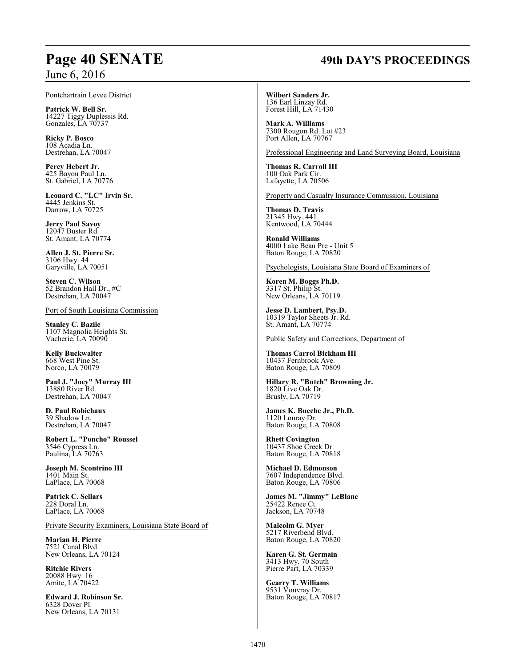#### Pontchartrain Levee District

**Patrick W. Bell Sr.** 14227 Tiggy Duplessis Rd. Gonzales, LA 70737

**Ricky P. Bosco** 108 Acadia Ln. Destrehan, LA 70047

**Percy Hebert Jr.** 425 Bayou Paul Ln. St. Gabriel, LA 70776

**Leonard C. "LC" Irvin Sr.** 4445 Jenkins St. Darrow, LA 70725

**Jerry Paul Savoy** 12047 Buster Rd. St. Amant, LA 70774

**Allen J. St. Pierre Sr.** 3106 Hwy. 44 Garyville, LA 70051

**Steven C. Wilson** 52 Brandon Hall Dr., #C Destrehan, LA 70047

Port of South Louisiana Commission

**Stanley C. Bazile** 1107 Magnolia Heights St. Vacherie, LA 70090

**Kelly Buckwalter** 668 West Pine St. Norco, LA 70079

**Paul J. "Joey" Murray III** 13880 River Rd. Destrehan, LA 70047

**D. Paul Robichaux** 39 Shadow Ln. Destrehan, LA 70047

**Robert L. "Poncho" Roussel** 3546 Cypress Ln. Paulina, LA 70763

**Joseph M. Scontrino III** 1401 Main St. LaPlace, LA 70068

**Patrick C. Sellars** 228 Doral Ln. LaPlace, LA 70068

Private Security Examiners, Louisiana State Board of

**Marian H. Pierre** 7521 Canal Blvd. New Orleans, LA 70124

**Ritchie Rivers** 20088 Hwy. 16 Amite, LA 70422

**Edward J. Robinson Sr.** 6328 Dover Pl. New Orleans, LA 70131

**Wilbert Sanders Jr.** 136 Earl Linzay Rd. Forest Hill, LA 71430

**Mark A. Williams** 7300 Rougon Rd. Lot #23 Port Allen, LA 70767

Professional Engineering and Land Surveying Board, Louisiana

**Thomas R. Carroll III** 100 Oak Park Cir. Lafayette, LA 70506

Property and Casualty Insurance Commission, Louisiana

**Thomas D. Travis** 21345 Hwy. 441 Kentwood, LA 70444

**Ronald Williams** 4000 Lake Beau Pre - Unit 5 Baton Rouge, LA 70820

Psychologists, Louisiana State Board of Examiners of

**Koren M. Boggs Ph.D.** 3317 St. Philip St. New Orleans, LA 70119

**Jesse D. Lambert, Psy.D.** 10319 Taylor Sheets Jr. Rd. St. Amant, LA 70774

Public Safety and Corrections, Department of

**Thomas Carrol Bickham III** 10437 Fernbrook Ave. Baton Rouge, LA 70809

**Hillary R. "Butch" Browning Jr.** 1820 Live Oak Dr. Brusly, LA 70719

**James K. Bueche Jr., Ph.D.** 1120 Louray Dr. Baton Rouge, LA 70808

**Rhett Covington** 10437 Shoe Creek Dr. Baton Rouge, LA 70818

**Michael D. Edmonson** 7607 Independence Blvd. Baton Rouge, LA 70806

**James M. "Jimmy" LeBlanc** 25422 Renee Ct. Jackson, LA 70748

**Malcolm G. Myer** 5217 Riverbend Blvd. Baton Rouge, LA 70820

**Karen G. St. Germain** 3413 Hwy. 70 South Pierre Part, LA 70339

**Gearry T. Williams** 9531 Vouvray Dr. Baton Rouge, LA 70817

## 1470

# **Page 40 SENATE 49th DAY'S PROCEEDINGS**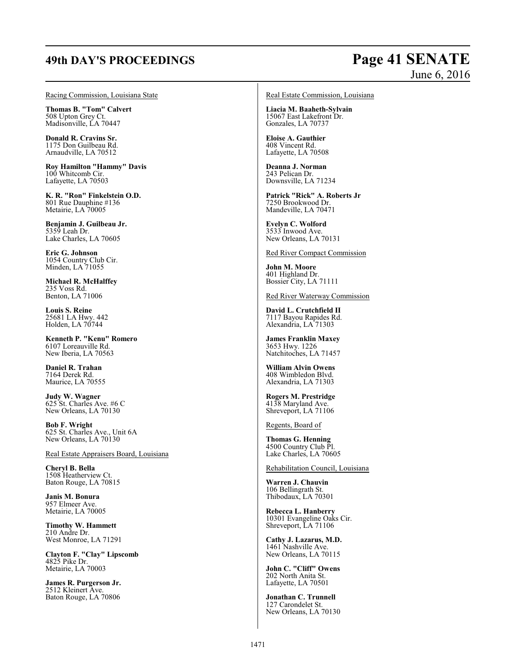# **49th DAY'S PROCEEDINGS Page 41 SENATE** June 6, 2016

#### Racing Commission, Louisiana State

**Thomas B. "Tom" Calvert** 508 Upton Grey Ct. Madisonville, LA 70447

**Donald R. Cravins Sr.** 1175 Don Guilbeau Rd. Arnaudville, LA 70512

**Roy Hamilton "Hammy" Davis** 100 Whitcomb Cir. Lafayette, LA 70503

**K. R. "Ron" Finkelstein O.D.** 801 Rue Dauphine #136 Metairie, LA 70005

**Benjamin J. Guilbeau Jr.** 5359 Leah Dr. Lake Charles, LA 70605

**Eric G. Johnson** 1054 Country Club Cir. Minden, LA 71055

**Michael R. McHalffey** 235 Voss Rd. Benton, LA 71006

**Louis S. Reine** 25681 LA Hwy. 442 Holden, LA 70744

**Kenneth P. "Kenu" Romero** 6107 Loreauville Rd. New Iberia, LA 70563

**Daniel R. Trahan** 7164 Derek Rd. Maurice, LA 70555

**Judy W. Wagner** 625 St. Charles Ave. #6 C New Orleans, LA 70130

**Bob F. Wright** 625 St. Charles Ave., Unit 6A New Orleans, LA 70130

Real Estate Appraisers Board, Louisiana

**Cheryl B. Bella** 1508 Heatherview Ct. Baton Rouge, LA 70815

**Janis M. Bonura** 957 Elmeer Ave. Metairie, LA 70005

**Timothy W. Hammett** 210 Andre Dr. West Monroe, LA 71291

**Clayton F. "Clay" Lipscomb** 4825 Pike Dr. Metairie, LA 70003

**James R. Purgerson Jr.** 2512 Kleinert Ave. Baton Rouge, LA 70806

#### Real Estate Commission, Louisiana

**Liacia M. Baaheth-Sylvain** 15067 East Lakefront Dr. Gonzales, LA 70737

**Eloise A. Gauthier** 408 Vincent Rd. Lafayette, LA 70508

**Deanna J. Norman** 243 Pelican Dr. Downsville, LA 71234

**Patrick "Rick" A. Roberts Jr** 7250 Brookwood Dr. Mandeville, LA 70471

**Evelyn C. Wolford** 3533 Inwood Ave. New Orleans, LA 70131

Red River Compact Commission

**John M. Moore** 401 Highland Dr. Bossier City, LA 71111

Red River Waterway Commission

**David L. Crutchfield II** 7117 Bayou Rapides Rd. Alexandria, LA 71303

**James Franklin Maxey** 3653 Hwy. 1226 Natchitoches, LA 71457

**William Alvin Owens** 408 Wimbledon Blvd. Alexandria, LA 71303

**Rogers M. Prestridge** 4138 Maryland Ave. Shreveport, LA 71106

Regents, Board of

**Thomas G. Henning** 4500 Country Club Pl. Lake Charles, LA 70605

Rehabilitation Council, Louisiana

**Warren J. Chauvin** 106 Bellingrath St. Thibodaux, LA 70301

**Rebecca L. Hanberry** 10301 Evangeline Oaks Cir. Shreveport, LA 71106

**Cathy J. Lazarus, M.D.** 1461 Nashville Ave. New Orleans, LA 70115

**John C. "Cliff" Owens** 202 North Anita St. Lafayette, LA 70501

**Jonathan C. Trunnell** 127 Carondelet St. New Orleans, LA 70130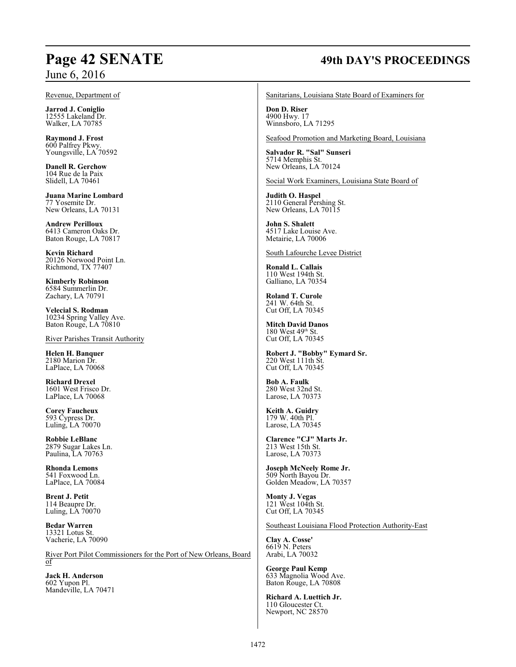#### Revenue, Department of

**Jarrod J. Coniglio** 12555 Lakeland Dr. Walker, LA 70785

**Raymond J. Frost** 600 Palfrey Pkwy. Youngsville, LA 70592

**Danell R. Gerchow** 104 Rue de la Paix Slidell, LA 70461

**Juana Marine Lombard** 77 Yosemite Dr. New Orleans, LA 70131

**Andrew Perilloux** 6413 Cameron Oaks Dr. Baton Rouge, LA 70817

**Kevin Richard** 20126 Norwood Point Ln. Richmond, TX 77407

**Kimberly Robinson** 6584 Summerlin Dr. Zachary, LA 70791

**Velecial S. Rodman** 10234 Spring Valley Ave. Baton Rouge, LA 70810

River Parishes Transit Authority

**Helen H. Banquer** 2180 Marion Dr. LaPlace, LA 70068

**Richard Drexel** 1601 West Frisco Dr. LaPlace, LA 70068

**Corey Faucheux** 593 Cypress Dr. Luling, LA 70070

**Robbie LeBlanc** 2879 Sugar Lakes Ln. Paulina, LA 70763

**Rhonda Lemons** 541 Foxwood Ln. LaPlace, LA 70084

**Brent J. Petit** 114 Beaupre Dr. Luling, LA 70070

**Bedar Warren** 13321 Lotus St. Vacherie, LA 70090

River Port Pilot Commissioners for the Port of New Orleans, Board of

**Jack H. Anderson** 602 Yupon Pl. Mandeville, LA 70471

# **Page 42 SENATE 49th DAY'S PROCEEDINGS**

Sanitarians, Louisiana State Board of Examiners for

**Don D. Riser** 4900 Hwy. 17 Winnsboro, LA 71295

Seafood Promotion and Marketing Board, Louisiana

**Salvador R. "Sal" Sunseri** 5714 Memphis St. New Orleans, LA 70124

Social Work Examiners, Louisiana State Board of

**Judith O. Haspel** 2110 General Pershing St. New Orleans, LA 70115

**John S. Shalett** 4517 Lake Louise Ave. Metairie, LA 70006

South Lafourche Levee District

**Ronald L. Callais** 110 West 194th St. Galliano, LA 70354

**Roland T. Curole** 241 W. 64th St. Cut Off, LA 70345

**Mitch David Danos** 180 West 49<sup>th</sup> St. Cut Off, LA 70345

**Robert J. "Bobby" Eymard Sr.** 220 West 111th St. Cut Off, LA 70345

**Bob A. Faulk** 280 West 32nd St. Larose, LA 70373

**Keith A. Guidry** 179 W. 40th Pl. Larose, LA 70345

**Clarence "CJ" Marts Jr.** 213 West 15th St. Larose, LA 70373

**Joseph McNeely Rome Jr.** 509 North Bayou Dr. Golden Meadow, LA 70357

**Monty J. Vegas** 121 West 104th St. Cut Off, LA 70345

Southeast Louisiana Flood Protection Authority-East

**Clay A. Cosse'** 6619 N. Peters Arabi, LA 70032

**George Paul Kemp** 633 Magnolia Wood Ave. Baton Rouge, LA 70808

**Richard A. Luettich Jr.** 110 Gloucester Ct. Newport, NC 28570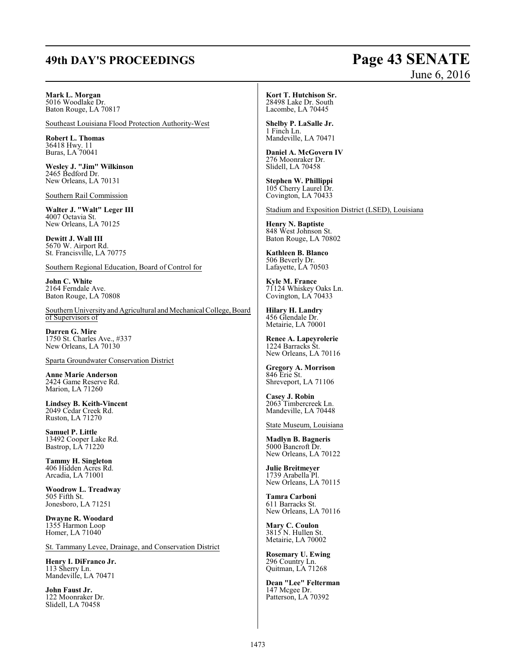# **49th DAY'S PROCEEDINGS Page 43 SENATE**

# June 6, 2016

**Mark L. Morgan** 5016 Woodlake Dr.

Baton Rouge, LA 70817

Southeast Louisiana Flood Protection Authority-West

**Robert L. Thomas** 36418 Hwy. 11 Buras, LA 70041

**Wesley J. "Jim" Wilkinson** 2465 Bedford Dr. New Orleans, LA 70131

Southern Rail Commission

**Walter J. "Walt" Leger III** 4007 Octavia St. New Orleans, LA 70125

**Dewitt J. Wall III** 5670 W. Airport Rd. St. Francisville, LA 70775

Southern Regional Education, Board of Control for

**John C. White** 2164 Ferndale Ave. Baton Rouge, LA 70808

Southern University and Agricultural and Mechanical College, Board of Supervisors of

**Darren G. Mire** 1750 St. Charles Ave., #337 New Orleans, LA 70130

Sparta Groundwater Conservation District

**Anne Marie Anderson** 2424 Game Reserve Rd. Marion, LA 71260

**Lindsey B. Keith-Vincent** 2049 Cedar Creek Rd. Ruston, LA 71270

**Samuel P. Little** 13492 Cooper Lake Rd. Bastrop, LA 71220

**Tammy H. Singleton** 406 Hidden Acres Rd. Arcadia, LA 71001

**Woodrow L. Treadway** 505 Fifth St. Jonesboro, LA 71251

**Dwayne R. Woodard** 1355 Harmon Loop Homer, LA 71040

St. Tammany Levee, Drainage, and Conservation District

**Henry I. DiFranco Jr.** 113 Sherry Ln. Mandeville, LA 70471

**John Faust Jr.** 122 Moonraker Dr. Slidell, LA 70458

**Kort T. Hutchison Sr.** 28498 Lake Dr. South Lacombe, LA 70445

**Shelby P. LaSalle Jr.** 1 Finch Ln. Mandeville, LA 70471

**Daniel A. McGovern IV** 276 Moonraker Dr. Slidell, LA 70458

**Stephen W. Phillippi** 105 Cherry Laurel Dr. Covington, LA 70433

Stadium and Exposition District (LSED), Louisiana

**Henry N. Baptiste** 848 West Johnson St. Baton Rouge, LA 70802

**Kathleen B. Blanco** 506 Beverly Dr. Lafayette, LA 70503

**Kyle M. France** 71124 Whiskey Oaks Ln. Covington, LA 70433

**Hilary H. Landry** 456 Glendale Dr. Metairie, LA 70001

**Renee A. Lapeyrolerie** 1224 Barracks St. New Orleans, LA 70116

**Gregory A. Morrison** 846 Erie St. Shreveport, LA 71106

**Casey J. Robin** 2063 Timbercreek Ln. Mandeville, LA 70448

State Museum, Louisiana

**Madlyn B. Bagneris** 5000 Bancroft Dr. New Orleans, LA 70122

**Julie Breitmeyer** 1739 Arabella Pl. New Orleans, LA 70115

**Tamra Carboni** 611 Barracks St. New Orleans, LA 70116

**Mary C. Coulon** 3815 N. Hullen St. Metairie, LA 70002

**Rosemary U. Ewing** 296 Country Ln. Quitman, LA 71268

**Dean "Lee" Felterman** 147 Mcgee Dr. Patterson, LA 70392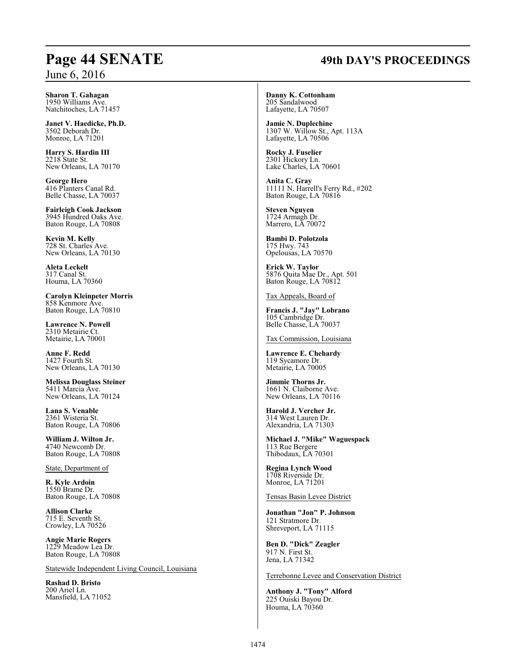# **Page 44 SENATE 49th DAY'S PROCEEDINGS**

**Sharon T. Gahagan** 1950 Williams Ave. Natchitoches, LA 71457

**Janet V. Haedicke, Ph.D.** 3502 Deborah Dr. Monroe, LA 71201

**Harry S. Hardin III** 2218 State St. New Orleans, LA 70170

**George Hero** 416 Planters Canal Rd. Belle Chasse, LA 70037

**Fairleigh Cook Jackson** 3945 Hundred Oaks Ave. Baton Rouge, LA 70808

**Kevin M. Kelly** 728 St. Charles Ave. New Orleans, LA 70130

**Aleta Leckelt** 317 Canal St. Houma, LA 70360

**Carolyn Kleinpeter Morris** 858 Kenmore Ave. Baton Rouge, LA 70810

**Lawrence N. Powell** 2310 Metairie Ct. Metairie, LA 70001

**Anne F. Redd** 1427 Fourth St. New Orleans, LA 70130

**Melissa Douglass Steiner** 5411 Marcia Ave. New Orleans, LA 70124

**Lana S. Venable** 2361 Wisteria St. Baton Rouge, LA 70806

**William J. Wilton Jr.** 4740 Newcomb Dr. Baton Rouge, LA 70808

State, Department of

**R. Kyle Ardoin** 1550 Brame Dr. Baton Rouge, LA 70808

**Allison Clarke** 715 E. Seventh St. Crowley, LA 70526

**Angie Marie Rogers** 1229 Meadow Lea Dr. Baton Rouge, LA 70808

Statewide Independent Living Council, Louisiana

**Rashad D. Bristo** 200 Ariel Ln. Mansfield, LA 71052 **Danny K. Cottonham** 205 Sandalwood Lafayette, LA 70507

**Jamie N. Duplechine** 1307 W. Willow St., Apt. 113A Lafayette, LA 70506

**Rocky J. Fuselier** 2301 Hickory Ln. Lake Charles, LA 70601

**Anita C. Gray** 11111 N. Harrell's Ferry Rd., #202 Baton Rouge, LA 70816

**Steven Nguyen** 1724 Armagh Dr. Marrero, LA 70072

**Bambi D. Polotzola** 175 Hwy. 743 Opelousas, LA 70570

**Erick W. Taylor** 5876 Quita Mae Dr., Apt. 501 Baton Rouge, LA 70812

Tax Appeals, Board of

**Francis J. "Jay" Lobrano** 105 Cambridge Dr. Belle Chasse, LA 70037

Tax Commission, Louisiana

**Lawrence E. Chehardy** 119 Sycamore Dr. Metairie, LA 70005

**Jimmie Thorns Jr.** 1661 N. Claiborne Ave. New Orleans, LA 70116

**Harold J. Vercher Jr.** 314 West Lauren Dr. Alexandria, LA 71303

**Michael J. "Mike" Waguespack** 113 Rue Bergere Thibodaux, LA 70301

**Regina Lynch Wood** 1708 Riverside Dr. Monroe, LA 71201

Tensas Basin Levee District

**Jonathan "Jon" P. Johnson** 121 Stratmore Dr. Shreveport, LA 71115

**Ben D. "Dick" Zeagler** 917 N. First St. Jena, LA 71342

Terrebonne Levee and Conservation District

**Anthony J. "Tony" Alford** 225 Ouiski Bayou Dr. Houma, LA 70360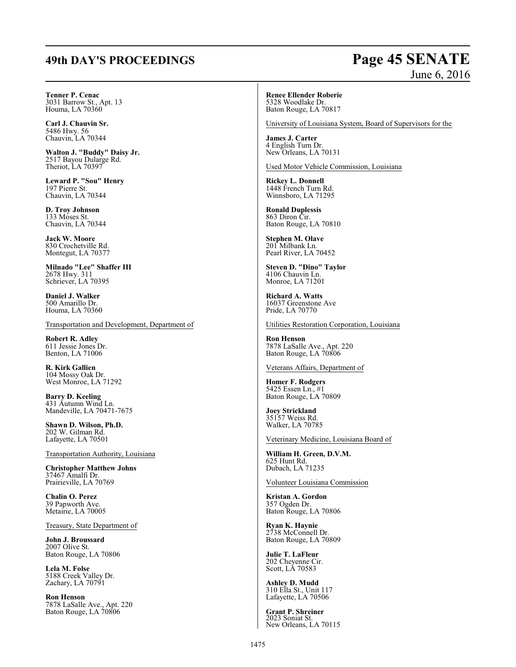# **49th DAY'S PROCEEDINGS Page 45 SENATE**

# June 6, 2016

**Tenner P. Cenac** 3031 Barrow St., Apt. 13 Houma, LA 70360

**Carl J. Chauvin Sr.** 5486 Hwy. 56 Chauvin, LA 70344

**Walton J. "Buddy" Daisy Jr.** 2517 Bayou Dularge Rd. Theriot, LA 70397

**Leward P. "Sou" Henry** 197 Pierre St. Chauvin, LA 70344

**D. Troy Johnson** 133 Moses St. Chauvin, LA 70344

**Jack W. Moore** 830 Crochetville Rd. Montegut, LA 70377

**Milnado "Lee" Shaffer III** 2678 Hwy. 311 Schriever, LA 70395

**Daniel J. Walker** 500 Amarillo Dr. Houma, LA 70360

Transportation and Development, Department of

**Robert R. Adley** 611 Jessie Jones Dr. Benton, LA 71006

**R. Kirk Gallien** 104 Mossy Oak Dr. West Monroe, LA 71292

**Barry D. Keeling** 431 Autumn Wind Ln. Mandeville, LA 70471-7675

**Shawn D. Wilson, Ph.D.** 202 W. Gilman Rd. Lafayette, LA 70501

Transportation Authority, Louisiana

**Christopher Matthew Johns** 37467 Amalfi Dr. Prairieville, LA 70769

**Chalin O. Perez** 39 Papworth Ave. Metairie, LA 70005

Treasury, State Department of

**John J. Broussard** 2007 Olive St. Baton Rouge, LA 70806

**Lela M. Folse** 5188 Creek Valley Dr. Zachary, LA 70791

**Ron Henson** 7878 LaSalle Ave., Apt. 220 Baton Rouge, LA 70806

**Renee Ellender Roberie** 5328 Woodlake Dr. Baton Rouge, LA 70817

University of Louisiana System, Board of Supervisors for the

**James J. Carter** 4 English Turn Dr. New Orleans, LA 70131

Used Motor Vehicle Commission, Louisiana

**Rickey L. Donnell** 1448 French Turn Rd. Winnsboro, LA 71295

**Ronald Duplessis** 863 Diron Cir. Baton Rouge, LA 70810

**Stephen M. Olave** 201 Milbank Ln. Pearl River, LA 70452

**Steven D. "Dino" Taylor** 4106 Chauvin Ln. Monroe, LA 71201

**Richard A. Watts** 16037 Greenstone Ave Pride, LA 70770

Utilities Restoration Corporation, Louisiana

**Ron Henson** 7878 LaSalle Ave., Apt. 220 Baton Rouge, LA 70806

Veterans Affairs, Department of

**Homer F. Rodgers** 5425 Essen Ln., #1 Baton Rouge, LA 70809

**Joey Strickland** 35157 Weiss Rd. Walker, LA 70785

Veterinary Medicine, Louisiana Board of

**William H. Green, D.V.M.** 625 Hunt Rd. Dubach, LA 71235

Volunteer Louisiana Commission

**Kristan A. Gordon** 357 Ogden Dr. Baton Rouge, LA 70806

**Ryan K. Haynie** 2738 McConnell Dr. Baton Rouge, LA 70809

**Julie T. LaFleur** 202 Cheyenne Cir. Scott, LA 70583

**Ashley D. Mudd** 310 Ella St., Unit 117 Lafayette, LA 70506

**Grant P. Shreiner** 2023 Soniat St. New Orleans, LA 70115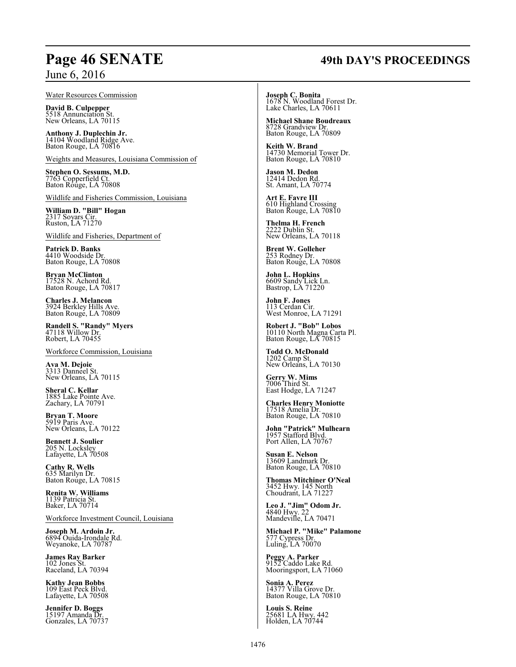# **Page 46 SENATE 49th DAY'S PROCEEDINGS**

# June 6, 2016

#### Water Resources Commission

**David B. Culpepper** 5518 Annunciation St. New Orleans, LA 70115

**Anthony J. Duplechin Jr.** 14104 Woodland Ridge Ave. Baton Rouge, LA 70816

Weights and Measures, Louisiana Commission of

**Stephen O. Sessums, M.D.** 7763 Copperfield Ct. Baton Rouge, LA 70808

Wildlife and Fisheries Commission, Louisiana

**William D. "Bill" Hogan** 2317 Soyars Cir. Ruston, LA 71270

Wildlife and Fisheries, Department of

**Patrick D. Banks** 4410 Woodside Dr. Baton Rouge, LA 70808

**Bryan McClinton** 17528 N. Achord Rd. Baton Rouge, LA 70817

**Charles J. Melancon** 3924 Berkley Hills Ave. Baton Rouge, LA 70809

**Randell S. "Randy" Myers** 47118 Willow Dr. Robert, LA 70455

Workforce Commission, Louisiana

**Ava M. Dejoie** 3313 Danneel St. New Orleans, LA 70115

**Sheral C. Kellar** 1885 Lake Pointe Ave. Zachary, LA 70791

**Bryan T. Moore** 5919 Paris Ave. New Orleans, LA 70122

**Bennett J. Soulier** 205 N. Locksley Lafayette, LA 70508

**Cathy R. Wells** 635 Marilyn Dr. Baton Rouge, LA 70815

**Renita W. Williams** 1139 Patricia St. Baker, LA 70714

Workforce Investment Council, Louisiana

**Joseph M. Ardoin Jr.** 6894 Ouida-Irondale Rd. Weyanoke, LA 70787

**James Ray Barker** 102 Jones St. Raceland, LA 70394

**Kathy Jean Bobbs** 109 East Peck Blvd. Lafayette, LA 70508

**Jennifer D. Boggs** 15197 Amanda Dr. Gonzales, LA 70737 **Joseph C. Bonita** 1678 N. Woodland Forest Dr. Lake Charles, LA 70611

**Michael Shane Boudreaux** 8728 Grandview Dr. Baton Rouge, LA 70809

**Keith W. Brand** 14730 Memorial Tower Dr. Baton Rouge, LA 70810

**Jason M. Dedon** 12414 Dedon Rd. St. Amant, LA 70774

**Art E. Favre III** 610 Highland Crossing Baton Rouge, LA 70810

**Thelma H. French** 2222 Dublin St. New Orleans, LA 70118

**Brent W. Golleher** 253 Rodney Dr. Baton Rouge, LA 70808

**John L. Hopkins** 6609 Sandy Lick Ln. Bastrop, LA 71220

**John F. Jones** 113 Cerdan Cir. West Monroe, LA 71291

**Robert J. "Bob" Lobos** 10110 North Magna Carta Pl. Baton Rouge, LA 70815

**Todd O. McDonald** 1202 Camp St. New Orleans, LA 70130

**Gerry W. Mims** 7006 Third St. East Hodge, LA 71247

**Charles Henry Moniotte** 17518 Amelia Dr. Baton Rouge, LA 70810

**John "Patrick" Mulhearn** 1957 Stafford Blvd. Port Allen, LA 70767

**Susan E. Nelson** 13609 Landmark Dr. Baton Rouge, LA 70810

**Thomas Mitchiner O'Neal** 3452 Hwy. 145 North Choudrant, LA 71227

**Leo J. "Jim" Odom Jr.**<br>4840 Hwy. 22<br>Mandeville, LA 70471

**Michael P. "Mike" Palamone** 577 Cypress Dr. Luling, LA 70070

**Peggy A. Parker** 9152 Caddo Lake Rd. Mooringsport, LA 71060

**Sonia A. Perez** 14377 Villa Grove Dr. Baton Rouge, LA 70810

**Louis S. Reine** 25681 LA Hwy. 442 Holden, LA 70744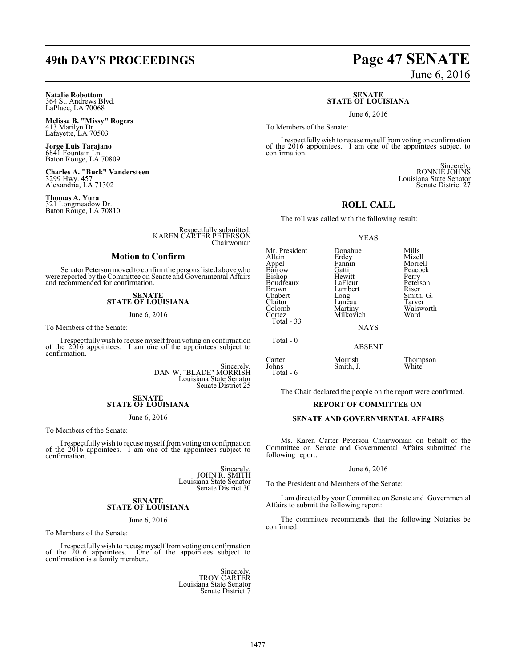# **Natalie Robottom** 364 St. Andrews Blvd. LaPlace, LA 70068

**Melissa B. "Missy" Rogers** 413 Marilyn Dr. Lafayette, LA 70503

**Jorge Luis Tarajano** 6841 Fountain Ln. Baton Rouge, LA 70809

**Charles A. "Buck" Vandersteen** 3299 Hwy. 457 Alexandria, LA 71302

**Thomas A. Yura** 321 Longmeadow Dr. Baton Rouge, LA 70810

> Respectfully submitted, KAREN CARTER PETERSON Chairwoman

# **Motion to Confirm**

Senator Peterson moved to confirm the persons listed above who were reported by the Committee on Senate and Governmental Affairs and recommended for confirmation.

# **SENATE STATE OF LOUISIANA**

June 6, 2016

To Members of the Senate:

I respectfullywish to recuse myselffromvoting on confirmation of the 2016 appointees. I am one of the appointees subject to confirmation.

> Sincerely, DAN W. "BLADE" MORRISH Louisiana State Senator Senate District 25

# **SENATE STATE OF LOUISIANA**

June 6, 2016

To Members of the Senate:

I respectfullywish to recuse myselffromvoting on confirmation of the 2016 appointees. I am one of the appointees subject to confirmation.

> Sincerely, JOHN R. SMITH Louisiana State Senator Senate District 30

# **SENATE STATE OF LOUISIANA**

June 6, 2016

To Members of the Senate:

I respectfully wish to recuse myself from voting on confirmation of the 2016 appointees. One of the appointees subject to confirmation is a family member..

Sincerely, TROY CARTER Louisiana State Senator Senate District 7

# **49th DAY'S PROCEEDINGS Page 47 SENATE**

June 6, 2016

#### **SENATE STATE OF LOUISIANA**

June 6, 2016

To Members of the Senate:

I respectfullywish to recuse myselffromvoting on confirmation of the 2016 appointees. I am one of the appointees subject to confirmation.

> Sincerely, RONNIE JOHNS Louisiana State Senator Senate District 27

# **ROLL CALL**

The roll was called with the following result:

#### YEAS

Mr. President Donahue Mills<br>Allain Erdey Mizell Barrow Gatti Peacock Bishop Filewitt Perry<br>Boudreaux LaFleur Peterson Boudreaux LaFleur Peters<br>Brown Lambert Riser Brown Lambert<br>Chabert Long Chabert Long Smith, G.<br>Claitor Long Smith, G.<br>Claitor Luneau Tarver Claitor Luneau<br>Colomb Martiny

Total - 33

Total - 0

Erdey<br>Fannin Milkovich

Fannin Morrell<br>
Gatti Peacock Colomb Martiny Walsworth

**NAYS** 

ABSENT

Carter Morrish Thompson<br>
Johns Smith, J. White Smith, J. Total - 6

The Chair declared the people on the report were confirmed.

#### **REPORT OF COMMITTEE ON**

#### **SENATE AND GOVERNMENTAL AFFAIRS**

Ms. Karen Carter Peterson Chairwoman on behalf of the Committee on Senate and Governmental Affairs submitted the following report:

#### June 6, 2016

To the President and Members of the Senate:

I am directed by your Committee on Senate and Governmental Affairs to submit the following report:

The committee recommends that the following Notaries be confirmed: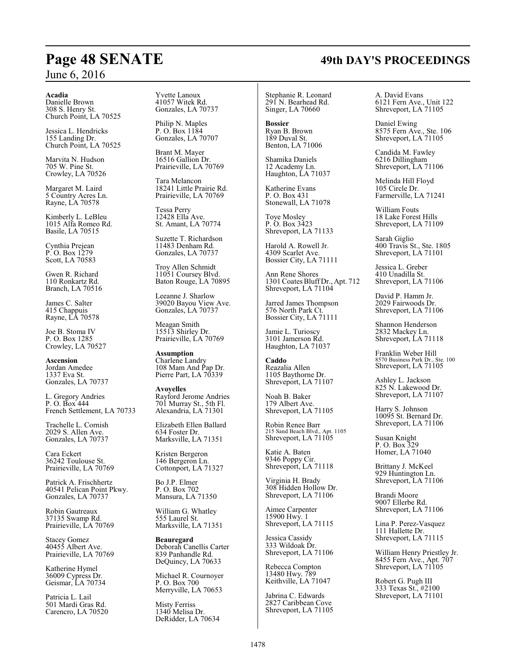#### **Acadia**

Danielle Brown 308 S. Henry St. Church Point, LA 70525

Jessica L. Hendricks 155 Landing Dr. Church Point, LA 70525

Marvita N. Hudson 705 W. Pine St. Crowley, LA 70526

Margaret M. Laird 5 Country Acres Ln. Rayne, LA 70578

Kimberly L. LeBleu 1015 Alfa Romeo Rd. Basile, LA 70515

Cynthia Prejean P. O. Box 1279 Scott, LA 70583

Gwen R. Richard 110 Ronkartz Rd. Branch, LA 70516

James C. Salter 415 Chappuis Rayne, LA 70578

Joe B. Stoma IV P. O. Box 1285 Crowley, LA 70527

**Ascension** Jordan Amedee 1337 Eva St. Gonzales, LA 70737

L. Gregory Andries P. O. Box 444 French Settlement, LA 70733

Trachelle L. Cornish 2029 S. Allen Ave. Gonzales, LA 70737

Cara Eckert 36242 Toulouse St. Prairieville, LA 70769

Patrick A. Frischhertz 40541 Pelican Point Pkwy. Gonzales, LA 70737

Robin Gautreaux 37135 Swamp Rd. Prairieville, LA 70769

Stacey Gomez 40455 Albert Ave. Prairieville, LA 70769

Katherine Hymel 36009 Cypress Dr. Geismar, LA 70734

Patricia L. Lail 501 Mardi Gras Rd. Carencro, LA 70520 Yvette Lanoux 41057 Witek Rd. Gonzales, LA 70737

Philip N. Maples P. O. Box 1184 Gonzales, LA 70707

Brant M. Mayer 16516 Gallion Dr. Prairieville, LA 70769

Tara Melancon 18241 Little Prairie Rd. Prairieville, LA 70769

Tessa Perry 12428 Ella Ave. St. Amant, LA 70774

Suzette T. Richardson 11483 Denham Rd. Gonzales, LA 70737

Troy Allen Schmidt 11051 Coursey Blvd. Baton Rouge, LA 70895

Leeanne J. Sharlow 39020 Bayou View Ave. Gonzales, LA 70737

Meagan Smith 15513 Shirley Dr. Prairieville, LA 70769

**Assumption** Charlene Landry 108 Mam And Pap Dr. Pierre Part, LA 70339

**Avoyelles** Rayford Jerome Andries 701 Murray St., 5th Fl. Alexandria, LA 71301

Elizabeth Ellen Ballard 634 Foster Dr. Marksville, LA 71351

Kristen Bergeron 146 Bergeron Ln. Cottonport, LA 71327

Bo J.P. Elmer P. O. Box 702 Mansura, LA 71350

William G. Whatley 555 Laurel St. Marksville, LA 71351

**Beauregard** Deborah Canellis Carter 839 Panhandle Rd. DeQuincy, LA 70633

Michael R. Cournoyer P. O. Box 700 Merryville, LA 70653

Misty Ferriss 1340 Melisa Dr. DeRidder, LA 70634

Stephanie R. Leonard 291 N. Bearhead Rd. Singer, LA 70660

**Bossier** Ryan B. Brown 189 Duval St. Benton, LA 71006

Shamika Daniels 12 Academy Ln.

Haughton, LA 71037 Katherine Evans P. O. Box 431

Stonewall, LA 71078 Toye Mosley P. O. Box 3423 Shreveport, LA 71133

Harold A. Rowell Jr. 4309 Scarlet Ave. Bossier City, LA 71111

Ann Rene Shores 1301 Coates Bluff Dr., Apt. 712 Shreveport, LA 71104

Jarred James Thompson 576 North Park Ct. Bossier City, LA 71111

Jamie L. Turioscy 3101 Jamerson Rd. Haughton, LA 71037

**Caddo** Reazalia Allen 1105 Baythorne Dr. Shreveport, LA 71107

Noah B. Baker 179 Albert Ave. Shreveport, LA 71105

Robin Renee Barr 215 Sand Beach Blvd., Apt. 1105 Shreveport, LA 71105

Katie A. Baten 9346 Poppy Cir. Shreveport, LA 71118

Virginia H. Brady 308 Hidden Hollow Dr. Shreveport, LA 71106

Aimee Carpenter 15900 Hwy. 1 Shreveport, LA 71115

Jessica Cassidy 333 Wildoak Dr. Shreveport, LA 71106

Rebecca Compton 13480 Hwy. 789 Keithville, LA 71047

Jabrina C. Edwards 2827 Caribbean Cove Shreveport, LA 71105 A. David Evans 6121 Fern Ave., Unit 122 Shreveport, LA 71105

Daniel Ewing 8575 Fern Ave., Ste. 106 Shreveport, LA 71105

Candida M. Fawley 6216 Dillingham Shreveport, LA 71106

Melinda Hill Floyd 105 Circle Dr. Farmerville, LA 71241

William Fouts 18 Lake Forest Hills Shreveport, LA 71109

Sarah Giglio 400 Travis St., Ste. 1805 Shreveport, LA 71101

Jessica L. Greber 410 Unadilla St. Shreveport, LA 71106

David P. Hamm Jr. 2029 Fairwoods Dr. Shreveport, LA 71106

Shannon Henderson 2832 Mackey Ln. Shreveport, LA 71118

Franklin Weber Hill 8570 Business Park Dr., Ste. 100 Shreveport, LA 71105

Ashley L. Jackson 825 N. Lakewood Dr. Shreveport, LA 71107

Harry S. Johnson 10095 St. Bernard Dr. Shreveport, LA 71106

Susan Knight P. O. Box 329 Homer, LA 71040

Brittany J. McKeel 929 Huntington Ln. Shreveport, LA 71106

Brandi Moore 9007 Ellerbe Rd. Shreveport, LA 71106

Lina P. Perez-Vasquez 111 Hallette Dr. Shreveport, LA 71115

William Henry Priestley Jr. 8455 Fern Ave., Apt. 707 Shreveport, LA 71105

Robert G. Pugh III 333 Texas St., #2100 Shreveport, LA 71101

# **Page 48 SENATE 49th DAY'S PROCEEDINGS**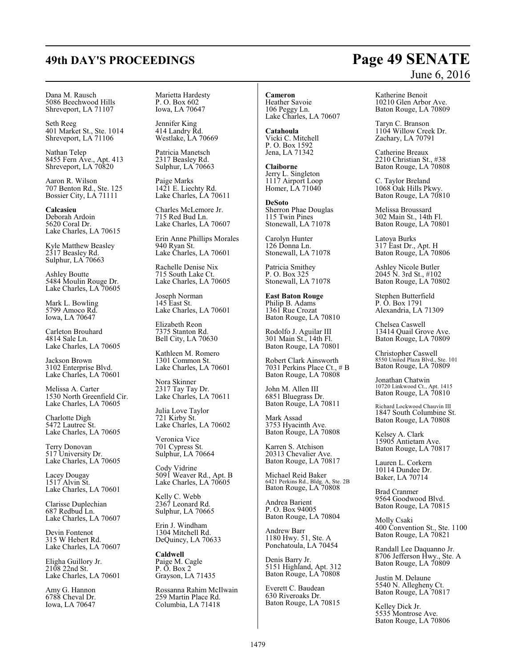Dana M. Rausch 5086 Beechwood Hills Shreveport, LA 71107

Seth Reeg 401 Market St., Ste. 1014 Shreveport, LA 71106

Nathan Telep 8455 Fern Ave., Apt. 413 Shreveport, LA 70820

Aaron R. Wilson 707 Benton Rd., Ste. 125 Bossier City, LA 71111

**Calcasieu** Deborah Ardoin 5620 Coral Dr. Lake Charles, LA 70615

Kyle Matthew Beasley 2317 Beasley Rd. Sulphur, LA 70663

Ashley Boutte 5484 Moulin Rouge Dr. Lake Charles, LA 70605

Mark L. Bowling 5799 Amoco Rd. Iowa, LA 70647

Carleton Brouhard 4814 Sale Ln. Lake Charles, LA 70605

Jackson Brown 3102 Enterprise Blvd. Lake Charles, LA 70601

Melissa A. Carter 1530 North Greenfield Cir. Lake Charles, LA 70605

Charlotte Digh 5472 Lautrec St. Lake Charles, LA 70605

Terry Donovan 517 University Dr. Lake Charles, LA 70605

Lacey Dougay 1517 Alvin St. Lake Charles, LA 70601

Clarisse Duplechian 687 Redbud Ln. Lake Charles, LA 70607

Devin Fontenot 315 W Hebert Rd. Lake Charles, LA 70607

Eligha Guillory Jr. 2108 22nd St. Lake Charles, LA 70601

Amy G. Hannon 6788 Cheval Dr. Iowa, LA 70647

Marietta Hardesty P. O. Box 602 Iowa, LA 70647

Jennifer King 414 Landry Rd. Westlake, LA 70669

Patricia Manetsch 2317 Beasley Rd. Sulphur, LA 70663

Paige Marks 1421 E. Liechty Rd. Lake Charles, LA 70611

Charles McLemore Jr. 715 Red Bud Ln. Lake Charles, LA 70607

Erin Anne Phillips Morales 940 Ryan St. Lake Charles, LA 70601

Rachelle Denise Nix 715 South Lake Ct. Lake Charles, LA 70605

Joseph Norman 145 East St. Lake Charles, LA 70601

Elizabeth Reon 7375 Stanton Rd. Bell City, LA 70630

Kathleen M. Romero 1301 Common St. Lake Charles, LA 70601

Nora Skinner 2317 Tay Tay Dr. Lake Charles, LA 70611

Julia Love Taylor 721 Kirby St. Lake Charles, LA 70602

Veronica Vice 701 Cypress St. Sulphur, LA 70664

Cody Vidrine 5091 Weaver Rd., Apt. B Lake Charles, LA 70605

Kelly C. Webb 2367 Leonard Rd. Sulphur, LA 70665

Erin J. Windham 1304 Mitchell Rd. DeQuincy, LA 70633

**Caldwell** Paige M. Cagle P. O. Box 2 Grayson, LA 71435

Rossanna Rahim McIlwain 259 Martin Place Rd. Columbia, LA 71418

**Cameron** Heather Savoie 106 Peggy Ln. Lake Charles, LA 70607

**Catahoula** Vicki C. Mitchell P. O. Box 1592 Jena, LA 71342

**Claiborne** Jerry L. Singleton 1117 Airport Loop Homer, LA 71040

**DeSoto** Sherron Phae Douglas 115 Twin Pines Stonewall, LA 71078

Carolyn Hunter 126 Donna Ln. Stonewall, LA 71078

Patricia Smithey P. O. Box 325 Stonewall, LA 71078

**East Baton Rouge** Philip B. Adams 1361 Rue Crozat Baton Rouge, LA 70810

Rodolfo J. Aguilar III 301 Main St., 14th Fl. Baton Rouge, LA 70801

Robert Clark Ainsworth 7031 Perkins Place Ct., # B Baton Rouge, LA 70808

John M. Allen III 6851 Bluegrass Dr. Baton Rouge, LA 70811

Mark Assad 3753 Hyacinth Ave. Baton Rouge, LA 70808

Karren S. Atchison 20313 Chevalier Ave. Baton Rouge, LA 70817

Michael Reid Baker 6421 Perkins Rd., Bldg. A, Ste. 2B Baton Rouge, LA 70808

Andrea Barient P. O. Box 94005 Baton Rouge, LA 70804

Andrew Barr 1180 Hwy. 51, Ste. A Ponchatoula, LA 70454

Denis Barry Jr. 5151 Highland, Apt. 312 Baton Rouge, LA 70808

Everett C. Baudean 630 Riveroaks Dr. Baton Rouge, LA 70815

# June 6, 2016

Katherine Benoit 10210 Glen Arbor Ave. Baton Rouge, LA 70809

Taryn C. Branson 1104 Willow Creek Dr. Zachary, LA 70791

Catherine Breaux 2210 Christian St., #38 Baton Rouge, LA 70808

C. Taylor Breland 1068 Oak Hills Pkwy. Baton Rouge, LA 70810

Melissa Broussard 302 Main St., 14th Fl. Baton Rouge, LA 70801

Latoya Burks 317 East Dr., Apt. H Baton Rouge, LA 70806

Ashley Nicole Butler 2045 N. 3rd St., #102 Baton Rouge, LA 70802

Stephen Butterfield P. O. Box 1791 Alexandria, LA 71309

Chelsea Caswell 13414 Quail Grove Ave. Baton Rouge, LA 70809

Christopher Caswell 8550 United Plaza Blvd., Ste. 101 Baton Rouge, LA 70809

Jonathan Chatwin 10720 Linkwood Ct., Apt. 1415 Baton Rouge, LA 70810

Richard Lockwood Chauvin III 1847 South Columbine St. Baton Rouge, LA 70808

Kelsey A. Clark 15905 Antietam Ave. Baton Rouge, LA 70817

Lauren L. Corkern 10114 Dundee Dr. Baker, LA 70714

Brad Cranmer 9564 Goodwood Blvd. Baton Rouge, LA 70815

Molly Csaki 400 Convention St., Ste. 1100 Baton Rouge, LA 70821

Randall Lee Daquanno Jr. 8706 Jefferson Hwy., Ste. A Baton Rouge, LA 70809

Justin M. Delaune 5540 N. Allegheny Ct. Baton Rouge, LA 70817

Kelley Dick Jr. 5535 Montrose Ave. Baton Rouge, LA 70806

# **49th DAY'S PROCEEDINGS Page 49 SENATE**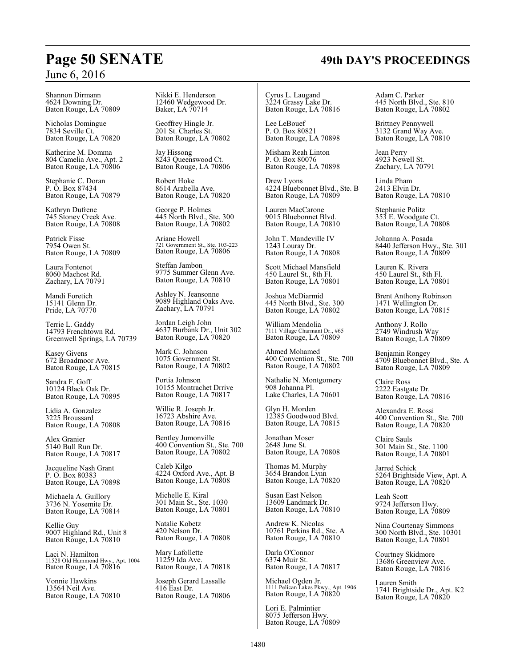Shannon Dirmann 4624 Downing Dr. Baton Rouge, LA 70809

Nicholas Domingue 7834 Seville Ct. Baton Rouge, LA 70820

Katherine M. Domma 804 Camelia Ave., Apt. 2 Baton Rouge, LA 70806

Stephanie C. Doran P. O. Box 87434 Baton Rouge, LA 70879

Kathryn Dufrene 745 Stoney Creek Ave. Baton Rouge, LA 70808

Patrick Fisse 7954 Owen St. Baton Rouge, LA 70809

Laura Fontenot 8060 Machost Rd. Zachary, LA 70791

Mandi Foretich 15141 Glenn Dr. Pride, LA 70770

Terrie L. Gaddy 14793 Frenchtown Rd. Greenwell Springs, LA 70739

Kasey Givens 672 Broadmoor Ave. Baton Rouge, LA 70815

Sandra F. Goff 10124 Black Oak Dr. Baton Rouge, LA 70895

Lidia A. Gonzalez 3225 Broussard Baton Rouge, LA 70808

Alex Granier 5140 Bull Run Dr. Baton Rouge, LA 70817

Jacqueline Nash Grant P. O. Box 80383 Baton Rouge, LA 70898

Michaela A. Guillory 3736 N. Yosemite Dr. Baton Rouge, LA 70814

Kellie Guy 9007 Highland Rd., Unit 8 Baton Rouge, LA 70810

Laci N. Hamilton 11528 Old Hammond Hwy., Apt. 1004 Baton Rouge, LA 70816

Vonnie Hawkins 13564 Neil Ave. Baton Rouge, LA 70810 Nikki E. Henderson 12460 Wedgewood Dr. Baker, LA 70714

Geoffrey Hingle Jr. 201 St. Charles St. Baton Rouge, LA 70802

Jay Hissong 8243 Queenswood Ct. Baton Rouge, LA 70806

Robert Hoke 8614 Arabella Ave. Baton Rouge, LA 70820

George P. Holmes 445 North Blvd., Ste. 300 Baton Rouge, LA 70802

Ariane Howell 721 Government St., Ste. 103-223 Baton Rouge, LA 70806

Steffan Jambon 9775 Summer Glenn Ave. Baton Rouge, LA 70810

Ashley N. Jeansonne 9089 Highland Oaks Ave. Zachary, LA 70791

Jordan Leigh John 4637 Burbank Dr., Unit 302 Baton Rouge, LA 70820

Mark C. Johnson 1075 Government St. Baton Rouge, LA 70802

Portia Johnson 10155 Montrachet Drrive Baton Rouge, LA 70817

Willie R. Joseph Jr. 16723 Abshire Ave. Baton Rouge, LA 70816

Bentley Jumonville 400 Convention St., Ste. 700 Baton Rouge, LA 70802

Caleb Kilgo 4224 Oxford Ave., Apt. B Baton Rouge, LA 70808

Michelle E. Kiral 301 Main St., Ste. 1030 Baton Rouge, LA 70801

Natalie Kobetz 420 Nelson Dr. Baton Rouge, LA 70808

Mary Lafollette 11259 Ida Ave. Baton Rouge, LA 70818

Joseph Gerard Lassalle 416 East Dr. Baton Rouge, LA 70806

Cyrus L. Laugand 3224 Grassy Lake Dr. Baton Rouge, LA 70816

Lee LeBouef P. O. Box 80821 Baton Rouge, LA 70898

Misham Reah Linton P. O. Box 80076 Baton Rouge, LA 70898

Drew Lyons 4224 Bluebonnet Blvd., Ste. B Baton Rouge, LA 70809

Lauren MacCarone 9015 Bluebonnet Blvd. Baton Rouge, LA 70810

John T. Mandeville IV 1243 Louray Dr. Baton Rouge, LA 70808

Scott Michael Mansfield 450 Laurel St., 8th Fl. Baton Rouge, LA 70801

Joshua McDiarmid 445 North Blvd., Ste. 300 Baton Rouge, LA 70802

William Mendolia 7111 Village Charmant Dr., #65 Baton Rouge, LA 70809

Ahmed Mohamed 400 Convention St., Ste. 700 Baton Rouge, LA 70802

Nathalie N. Montgomery 908 Johanna Pl. Lake Charles, LA 70601

Glyn H. Morden 12385 Goodwood Blvd. Baton Rouge, LA 70815

Jonathan Moser 2648 June St. Baton Rouge, LA 70808

Thomas M. Murphy 3654 Brandon Lynn Baton Rouge, LA 70820

Susan East Nelson 13609 Landmark Dr. Baton Rouge, LA 70810

Andrew K. Nicolas 10761 Perkins Rd., Ste. A Baton Rouge, LA 70810

Darla O'Connor 6374 Muir St. Baton Rouge, LA 70817

Michael Ogden Jr. 1111 Pelican Lakes Pkwy., Apt. 1906 Baton Rouge, LA 70820

Lori E. Palmintier 8075 Jefferson Hwy. Baton Rouge, LA 70809 Adam C. Parker 445 North Blvd., Ste. 810 Baton Rouge, LA 70802

Brittney Pennywell 3132 Grand Way Ave. Baton Rouge, LA 70810

Jean Perry 4923 Newell St. Zachary, LA 70791

Linda Pham 2413 Elvin Dr. Baton Rouge, LA 70810

Stephanie Politz 353 E. Woodgate Ct. Baton Rouge, LA 70808

Johanna A. Posada 8440 Jefferson Hwy., Ste. 301 Baton Rouge, LA 70809

Lauren K. Rivera 450 Laurel St., 8th Fl. Baton Rouge, LA 70801

Brent Anthony Robinson 1471 Wellington Dr. Baton Rouge, LA 70815

Anthony J. Rollo 2749 Windrush Way Baton Rouge, LA 70809

Benjamin Rongey 4709 Bluebonnet Blvd., Ste. A Baton Rouge, LA 70809

Claire Ross 2222 Eastgate Dr. Baton Rouge, LA 70816

Alexandra E. Rossi 400 Convention St., Ste. 700 Baton Rouge, LA 70820

Claire Sauls 301 Main St., Ste. 1100 Baton Rouge, LA 70801

Jarred Schick 5264 Brightside View, Apt. A Baton Rouge, LA 70820

Leah Scott 9724 Jefferson Hwy. Baton Rouge, LA 70809

Nina Courtenay Simmons 300 North Blvd., Ste. 10301 Baton Rouge, LA 70801

Courtney Skidmore 13686 Greenview Ave. Baton Rouge, LA 70816

Lauren Smith 1741 Brightside Dr., Apt. K2 Baton Rouge, LA 70820

# **Page 50 SENATE 49th DAY'S PROCEEDINGS**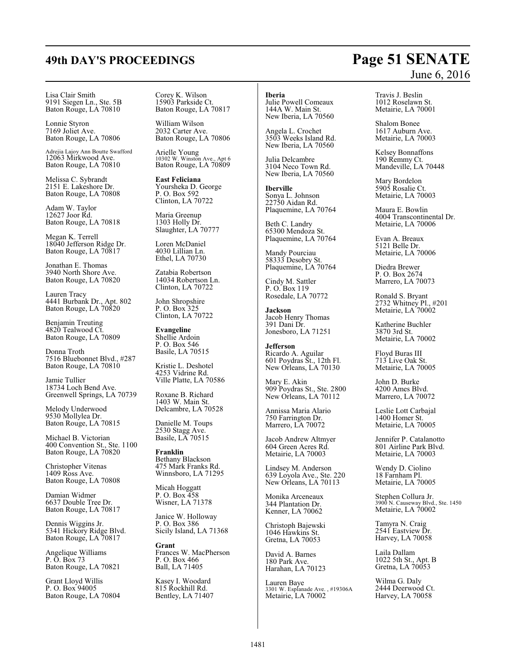Lisa Clair Smith 9191 Siegen Ln., Ste. 5B Baton Rouge, LA 70810

Lonnie Styron 7169 Joliet Ave. Baton Rouge, LA 70806

Adrejia Lajoy Ann Boutte Swafford 12063 Mirkwood Ave. Baton Rouge, LA 70810

Melissa C. Sybrandt 2151 E. Lakeshore Dr. Baton Rouge, LA 70808

Adam W. Taylor 12627 Joor Rd. Baton Rouge, LA 70818

Megan K. Terrell 18040 Jefferson Ridge Dr. Baton Rouge, LA 70817

Jonathan E. Thomas 3940 North Shore Ave. Baton Rouge, LA 70820

Lauren Tracy 4441 Burbank Dr., Apt. 802 Baton Rouge, LA 70820

Benjamin Treuting 4820 Tealwood Ct. Baton Rouge, LA 70809

Donna Troth 7516 Bluebonnet Blvd., #287 Baton Rouge, LA 70810

Jamie Tullier 18734 Loch Bend Ave. Greenwell Springs, LA 70739

Melody Underwood 9530 Mollylea Dr. Baton Rouge, LA 70815

Michael B. Victorian 400 Convention St., Ste. 1100 Baton Rouge, LA 70820

Christopher Vitenas 1409 Ross Ave. Baton Rouge, LA 70808

Damian Widmer 6637 Double Tree Dr. Baton Rouge, LA 70817

Dennis Wiggins Jr. 5341 Hickory Ridge Blvd. Baton Rouge, LA 70817

Angelique Williams P. O. Box 73 Baton Rouge, LA 70821

Grant Lloyd Willis P. O. Box 94005 Baton Rouge, LA 70804 Corey K. Wilson 15903 Parkside Ct. Baton Rouge, LA 70817

William Wilson 2032 Carter Ave. Baton Rouge, LA 70806

Arielle Young 10302 W. Winston Ave., Apt 6 Baton Rouge, LA 70809

**East Feliciana** Yoursheka D. George P. O. Box 592 Clinton, LA 70722

Maria Greenup 1303 Holly Dr. Slaughter, LA 70777

Loren McDaniel 4030 Lillian Ln. Ethel, LA 70730

Zatabia Robertson 14034 Robertson Ln. Clinton, LA 70722

John Shropshire P. O. Box 325 Clinton, LA 70722

**Evangeline** Shellie Ardoin P. O. Box 546 Basile, LA 70515

Kristie L. Deshotel 4253 Vidrine Rd. Ville Platte, LA 70586

Roxane B. Richard 1403 W. Main St. Delcambre, LA 70528

Danielle M. Toups 2530 Stagg Ave. Basile, LA 70515

**Franklin** Bethany Blackson 475 Mark Franks Rd. Winnsboro, LA 71295

Micah Hoggatt P. O. Box 458 Wisner, LA 71378

Janice W. Holloway P. O. Box 386 Sicily Island, LA 71368

**Grant** Frances W. MacPherson P. O. Box 466 Ball, LA 71405

Kasey I. Woodard 815 Rockhill Rd. Bentley, LA 71407

# **Iberia**

Julie Powell Comeaux 144A W. Main St. New Iberia, LA 70560

Angela L. Crochet 3503 Weeks Island Rd. New Iberia, LA 70560

Julia Delcambre 3104 Neco Town Rd. New Iberia, LA 70560

**Iberville** Sonya L. Johnson 22750 Aidan Rd. Plaquemine, LA 70764

Beth C. Landry 65300 Mendoza St. Plaquemine, LA 70764

Mandy Pourciau 58333 Desobry St. Plaquemine, LA 70764

Cindy M. Sattler P. O. Box 119 Rosedale, LA 70772

**Jackson** Jacob Henry Thomas 391 Dani Dr. Jonesboro, LA 71251

**Jefferson** Ricardo A. Aguilar 601 Poydras St., 12th Fl. New Orleans, LA 70130

Mary E. Akin 909 Poydras St., Ste. 2800 New Orleans, LA 70112

Annissa Maria Alario 750 Farrington Dr. Marrero, LA 70072

Jacob Andrew Altmyer 604 Green Acres Rd. Metairie, LA 70003

Lindsey M. Anderson 639 Loyola Ave., Ste. 220 New Orleans, LA 70113

Monika Arceneaux 344 Plantation Dr. Kenner, LA 70062

Christoph Bajewski 1046 Hawkins St. Gretna, LA 70053

David A. Barnes 180 Park Ave. Harahan, LA 70123

Lauren Baye 3301 W. Esplanade Ave. , #19306A Metairie, LA 70002

# June 6, 2016

Travis J. Beslin 1012 Roselawn St. Metairie, LA 70001

Shalom Bonee 1617 Auburn Ave. Metairie, LA 70003

Kelsey Bonnaffons 190 Remmy Ct. Mandeville, LA 70448

Mary Bordelon 5905 Rosalie Ct. Metairie, LA 70003

Maura E. Bowlin 4004 Transcontinental Dr. Metairie, LA 70006

Evan A. Breaux 5121 Belle Dr. Metairie, LA 70006

Diedra Brewer P. O. Box 2674 Marrero, LA 70073

Ronald S. Bryant 2732 Whitney Pl., #201 Metairie, LA 70002

Katherine Buchler 3870 3rd St. Metairie, LA 70002

Floyd Buras III 713 Live Oak St. Metairie, LA 70005

John D. Burke 4200 Ames Blvd. Marrero, LA 70072

Leslie Lott Carbajal 1400 Homer St. Metairie, LA 70005

Jennifer P. Catalanotto 801 Airline Park Blvd. Metairie, LA 70003

Wendy D. Ciolino 18 Farnham Pl. Metairie, LA 70005

Stephen Collura Jr. 3900 N. Causeway Blvd., Ste. 1450 Metairie, LA 70002

Tamyra N. Craig 2541 Eastview Dr. Harvey, LA 70058

Laila Dallam 1022 5th St., Apt. B Gretna, LA 70053

Wilma G. Daly 2444 Deerwood Ct. Harvey, LA 70058

# **49th DAY'S PROCEEDINGS Page 51 SENATE**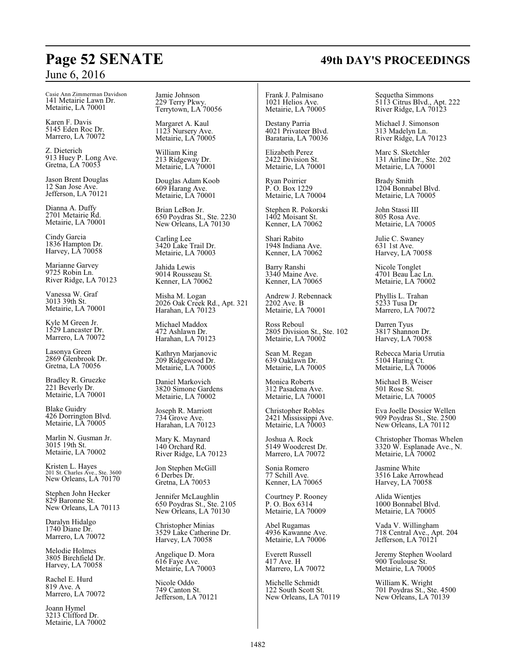Casie Ann Zimmerman Davidson 141 Metairie Lawn Dr. Metairie, LA 70001

Karen F. Davis 5145 Eden Roc Dr. Marrero, LA 70072

Z. Dieterich 913 Huey P. Long Ave. Gretna, LA 70053

Jason Brent Douglas 12 San Jose Ave. Jefferson, LA 70121

Dianna A. Duffy 2701 Metairie Rd. Metairie, LA 70001

Cindy Garcia 1836 Hampton Dr. Harvey, LA 70058

Marianne Garvey 9725 Robin Ln. River Ridge, LA 70123

Vanessa W. Graf 3013 39th St. Metairie, LA 70001

Kyle M Green Jr. 1529 Lancaster Dr. Marrero, LA 70072

Lasonya Green 2869 Glenbrook Dr. Gretna, LA 70056

Bradley R. Gruezke 221 Beverly Dr. Metairie, LA 70001

Blake Guidry 426 Dorrington Blvd. Metairie, LA 70005

Marlin N. Gusman Jr. 3015 19th St. Metairie, LA 70002

Kristen L. Hayes 201 St. Charles Ave., Ste. 3600 New Orleans, LA 70170

Stephen John Hecker 829 Baronne St. New Orleans, LA 70113

Daralyn Hidalgo 1740 Diane Dr. Marrero, LA 70072

Melodie Holmes 3805 Birchfield Dr. Harvey, LA 70058

Rachel E. Hurd 819 Ave. A Marrero, LA 70072

Joann Hymel 3213 Clifford Dr. Metairie, LA 70002 Jamie Johnson 229 Terry Pkwy. Terrytown, LA 70056

Margaret A. Kaul 1123 Nursery Ave. Metairie, LA 70005

William King 213 Ridgeway Dr. Metairie, LA 70001

Douglas Adam Koob 609 Harang Ave. Metairie, LA 70001

Brian LeBon Jr. 650 Poydras St., Ste. 2230 New Orleans, LA 70130

Carling Lee 3420 Lake Trail Dr. Metairie, LA 70003

Jahida Lewis 9014 Rousseau St. Kenner, LA 70062

Misha M. Logan 2026 Oak Creek Rd., Apt. 321 Harahan, LA 70123

Michael Maddox 472 Ashlawn Dr. Harahan, LA 70123

Kathryn Marjanovic 209 Ridgewood Dr. Metairie, LA 70005

Daniel Markovich 3820 Simone Gardens Metairie, LA 70002

Joseph R. Marriott 734 Grove Ave. Harahan, LA 70123

Mary K. Maynard 140 Orchard Rd. River Ridge, LA 70123

Jon Stephen McGill 6 Derbes Dr. Gretna, LA 70053

Jennifer McLaughlin 650 Poydras St., Ste. 2105 New Orleans, LA 70130

Christopher Minias 3529 Lake Catherine Dr. Harvey, LA 70058

Angelique D. Mora 616 Faye Ave. Metairie, LA 70003

Nicole Oddo 749 Canton St. Jefferson, LA 70121

Frank J. Palmisano 1021 Helios Ave. Metairie, LA 70005

Destany Parria 4021 Privateer Blvd. Barataria, LA 70036

Elizabeth Perez 2422 Division St. Metairie, LA 70001

Ryan Poirrier P. O. Box 1229 Metairie, LA 70004

Stephen R. Pokorski 1402 Moisant St. Kenner, LA 70062

Shari Rabito 1948 Indiana Ave. Kenner, LA 70062

Barry Ranshi 3340 Maine Ave. Kenner, LA 70065

Andrew J. Rebennack 2202 Ave. B Metairie, LA 70001

Ross Reboul 2805 Division St., Ste. 102 Metairie, LA 70002

Sean M. Regan 639 Oaklawn Dr. Metairie, LA 70005

Monica Roberts 312 Pasadena Ave. Metairie, LA 70001

Christopher Robles 2421 Mississippi Ave. Metairie, LA 70003

Joshua A. Rock 5149 Woodcrest Dr. Marrero, LA 70072

Sonia Romero 77 Schill Ave. Kenner, LA 70065

Courtney P. Rooney P. O. Box 6314 Metairie, LA 70009

Abel Rugamas 4936 Kawanne Ave. Metairie, LA 70006

Everett Russell 417 Ave. H Marrero, LA 70072

Michelle Schmidt 122 South Scott St. New Orleans, LA 70119 Sequetha Simmons 5113 Citrus Blvd., Apt. 222 River Ridge, LA 70123

Michael J. Simonson 313 Madelyn Ln. River Ridge, LA 70123

Marc S. Sketchler 131 Airline Dr., Ste. 202 Metairie, LA 70001

Brady Smith 1204 Bonnabel Blvd. Metairie, LA 70005

John Stassi III 805 Rosa Ave. Metairie, LA 70005

Julie C. Swaney 631 1st Ave. Harvey, LA 70058

Nicole Tonglet 4701 Beau Lac Ln. Metairie, LA 70002

Phyllis L. Trahan 5233 Tusa Dr Marrero, LA 70072

Darren Tyus 3817 Shannon Dr. Harvey, LA 70058

Rebecca Maria Urrutia 5104 Haring Ct. Metairie, LA 70006

Michael B. Weiser 501 Rose St. Metairie, LA 70005

Eva Joelle Dossier Wellen 909 Poydras St., Ste. 2500 New Orleans, LA 70112

Christopher Thomas Whelen 3320 W. Esplanade Ave., N. Metairie, LA 70002

Jasmine White 3516 Lake Arrowhead Harvey, LA 70058

Alida Wientjes 1000 Bonnabel Blvd. Metairie, LA 70005

Vada V. Willingham 718 Central Ave., Apt. 204 Jefferson, LA 70121

Jeremy Stephen Woolard 900 Toulouse St. Metairie, LA 70005

William K. Wright 701 Poydras St., Ste. 4500 New Orleans, LA 70139

# **Page 52 SENATE 49th DAY'S PROCEEDINGS**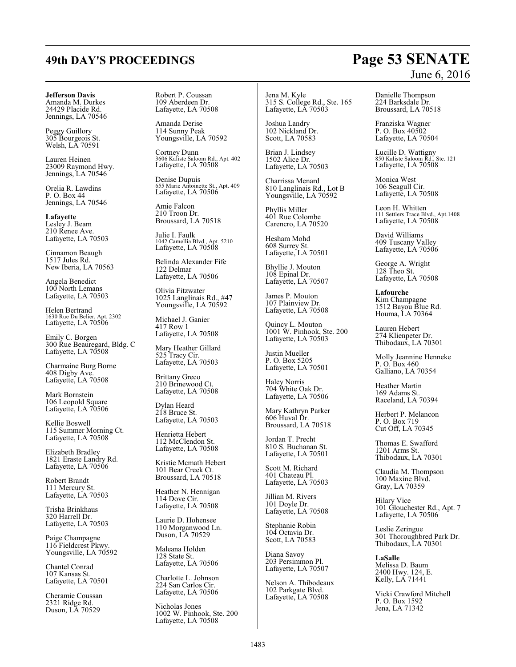# **49th DAY'S PROCEEDINGS Page 53 SENATE**

## **Jefferson Davis**

Amanda M. Durkes 24429 Placide Rd. Jennings, LA 70546

Peggy Guillory 305 Bourgeois St. Welsh, LA 70591

Lauren Heinen 23009 Raymond Hwy. Jennings, LA 70546

Orelia R. Lawdins P. O. Box 44 Jennings, LA 70546

**Lafayette** Lesley J. Beam 210 Renee Ave. Lafayette, LA 70503

Cinnamon Beaugh 1517 Jules Rd. New Iberia, LA 70563

Angela Benedict 100 North Lemans Lafayette, LA 70503

Helen Bertrand 1630 Rue Du Belier, Apt. 2302 Lafayette, LA 70506

Emily C. Borgen 300 Rue Beauregard, Bldg. C Lafayette, LA 70508

Charmaine Burg Borne 408 Digby Ave. Lafayette, LA 70508

Mark Bornstein 106 Leopold Square Lafayette, LA 70506

Kellie Boswell 115 Summer Morning Ct. Lafayette, LA 70508

Elizabeth Bradley 1821 Eraste Landry Rd. Lafayette, LA 70506

Robert Brandt 111 Mercury St. Lafayette, LA 70503

Trisha Brinkhaus 320 Harrell Dr. Lafayette, LA 70503

Paige Champagne 116 Fieldcrest Pkwy. Youngsville, LA 70592

Chantel Conrad 107 Kansas St. Lafayette, LA 70501

Cheramie Coussan 2321 Ridge Rd. Duson, LA 70529

Robert P. Coussan 109 Aberdeen Dr. Lafayette, LA 70508

Amanda Derise 114 Sunny Peak Youngsville, LA 70592

Cortney Dunn 3606 Kaliste Saloom Rd., Apt. 402 Lafayette, LA 70508

Denise Dupuis 655 Marie Antoinette St., Apt. 409 Lafayette, LA 70506

Amie Falcon 210 Troon Dr. Broussard, LA 70518

Julie I. Faulk 1042 Camellia Blvd., Apt. 5210 Lafayette, LA 70508

Belinda Alexander Fife 122 Delmar Lafayette, LA 70506

Olivia Fitzwater 1025 Langlinais Rd., #47 Youngsville, LA 70592

Michael J. Ganier 417 Row 1 Lafayette, LA 70508

Mary Heather Gillard 525 Tracy Cir. Lafayette, LA 70503

Brittany Greco 210 Brinewood Ct. Lafayette, LA 70508

Dylan Heard 218 Bruce St. Lafayette, LA 70503

Henrietta Hebert 112 McClendon St. Lafayette, LA 70508

Kristie Mcmath Hebert 101 Bear Creek Ct. Broussard, LA 70518

Heather N. Hennigan 114 Dove Cir. Lafayette, LA 70508

Laurie D. Hohensee 110 Morganwood Ln. Duson, LA 70529

Maleana Holden 128 State St. Lafayette, LA 70506

Charlotte L. Johnson 224 San Carlos Cir. Lafayette, LA 70506

Nicholas Jones 1002 W. Pinhook, Ste. 200 Lafayette, LA 70508

Jena M. Kyle 315 S. College Rd., Ste. 165 Lafayette, LA 70503

Joshua Landry 102 Nickland Dr. Scott, LA 70583

Brian J. Lindsey 1502 Alice Dr. Lafayette, LA 70503

Charrissa Menard 810 Langlinais Rd., Lot B Youngsville, LA 70592

Phyllis Miller 401 Rue Colombe Carencro, LA 70520

Hesham Mohd 608 Surrey St. Lafayette, LA 70501

Bhyllie J. Mouton 108 Epinal Dr. Lafayette, LA 70507

James P. Mouton 107 Plainview Dr. Lafayette, LA 70508

Quincy L. Mouton 1001 W. Pinhook, Ste. 200 Lafayette, LA 70503

Justin Mueller P. O. Box 5205 Lafayette, LA 70501

Haley Norris 704 White Oak Dr. Lafayette, LA 70506

Mary Kathryn Parker 606 Huval Dr. Broussard, LA 70518

Jordan T. Precht 810 S. Buchanan St. Lafayette, LA 70501

Scott M. Richard 401 Chateau Pl. Lafayette, LA 70503

Jillian M. Rivers 101 Doyle Dr. Lafayette, LA 70508

Stephanie Robin 104 Octavia Dr. Scott, LA 70583

Diana Savoy 203 Persimmon Pl. Lafayette, LA 70507

Nelson A. Thibodeaux 102 Parkgate Blvd. Lafayette, LA 70508

# June 6, 2016

Danielle Thompson 224 Barksdale Dr. Broussard, LA 70518

Franziska Wagner P. O. Box 40502 Lafayette, LA 70504

Lucille D. Wattigny 850 Kaliste Saloom Rd., Ste. 121 Lafayette, LA 70508

Monica West 106 Seagull Cir. Lafayette, LA 70508

Leon H. Whitten 111 Settlers Trace Blvd., Apt.1408 Lafayette, LA 70508

David Williams 409 Tuscany Valley Lafayette, LA 70506

George A. Wright 128 Theo St. Lafayette, LA 70508

**Lafourche** Kim Champagne 1512 Bayou Blue Rd. Houma, LA 70364

Lauren Hebert 274 Klienpeter Dr. Thibodaux, LA 70301

Molly Jeannine Henneke P. O. Box 460 Galliano, LA 70354

Heather Martin 169 Adams St. Raceland, LA 70394

Herbert P. Melancon P. O. Box 719 Cut Off, LA 70345

Thomas E. Swafford 1201 Arms St. Thibodaux, LA 70301

Claudia M. Thompson 100 Maxine Blvd. Gray, LA 70359

Hilary Vice 101 Glouchester Rd., Apt. 7 Lafayette, LA 70506

Leslie Zeringue 301 Thoroughbred Park Dr. Thibodaux, LA 70301

**LaSalle** Melissa D. Baum 2400 Hwy. 124, E. Kelly, LA 71441

Vicki Crawford Mitchell P. O. Box 1592 Jena, LA 71342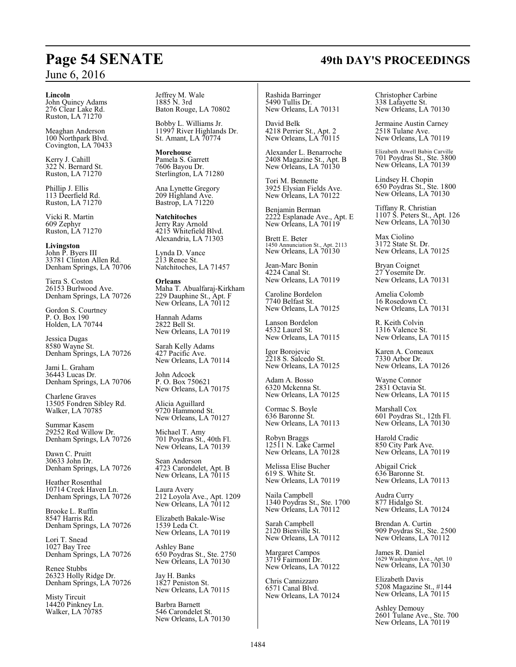#### **Lincoln**

John Quincy Adams 276 Clear Lake Rd. Ruston, LA 71270

Meaghan Anderson 100 Northpark Blvd. Covington, LA 70433

Kerry J. Cahill 322 N. Bernard St. Ruston, LA 71270

Phillip J. Ellis 113 Deerfield Rd. Ruston, LA 71270

Vicki R. Martin 609 Zephyr Ruston, LA 71270

**Livingston** John P. Byers III 33781 Clinton Allen Rd. Denham Springs, LA 70706

Tiera S. Coston 26153 Burlwood Ave. Denham Springs, LA 70726

Gordon S. Courtney P. O. Box 190 Holden, LA 70744

Jessica Dugas 8580 Wayne St. Denham Springs, LA 70726

Jami L. Graham 36443 Lucas Dr. Denham Springs, LA 70706

Charlene Graves 13505 Fondren Sibley Rd. Walker, LA 70785

Summar Kasem 29252 Red Willow Dr. Denham Springs, LA 70726

Dawn C. Pruitt 30633 John Dr. Denham Springs, LA 70726

Heather Rosenthal 10714 Creek Haven Ln. Denham Springs, LA 70726

Brooke L. Ruffin 8547 Harris Rd. Denham Springs, LA 70726

Lori T. Snead 1027 Bay Tree Denham Springs, LA 70726

Renee Stubbs 26323 Holly Ridge Dr. Denham Springs, LA 70726

Misty Tircuit 14420 Pinkney Ln. Walker, LA 70785

Jeffrey M. Wale 1885 N. 3rd Baton Rouge, LA 70802

Bobby L. Williams Jr. 11997 River Highlands Dr. St. Amant, LA 70774

**Morehouse** Pamela S. Garrett 7606 Bayou Dr. Sterlington, LA 71280

Ana Lynette Gregory 209 Highland Ave. Bastrop, LA 71220

**Natchitoches** Jerry Ray Arnold 4215 Whitefield Blvd. Alexandria, LA 71303

Lynda D. Vance 213 Renee St. Natchitoches, LA 71457

**Orleans** Maha T. Abualfaraj-Kirkham 229 Dauphine St., Apt. F New Orleans, LA 70112

Hannah Adams 2822 Bell St. New Orleans, LA 70119

Sarah Kelly Adams 427 Pacific Ave. New Orleans, LA 70114

John Adcock P. O. Box 750621 New Orleans, LA 70175

Alicia Aguillard 9720 Hammond St. New Orleans, LA 70127

Michael T. Amy 701 Poydras St., 40th Fl. New Orleans, LA 70139

Sean Anderson 4723 Carondelet, Apt. B New Orleans, LA 70115

Laura Avery 212 Loyola Ave., Apt. 1209 New Orleans, LA 70112

Elizabeth Bakale-Wise 1539 Leda Ct. New Orleans, LA 70119

Ashley Bane 650 Poydras St., Ste. 2750 New Orleans, LA 70130

Jay H. Banks 1827 Peniston St. New Orleans, LA 70115

Barbra Barnett 546 Carondelet St. New Orleans, LA 70130 Rashida Barringer 5490 Tullis Dr. New Orleans, LA 70131

David Belk 4218 Perrier St., Apt. 2 New Orleans, LA 70115

Alexander L. Benarroche 2408 Magazine St., Apt. B New Orleans, LA 70130

Tori M. Bennette 3925 Elysian Fields Ave. New Orleans, LA 70122

Benjamin Berman 2222 Esplanade Ave., Apt. E New Orleans, LA 70119

Brett E. Beter 1450 Annunciation St., Apt. 2113 New Orleans, LA 70130

Jean-Marc Bonin 4224 Canal St. New Orleans, LA 70119

Caroline Bordelon 7740 Belfast St. New Orleans, LA 70125

Lanson Bordelon 4532 Laurel St. New Orleans, LA 70115

Igor Borojevic 2218 S. Salcedo St. New Orleans, LA 70125

Adam A. Bosso 6320 Mckenna St. New Orleans, LA 70125

Cormac S. Boyle 636 Baronne St. New Orleans, LA 70113

Robyn Braggs 12511 N. Lake Carmel New Orleans, LA 70128

Melissa Elise Bucher 619 S. White St. New Orleans, LA 70119

Naila Campbell 1340 Poydras St., Ste. 1700 New Orleans, LA 70112

Sarah Campbell 2120 Bienville St. New Orleans, LA 70112

Margaret Campos 3719 Fairmont Dr. New Orleans, LA 70122

Chris Cannizzaro 6571 Canal Blvd. New Orleans, LA 70124 Christopher Carbine 338 Lafayette St. New Orleans, LA 70130

Jermaine Austin Carney 2518 Tulane Ave. New Orleans, LA 70119

Elizabeth Atwell Babin Carville 701 Poydras St., Ste. 3800 New Orleans, LA 70139

Lindsey H. Chopin 650 Poydras St., Ste. 1800 New Orleans, LA 70130

Tiffany R. Christian 1107 S. Peters St., Apt. 126 New Orleans, LA 70130

Max Ciolino 3172 State St. Dr. New Orleans, LA 70125

Bryan Coignet 27 Yosemite Dr. New Orleans, LA 70131

Amelia Colomb 16 Rosedown Ct. New Orleans, LA 70131

R. Keith Colvin 1316 Valence St. New Orleans, LA 70115

Karen A. Comeaux 7330 Arbor Dr. New Orleans, LA 70126

Wayne Connor 2831 Octavia St. New Orleans, LA 70115

Marshall Cox 601 Poydras St., 12th Fl. New Orleans, LA 70130

Harold Cradic 850 City Park Ave. New Orleans, LA 70119

Abigail Crick 636 Baronne St. New Orleans, LA 70113

Audra Curry 877 Hidalgo St. New Orleans, LA 70124

Brendan A. Curtin 909 Poydras St., Ste. 2500 New Orleans, LA 70112

James R. Daniel 1629 Washington Ave., Apt. 10 New Orleans, LA 70130

Elizabeth Davis 5208 Magazine St., #144 New Orleans, LA 70115

Ashley Demouy 2601 Tulane Ave., Ste. 700 New Orleans, LA 70119

# **Page 54 SENATE 49th DAY'S PROCEEDINGS**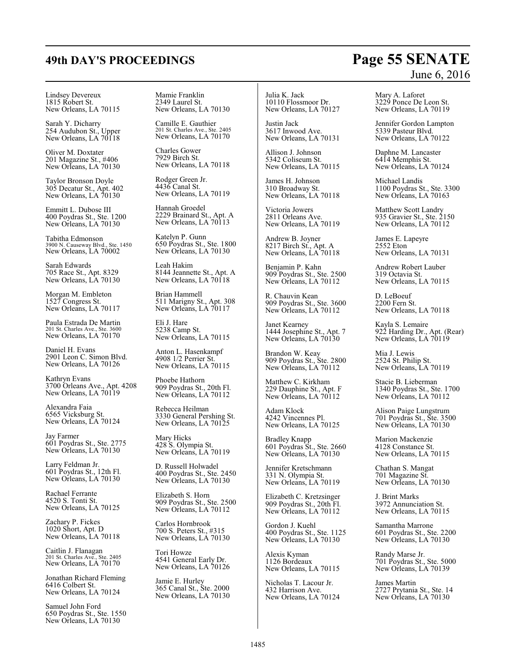Lindsey Devereux 1815 Robert St. New Orleans, LA 70115

Sarah Y. Dicharry 254 Audubon St., Upper New Orleans, LA 70118

Oliver M. Doxtater 201 Magazine St., #406 New Orleans, LA 70130

Taylor Bronson Doyle 305 Decatur St., Apt. 402 New Orleans, LA 70130

Emmitt L. Dubose III 400 Poydras St., Ste. 1200 New Orleans, LA 70130

Tabitha Edmonson 3900 N. Causeway Blvd., Ste. 1450 New Orleans, LA 70002

Sarah Edwards 705 Race St., Apt. 8329 New Orleans, LA 70130

Morgan M. Embleton 1527 Congress St. New Orleans, LA 70117

Paula Estrada De Martin 201 St. Charles Ave., Ste. 3600 New Orleans, LA 70170

Daniel H. Evans 2901 Leon C. Simon Blvd. New Orleans, LA 70126

Kathryn Evans 3700 Orleans Ave., Apt. 4208 New Orleans, LA 70119

Alexandra Faia 6565 Vicksburg St. New Orleans, LA 70124

Jay Farmer 601 Poydras St., Ste. 2775 New Orleans, LA 70130

Larry Feldman Jr. 601 Poydras St., 12th Fl. New Orleans, LA 70130

Rachael Ferrante 4520 S. Tonti St. New Orleans, LA 70125

Zachary P. Fickes 1020 Short, Apt. D New Orleans, LA 70118

Caitlin J. Flanagan 201 St. Charles Ave., Ste. 2405 New Orleans, LA 70170

Jonathan Richard Fleming 6416 Colbert St. New Orleans, LA 70124

Samuel John Ford 650 Poydras St., Ste. 1550 New Orleans, LA 70130

Mamie Franklin 2349 Laurel St. New Orleans, LA 70130

Camille E. Gauthier 201 St. Charles Ave., Ste. 2405 New Orleans, LA 70170

Charles Gower 7929 Birch St. New Orleans, LA 70118

Rodger Green Jr. 4436 Canal St. New Orleans, LA 70119

Hannah Groedel 2229 Brainard St., Apt. A New Orleans, LA 70113

Katelyn P. Gunn 650 Poydras St., Ste. 1800 New Orleans, LA 70130

Leah Hakim 8144 Jeannette St., Apt. A New Orleans, LA 70118

Brian Hammell 511 Marigny St., Apt. 308 New Orleans, LA 70117

Eli J. Hare 5238 Camp St. New Orleans, LA 70115

Anton L. Hasenkampf 4908 1/2 Perrier St. New Orleans, LA 70115

Phoebe Hathorn 909 Poydras St., 20th Fl. New Orleans, LA 70112

Rebecca Heilman 3330 General Pershing St. New Orleans, LA 70125

Mary Hicks 428 S. Olympia St. New Orleans, LA 70119

D. Russell Holwadel 400 Poydras St., Ste. 2450 New Orleans, LA 70130

Elizabeth S. Horn 909 Poydras St., Ste. 2500 New Orleans, LA 70112

Carlos Hornbrook 700 S. Peters St., #315 New Orleans, LA 70130

Tori Howze 4541 General Early Dr. New Orleans, LA 70126

Jamie E. Hurley 365 Canal St., Ste. 2000 New Orleans, LA 70130 Julia K. Jack 10110 Flossmoor Dr. New Orleans, LA 70127

Justin Jack 3617 Inwood Ave. New Orleans, LA 70131

Allison J. Johnson 5342 Coliseum St. New Orleans, LA 70115

James H. Johnson 310 Broadway St. New Orleans, LA 70118

Victoria Jowers 2811 Orleans Ave. New Orleans, LA 70119

Andrew B. Joyner 8217 Birch St., Apt. A New Orleans, LA 70118

Benjamin P. Kahn 909 Poydras St., Ste. 2500 New Orleans, LA 70112

R. Chauvin Kean 909 Poydras St., Ste. 3600 New Orleans, LA 70112

Janet Kearney 1444 Josephine St., Apt. 7 New Orleans, LA 70130

Brandon W. Keay 909 Poydras St., Ste. 2800 New Orleans, LA 70112

Matthew C. Kirkham 229 Dauphine St., Apt. F New Orleans, LA 70112

Adam Klock 4242 Vincennes Pl. New Orleans, LA 70125

Bradley Knapp 601 Poydras St., Ste. 2660 New Orleans, LA 70130

Jennifer Kretschmann 331 N. Olympia St. New Orleans, LA 70119

Elizabeth C. Kretzsinger 909 Poydras St., 20th Fl. New Orleans, LA 70112

Gordon J. Kuehl 400 Poydras St., Ste. 1125 New Orleans, LA 70130

Alexis Kyman 1126 Bordeaux New Orleans, LA 70115

Nicholas T. Lacour Jr. 432 Harrison Ave. New Orleans, LA 70124

# June 6, 2016

Mary A. Laforet 3229 Ponce De Leon St. New Orleans, LA 70119

Jennifer Gordon Lampton 5339 Pasteur Blvd. New Orleans, LA 70122

Daphne M. Lancaster 6414 Memphis St. New Orleans, LA 70124

Michael Landis 1100 Poydras St., Ste. 3300 New Orleans, LA 70163

Matthew Scott Landry 935 Gravier St., Ste. 2150 New Orleans, LA 70112

James E. Lapeyre 2552 Eton New Orleans, LA 70131

Andrew Robert Lauber 319 Octavia St. New Orleans, LA 70115

D. LeBoeuf 2200 Fern St. New Orleans, LA 70118

Kayla S. Lemaire 922 Harding Dr., Apt. (Rear) New Orleans, LA 70119

Mia J. Lewis 2524 St. Philip St. New Orleans, LA 70119

Stacie B. Lieberman 1340 Poydras St., Ste. 1700 New Orleans, LA 70112

Alison Paige Lungstrum 701 Poydras St., Ste. 3500 New Orleans, LA 70130

Marion Mackenzie 4128 Constance St. New Orleans, LA 70115

Chathan S. Mangat 701 Magazine St. New Orleans, LA 70130

J. Brint Marks 3972 Annunciation St. New Orleans, LA 70115

Samantha Marrone 601 Poydras St., Ste. 2200 New Orleans, LA 70130

Randy Marse Jr. 701 Poydras St., Ste. 5000 New Orleans, LA 70139

James Martin 2727 Prytania St., Ste. 14 New Orleans, LA 70130

# **49th DAY'S PROCEEDINGS Page 55 SENATE**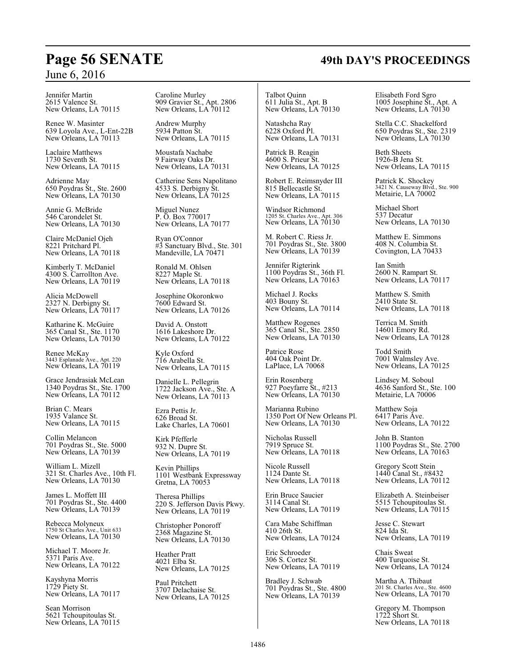Jennifer Martin 2615 Valence St. New Orleans, LA 70115

Renee W. Masinter 639 Loyola Ave., L-Ent-22B New Orleans, LA 70113

Laclaire Matthews 1730 Seventh St. New Orleans, LA 70115

Adrienne May 650 Poydras St., Ste. 2600 New Orleans, LA 70130

Annie G. McBride 546 Carondelet St. New Orleans, LA 70130

Claire McDaniel Ojeh 8221 Pritchard Pl. New Orleans, LA 70118

Kimberly T. McDaniel 4300 S. Carrollton Ave. New Orleans, LA 70119

Alicia McDowell 2327 N. Derbigny St. New Orleans, LA 70117

Katharine K. McGuire 365 Canal St., Ste. 1170 New Orleans, LA 70130

Renee McKay 3443 Esplanade Ave., Apt. 220 New Orleans, LA 70119

Grace Jendrasiak McLean 1340 Poydras St., Ste. 1700 New Orleans, LA 70112

Brian C. Mears 1935 Valance St. New Orleans, LA 70115

Collin Melancon 701 Poydras St., Ste. 5000 New Orleans, LA 70139

William L. Mizell 321 St. Charles Ave., 10th Fl. New Orleans, LA 70130

James L. Moffett III 701 Poydras St., Ste. 4400 New Orleans, LA 70139

Rebecca Molyneux 1750 St Charles Ave., Unit 633 New Orleans, LA 70130

Michael T. Moore Jr. 5371 Paris Ave. New Orleans, LA 70122

Kayshyna Morris 1729 Piety St. New Orleans, LA 70117

Sean Morrison 5621 Tchoupitoulas St. New Orleans, LA 70115 Caroline Murley 909 Gravier St., Apt. 2806 New Orleans, LA 70112

Andrew Murphy 5934 Patton St. New Orleans, LA 70115

Moustafa Nachabe 9 Fairway Oaks Dr. New Orleans, LA 70131

Catherine Sens Napolitano 4533 S. Derbigny St. New Orleans, LA 70125

Miguel Nunez P. O. Box 770017 New Orleans, LA 70177

Ryan O'Connor #3 Sanctuary Blvd., Ste. 301 Mandeville, LA 70471

Ronald M. Ohlsen 8227 Maple St. New Orleans, LA 70118

Josephine Okoronkwo 7600 Edward St. New Orleans, LA 70126

David A. Onstott 1616 Lakeshore Dr. New Orleans, LA 70122

Kyle Oxford 716 Arabella St. New Orleans, LA 70115

Danielle L. Pellegrin 1722 Jackson Ave., Ste. A New Orleans, LA 70113

Ezra Pettis Jr. 626 Broad St. Lake Charles, LA 70601

Kirk Pfefferle 932 N. Dupre St. New Orleans, LA 70119

Kevin Phillips 1101 Westbank Expressway Gretna, LA 70053

Theresa Phillips 220 S. Jefferson Davis Pkwy. New Orleans, LA 70119

Christopher Ponoroff 2368 Magazine St. New Orleans, LA 70130

Heather Pratt 4021 Elba St. New Orleans, LA 70125

Paul Pritchett 3707 Delachaise St. New Orleans, LA 70125

Talbot Quinn 611 Julia St., Apt. B New Orleans, LA 70130

Natashcha Ray 6228 Oxford Pl. New Orleans, LA 70131

Patrick B. Reagin 4600 S. Prieur St. New Orleans, LA 70125

Robert E. Reimsnyder III 815 Bellecastle St. New Orleans, LA 70115

Windsor Richmond 1205 St. Charles Ave., Apt. 306 New Orleans, LA 70130

M. Robert C. Riess Jr. 701 Poydras St., Ste. 3800 New Orleans, LA 70139

Jennifer Rigterink 1100 Poydras St., 36th Fl. New Orleans, LA 70163

Michael J. Rocks 403 Bouny St. New Orleans, LA 70114

Matthew Rogenes 365 Canal St., Ste. 2850 New Orleans, LA 70130

Patrice Rose 404 Oak Point Dr. LaPlace, LA 70068

Erin Rosenberg 927 Poeyfarre St., #213 New Orleans, LA 70130

Marianna Rubino 1350 Port Of New Orleans Pl. New Orleans, LA 70130

Nicholas Russell 7919 Spruce St. New Orleans, LA 70118

Nicole Russell 1124 Dante St. New Orleans, LA 70118

Erin Bruce Saucier 3114 Canal St. New Orleans, LA 70119

Cara Mabe Schiffman 410 26th St. New Orleans, LA 70124

Eric Schroeder 306 S. Cortez St. New Orleans, LA 70119

Bradley J. Schwab 701 Poydras St., Ste. 4800 New Orleans, LA 70139

Elisabeth Ford Sgro 1005 Josephine St., Apt. A New Orleans, LA 70130

Stella C.C. Shackelford 650 Poydras St., Ste. 2319 New Orleans, LA 70130

Beth Sheets 1926-B Jena St. New Orleans, LA 70115

Patrick K. Shockey 3421 N. Causeway Blvd., Ste. 900 Metairie, LA 70002

Michael Short 537 Decatur New Orleans, LA 70130

Matthew E. Simmons 408 N. Columbia St. Covington, LA 70433

Ian Smith 2600 N. Rampart St. New Orleans, LA 70117

Matthew S. Smith 2410 State St. New Orleans, LA 70118

Terrica M. Smith 14601 Emory Rd. New Orleans, LA 70128

Todd Smith 7001 Walmsley Ave. New Orleans, LA 70125

Lindsey M. Soboul 4636 Sanford St., Ste. 100 Metairie, LA 70006

Matthew Soja 6417 Paris Ave. New Orleans, LA 70122

John B. Stanton 1100 Poydras St., Ste. 2700 New Orleans, LA 70163

Gregory Scott Stein 1440 Canal St., #8432 New Orleans, LA 70112

Elizabeth A. Steinbeiser 5515 Tchoupitoulas St. New Orleans, LA 70115

Jesse C. Stewart 824 Ida St. New Orleans, LA 70119

Chais Sweat 400 Turquoise St. New Orleans, LA 70124

Martha A. Thibaut 201 St. Charles Ave., Ste. 4600 New Orleans, LA 70170

Gregory M. Thompson 1722 Short St. New Orleans, LA 70118

# **Page 56 SENATE 49th DAY'S PROCEEDINGS**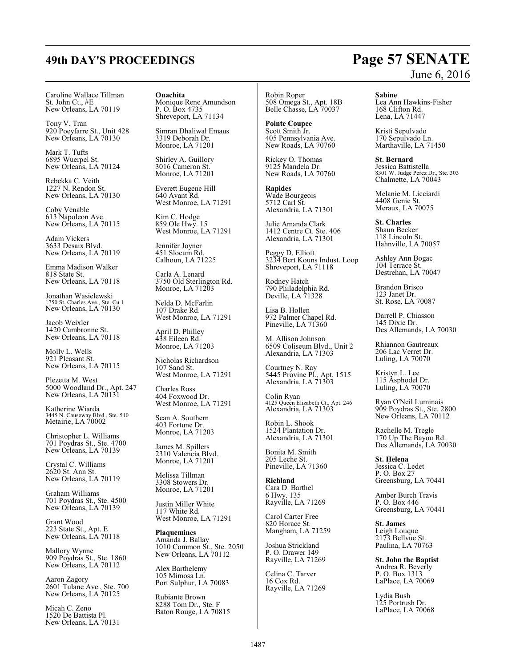# **49th DAY'S PROCEEDINGS Page 57 SENATE**

Caroline Wallace Tillman St. John Ct., #E New Orleans, LA 70119

Tony V. Tran 920 Poeyfarre St., Unit 428 New Orleans, LA 70130

Mark T. Tufts 6895 Wuerpel St. New Orleans, LA 70124

Rebekka C. Veith 1227 N. Rendon St. New Orleans, LA 70130

Coby Venable 613 Napoleon Ave. New Orleans, LA 70115

Adam Vickers 3633 Desaix Blvd. New Orleans, LA 70119

Emma Madison Walker 818 State St. New Orleans, LA 70118

Jonathan Wasielewski 1750 St. Charles Ave., Ste. Cu 1 New Orleans, LA 70130

Jacob Weixler 1420 Cambronne St. New Orleans, LA 70118

Molly L. Wells 921 Pleasant St. New Orleans, LA 70115

Plezetta M. West 5000 Woodland Dr., Apt. 247 New Orleans, LA 70131

Katherine Wiarda 3445 N. Causeway Blvd., Ste. 510 Metairie, LA 70002

Christopher L. Williams 701 Poydras St., Ste. 4700 New Orleans, LA 70139

Crystal C. Williams 2620 St. Ann St. New Orleans, LA 70119

Graham Williams 701 Poydras St., Ste. 4500 New Orleans, LA 70139

Grant Wood 223 State St., Apt. E New Orleans, LA 70118

Mallory Wynne 909 Poydras St., Ste. 1860 New Orleans, LA 70112

Aaron Zagory 2601 Tulane Ave., Ste. 700 New Orleans, LA 70125

Micah C. Zeno 1520 De Battista Pl. New Orleans, LA 70131 **Ouachita** Monique Rene Amundson P. O. Box 4735 Shreveport, LA 71134

Simran Dhaliwal Emaus 3319 Deborah Dr. Monroe, LA 71201

Shirley A. Guillory 3016 Cameron St. Monroe, LA 71201

Everett Eugene Hill 640 Avant Rd. West Monroe, LA 71291

Kim C. Hodge 859 Ole Hwy. 15 West Monroe, LA 71291

Jennifer Joyner 451 Slocum Rd. Calhoun, LA 71225

Carla A. Lenard 3750 Old Sterlington Rd. Monroe, LA 71203

Nelda D. McFarlin 107 Drake Rd. West Monroe, LA 71291

April D. Philley 438 Eileen Rd. Monroe, LA 71203

Nicholas Richardson 107 Sand St. West Monroe, LA 71291

Charles Ross 404 Foxwood Dr. West Monroe, LA 71291

Sean A. Southern 403 Fortune Dr. Monroe, LA 71203

James M. Spillers 2310 Valencia Blvd. Monroe, LA 71201

Melissa Tillman 3308 Stowers Dr. Monroe, LA 71201

Justin Miller White 117 White Rd. West Monroe, LA 71291

**Plaquemines** Amanda J. Ballay 1010 Common St., Ste. 2050 New Orleans, LA 70112

Alex Barthelemy 105 Mimosa Ln. Port Sulphur, LA 70083

Rubiante Brown 8288 Tom Dr., Ste. F Baton Rouge, LA 70815 Robin Roper 508 Omega St., Apt. 18B Belle Chasse, LA 70037

**Pointe Coupee** Scott Smith Jr. 405 Pennsylvania Ave. New Roads, LA 70760

Rickey O. Thomas 9125 Mandela Dr. New Roads, LA 70760

**Rapides** Wade Bourgeois 5712 Carl St. Alexandria, LA 71301

Julie Amanda Clark 1412 Centre Ct. Ste. 406 Alexandria, LA 71301

Peggy D. Elliott 3234 Bert Kouns Indust. Loop Shreveport, LA 71118

Rodney Hatch 790 Philadelphia Rd. Deville, LA 71328

Lisa B. Hollen 972 Palmer Chapel Rd. Pineville, LA 71360

M. Allison Johnson 6509 Coliseum Blvd., Unit 2 Alexandria, LA 71303

Courtney N. Ray 5445 Provine Pl., Apt. 1515 Alexandria, LA 71303

Colin Ryan 4125 Queen Elizabeth Ct., Apt. 246 Alexandria, LA 71303

Robin L. Shook 1524 Plantation Dr. Alexandria, LA 71301

Bonita M. Smith 205 Leche St. Pineville, LA 71360

**Richland** Cara D. Barthel 6 Hwy. 135 Rayville, LA 71269

Carol Carter Free 820 Horace St. Mangham, LA 71259

Joshua Strickland P. O. Drawer 149 Rayville, LA 71269

Celina C. Tarver 16 Cox Rd. Rayville, LA 71269

# June 6, 2016

**Sabine**

Lea Ann Hawkins-Fisher 168 Clifton Rd. Lena, LA 71447

Kristi Sepulvado 170 Sepulvado Ln. Marthaville, LA 71450

**St. Bernard** Jessica Battistella 8301 W. Judge Perez Dr., Ste. 303 Chalmette, LA 70043

Melanie M. Licciardi 4408 Genie St. Meraux, LA 70075

**St. Charles** Shaun Becker 118 Lincoln St. Hahnville, LA 70057

Ashley Ann Bogac 104 Terrace St. Destrehan, LA 70047

Brandon Brisco 123 Janet Dr. St. Rose, LA 70087

Darrell P. Chiasson 145 Dixie Dr. Des Allemands, LA 70030

Rhiannon Gautreaux 206 Lac Verret Dr. Luling, LA 70070

Kristyn L. Lee 115 Asphodel Dr. Luling, LA 70070

Ryan O'Neil Luminais 909 Poydras St., Ste. 2800 New Orleans, LA 70112

Rachelle M. Tregle 170 Up The Bayou Rd. Des Allemands, LA 70030

**St. Helena** Jessica C. Ledet P. O. Box 27 Greensburg, LA 70441

Amber Burch Travis P. O. Box 446 Greensburg, LA 70441

**St. James** Leigh Louque 2173 Bellvue St. Paulina, LA 70763

**St. John the Baptist** Andrea R. Beverly P. O. Box 1313 LaPlace, LA 70069

Lydia Bush 125 Portrush Dr. LaPlace, LA 70068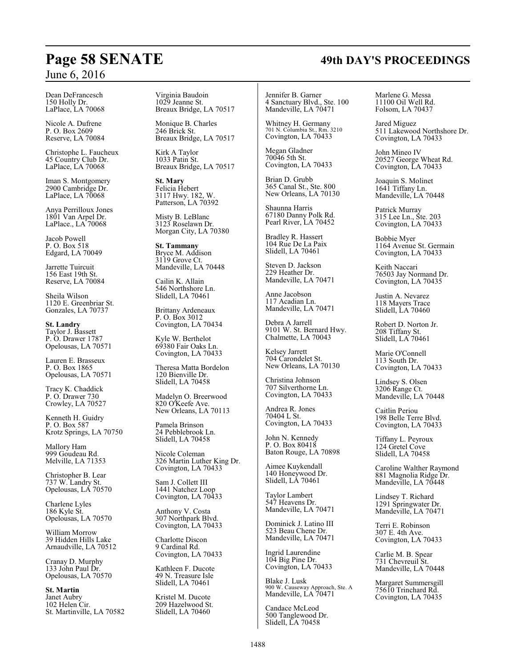Dean DeFrancesch 150 Holly Dr. LaPlace, LA 70068

Nicole A. Dufrene P. O. Box 2609 Reserve, LA 70084

Christophe L. Faucheux 45 Country Club Dr. LaPlace, LA 70068

Iman S. Montgomery 2900 Cambridge Dr. LaPlace, LA 70068

Anya Perrilloux Jones 1801 Van Arpel Dr. LaPlace., LA 70068

Jacob Powell P. O. Box 518 Edgard, LA 70049

Jarrette Tuircuit 156 East 19th St. Reserve, LA 70084

Sheila Wilson 1120 E. Greenbriar St. Gonzales, LA 70737

**St. Landry** Taylor J. Bassett P. O. Drawer 1787 Opelousas, LA 70571

Lauren E. Brasseux P. O. Box 1865 Opelousas, LA 70571

Tracy K. Chaddick P. O. Drawer 730 Crowley, LA 70527

Kenneth H. Guidry P. O. Box 587 Krotz Springs, LA 70750

Mallory Ham 999 Goudeau Rd. Melville, LA 71353

Christopher B. Lear 737 W. Landry St. Opelousas, LA 70570

Charlene Lyles 186 Kyle St. Opelousas, LA 70570

William Morrow 39 Hidden Hills Lake Arnaudville, LA 70512

Cranay D. Murphy 133 John Paul Dr. Opelousas, LA 70570

**St. Martin** Janet Aubry 102 Helen Cir. St. Martinville, LA 70582

Virginia Baudoin 1029 Jeanne St. Breaux Bridge, LA 70517

Monique B. Charles 246 Brick St. Breaux Bridge, LA 70517

Kirk A Taylor 1033 Patin St. Breaux Bridge, LA 70517

**St. Mary** Felicia Hebert 3117 Hwy. 182, W. Patterson, LA 70392

Misty B. LeBlanc 3123 Roselawn Dr. Morgan City, LA 70380

**St. Tammany** Bryce M. Addison 3119 Grove Ct. Mandeville, LA 70448

Cailin K. Allain 546 Northshore Ln. Slidell, LA 70461

Brittany Ardeneaux P. O. Box 3012 Covington, LA 70434

Kyle W. Berthelot 69380 Fair Oaks Ln. Covington, LA 70433

Theresa Matta Bordelon 120 Bienville Dr. Slidell, LA 70458

Madelyn O. Breerwood 820 O'Keefe Ave. New Orleans, LA 70113

Pamela Brinson 24 Pebblebrook Ln. Slidell, LA 70458

Nicole Coleman 326 Martin Luther King Dr. Covington, LA 70433

Sam J. Collett III 1441 Natchez Loop Covington, LA 70433

Anthony V. Costa 307 Northpark Blvd. Covington, LA 70433

Charlotte Discon 9 Cardinal Rd. Covington, LA 70433

Kathleen F. Ducote 49 N. Treasure Isle Slidell, LA 70461

Kristel M. Ducote 209 Hazelwood St. Slidell, LA 70460

Jennifer B. Garner 4 Sanctuary Blvd., Ste. 100 Mandeville, LA 70471

Whitney H. Germany 701 N. Columbia St., Rm. 3210 Covington, LA 70433

Megan Gladner 70046 5th St. Covington, LA 70433

Brian D. Grubb 365 Canal St., Ste. 800 New Orleans, LA 70130

Shaunna Harris 67180 Danny Polk Rd. Pearl River, LA 70452

Bradley R. Hassert 104 Rue De La Paix Slidell, LA 70461

Steven D. Jackson 229 Heather Dr. Mandeville, LA 70471

Anne Jacobson 117 Acadian Ln. Mandeville, LA 70471

Debra A Jarrell 9101 W. St. Bernard Hwy. Chalmette, LA 70043

Kelsey Jarrett 704 Carondelet St. New Orleans, LA 70130

Christina Johnson 707 Silverthorne Ln. Covington, LA 70433

Andrea R. Jones 70404 L St. Covington, LA 70433

John N. Kennedy P. O. Box 80418 Baton Rouge, LA 70898

Aimee Kuykendall 140 Honeywood Dr. Slidell, LA 70461

Taylor Lambert 547 Heavens Dr. Mandeville, LA 70471

Dominick J. Latino III 523 Beau Chene Dr. Mandeville, LA 70471

Ingrid Laurendine 104 Big Pine Dr. Covington, LA 70433

Blake J. Lusk 900 W. Causeway Approach, Ste. A Mandeville, LA 70471

Candace McLeod 500 Tanglewood Dr. Slidell, LA 70458

Marlene G. Messa 11100 Oil Well Rd. Folsom, LA 70437

Jared Miguez 511 Lakewood Northshore Dr. Covington, LA 70433

John Mineo IV 20527 George Wheat Rd. Covington, LA 70433

Joaquin S. Molinet 1641 Tiffany Ln. Mandeville, LA 70448

Patrick Murray 315 Lee Ln., Ste. 203 Covington, LA 70433

Bobbie Myer 1164 Avenue St. Germain Covington, LA 70433

Keith Naccari 76503 Jay Normand Dr. Covington, LA 70435

Justin A. Nevarez 118 Mayers Trace Slidell, LA 70460

Robert D. Norton Jr. 208 Tiffany St. Slidell, LA 70461

Marie O'Connell 113 South Dr. Covington, LA 70433

Lindsey S. Olsen 3206 Range Ct. Mandeville, LA 70448

Caitlin Periou 198 Belle Terre Blvd. Covington, LA 70433

Tiffany L. Peyroux 124 Gretel Cove Slidell, LA 70458

Caroline Walther Raymond 881 Magnolia Ridge Dr. Mandeville, LA 70448

Lindsey T. Richard 1291 Springwater Dr. Mandeville, LA 70471

Terri E. Robinson 307 E. 4th Ave. Covington, LA 70433

Carlie M. B. Spear 731 Chevreuil St. Mandeville, LA 70448

Margaret Summersgill 75610 Trinchard Rd. Covington, LA 70435

# **Page 58 SENATE 49th DAY'S PROCEEDINGS**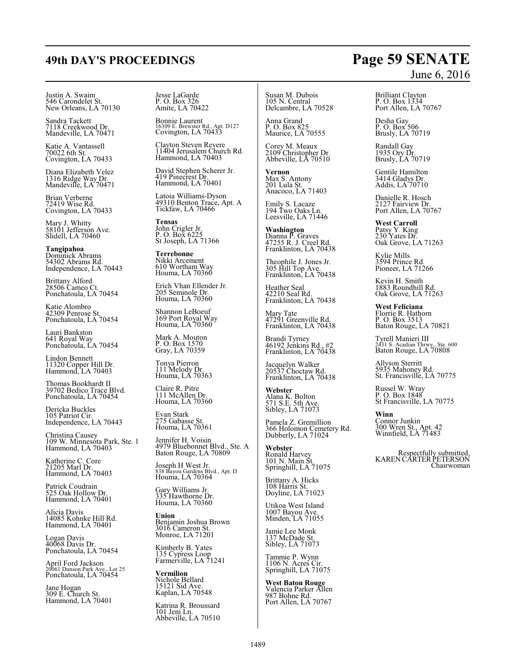# **49th DAY'S PROCEEDINGS Page 59 SENATE**

# Justin A. Swaim 546 Carondelet St. New Orleans, LA 70130

Sandra Tackett 7118 Creekwood Dr. Mandeville, LA 70471

Katie A. Vantassell 70022 6th St. Covington, LA 70433

Diana Elizabeth Velez 1316 Ridge Way Dr. Mandeville, LA 70471

Brian Verberne 72419 Wise Rd. Covington, LA 70433

Mary J. Whitty 58101 Jefferson Ave. Slidell, LA 70460

**Tangipahoa** Dominick Abrams 54302 Abrams Rd. Independence, LA 70443

Brittany Alford 28506 Cameo Ct. Ponchatoula, LA 70454

Katie Alombro 42309 Penrose St. Ponchatoula, LA 70454

Lauri Bankston 641 Royal Way Ponchatoula, LA 70454

Lindon Bennett 11320 Copper Hill Dr. Hammond, LA 70403

Thomas Bookhardt II 39702 Bedico Trace Blvd. Ponchatoula, LA 70454

Dericka Buckles 105 Patriot Cir. Independence, LA 70443

Christina Causey 109 W. Minnesota Park, Ste. 1 Hammond, LA 70403

Katherine C. Core 21205 Marl Dr. Hammond, LA 70403

Patrick Coudrain 525 Oak Hollow Dr. Hammond, LA 70401

Alicia Davis 14085 Kohnke Hill Rd. Hammond, LA 70401

Logan Davis 40068 Davis Dr. Ponchatoula, LA 70454

April Ford Jackson 20061 Dunson Park Ave., Lot 25 Ponchatoula, LA 70454

Jane Hogan 309 E. Church St. Hammond, LA 70401 Jesse LaGarde P. O. Box 326 Amite, LA 70422

Bonnie Laurent 16309 E. Brewster Rd., Apt. D127 Covington, LA 70433

Clayton Steven Revere 11404 Jerusalem Church Rd. Hammond, LA 70403

David Stephen Scherer Jr. 419 Pinecrest Dr. Hammond, LA 70401

Latoia Williams-Dyson 49310 Benton Trace, Apt. A Tickfaw, LA 70466

**Tensas** John Crigler Jr. P. O. Box 6225 St Joseph, LA 71366

**Terrebonne** Nikki Arcement 610 Wortham Way Houma, LA 70360

Erich Vhan Ellender Jr. 205 Seminole Dr. Houma, LA 70360

Shannon LeBoeuf 169 Port Royal Way Houma, LA 70360

Mark A. Mouton P. O. Box 1570 Gray, LA 70359

Tonya Pierron 111 Melody Dr. Houma, LA 70363

Claire R. Pitre 111 McAllen Dr. Houma, LA 70360

Evan Stark 275 Gabasse St. Houma, LA 70361

Jennifer H. Voisin 4979 Bluebonnet Blvd., Ste. A Baton Rouge, LA 70809

Joseph H West Jr. 838 Bayou Gardens Blvd., Apt. D Houma, LA 70364

Gary Williams Jr. 335 Hawthorne Dr. Houma, LA 70360

**Union** Benjamin Joshua Brown 3016 Cameron St. Monroe, LA 71201

Kimberly B. Yates 135 Cypress Loop Farmerville, LA 71241

**Vermilion** Nichole Bellard 15121 Sid Ave. Kaplan, LA 70548

Katrina R. Broussard 101 Jeni Ln. Abbeville, LA 70510 Susan M. Dubois 105 N. Central Delcambre, LA 70528

Anna Grand P. O. Box 825 Maurice, LA 70555

Corey M. Meaux 2109 Christopher Dr. Abbeville, LA 70510

**Vernon** Max S. Antony 201 Lula St. Anacoco, LA 71403

Emily S. Lacaze 194 Two Oaks Ln. Leesville, LA 71446

**Washington** Dianna P. Graves 47255 R. J. Creel Rd. Franklinton, LA 70438

Theophile J. Jones Jr. 305 Hill Top Ave. Franklinton, LA 70438

Heather Seal 42210 Seal Rd. Franklinton, LA 70438

Mary Tate 47291 Greenville Rd. Franklinton, LA 70438

Brandi Tyrney 46192 Jenkins Rd., #2 Franklinton, LA 70438

Jacquelyn Walker 20537 Choctaw Rd. Franklinton, LA 70438

**Webster** Alana K. Bolton 571 S.E. 5th Ave. Sibley, LA 71073

Pamela Z. Gremillion 366 Holomon Cemetery Rd. Dubberly, LA 71024

**Webster** Ronald Harvey 101 N. Main St. Springhill, LA 71075

Brittany A. Hicks 108 Harris St. Doyline, LA 71023

Utikoa West Island 1007 Bayou Ave. Minden, LA 71055

Jamie Lee Monk 137 McDade St. Sibley, LA 71073

Tammie P. Wynn 1106 N. Acres Cir. Springhill, LA 71075

**West Baton Rouge** Valencia Parker Allen 987 Bohne Rd. Port Allen, LA 70767

# June 6, 2016

Brilliant Clayton P. O. Box 1334 Port Allen, LA 70767

Desha Gay P. O. Box 506 Brusly, LA 70719

Randall Gay 1935 Ory Dr. Brusly, LA 70719

Gentile Hamilton 3414 Gladys Dr. Addis, LA 70710

Danielle R. Hosch 2127 Fairview Dr. Port Allen, LA 70767

**West Carroll** Patsy Y. King 230 Yates Dr. Oak Grove, LA 71263

Kylie Mills 3594 Prince Rd. Pioneer, LA 71266

Kevin H. Smith 1883 Roundhill Rd. Oak Grove, LA 71263

**West Feliciana** Florrie R. Hathorn P. O. Box 3513 Baton Rouge, LA 70821

Tyrell Manieri III 2431 S. Acadian Thrwy., Ste. 600 Baton Rouge, LA 70808

Allyson Sterritt 5935 Mahoney Rd. St. Francisville, LA 70775

Russel W. Wray P. O. Box 1848 St Francisville, LA 70775

**Winn** Connor Junkin 300 Wren St., Apt. 42 Winnfield, LA 71483

Respectfully submitted,<br>KAREN CARTER PETERSON Chairwoman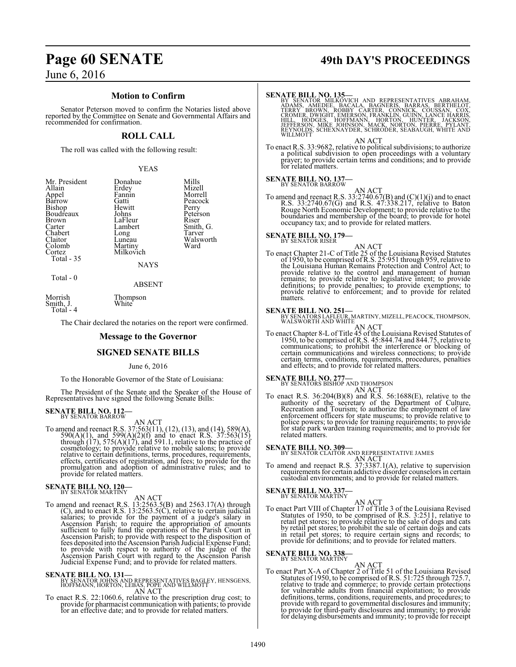# **Page 60 SENATE 49th DAY'S PROCEEDINGS**

June 6, 2016

# **Motion to Confirm**

Senator Peterson moved to confirm the Notaries listed above reported by the Committee on Senate and Governmental Affairs and recommended for confirmation.

## **ROLL CALL**

The roll was called with the following result:

YEAS

| Mr. President | Donahue       | Mills     |
|---------------|---------------|-----------|
| Allain        | Erdey         | Mizell    |
| Appel         | Fannin        | Morrell   |
| Barrow        | Gatti         | Peacock   |
| Bishop        | Hewitt        | Perry     |
| Boudreaux     | Johns         | Peterson  |
| Brown         | LaFleur       | Riser     |
| Carter        | Lambert       | Smith, G. |
| Chabert       | Long          | Tarver    |
| Claitor       | Luneau        | Walsworth |
| Colomb        | Martiny       | Ward      |
| Cortez        | Milkovich     |           |
| Total - 35    |               |           |
|               | <b>NAYS</b>   |           |
| Total - 0     |               |           |
|               | <b>ABSENT</b> |           |
| Morrich       | Thompson      |           |

Morrish Thompson Smith, J.

Total - 4

The Chair declared the notaries on the report were confirmed.

#### **Message to the Governor**

## **SIGNED SENATE BILLS**

#### June 6, 2016

To the Honorable Governor of the State of Louisiana:

The President of the Senate and the Speaker of the House of Representatives have signed the following Senate Bills:

# **SENATE BILL NO. 112-**<br>BY SENATOR BARROW

AN ACT<br>To amend and reenact R.S. 37:563(11), (12), (13), and (14), 589(A),<br>590(A)(1), and 599(A)(2)(f) and to enact R.S. 37:563(15)<br>through (17), 575(A)(17), and 591.1, relative to the practice of<br>cosmetology; to provide relative to certain definitions, terms, procedures, requirements, effects, certificates of registration, and fees; to provide for the promulgation and adoption of administrative rules; and to provide for related matters.

# **SENATE BILL NO. 120–**<br>BY SENATOR MARTINY

AN ACT<br>
To amend and reenact R.S. 13:2563.5(B) and 2563.17(A) through<br>
(C), and to enact R.S. 13:2563.5(C), relative to certain judicial<br>
salaries; to provide for the payment of a judge's salary in<br>
Ascension Parish; to re fees deposited into the Ascension Parish Judicial Expense Fund;<br>to provide with respect to authority of the judge of the<br>Ascension Parish Court with regard to the Ascension Parish<br>Judicial Expense Fund; and to provide for

**SENATE BILL NO. 131—**<br>BY SENATOR JOHNS AND REPRESENTATIVES BAGLEY, HENSGENS,<br>HOFFMANN, HORTON, LEBAS, POPE AND WILLMOTT<br>AN ACT

To enact R.S. 22:1060.6, relative to the prescription drug cost; to provide for pharmacist communication with patients; to provide for an effective date; and to provide for related matters.

SENATE BILL NO. 135—<br>
BY SENATOR MILKOVICH AND REPRESENTATIVES ABRAHAM,<br>
ADAMS, AMEDEE, BACALA, BAGNERIS, BARRAS, BERTHELOT,<br>
TERRY BROWN, ROBBY CARTER, CONNICK, COUSSAN, COX,<br>
CROMER, DWIGHT, EMERSON, FRANKLIN, GUINN, LAN

AN ACT<br>To enact R.S. 33:9682, relative to political subdivisions; to authorize<br>a political subdivision to open proceedings with a voluntary<br>prayer; to provide certain terms and conditions; and to provide<br>for related matter

# **SENATE BILL NO. 137-**<br>BY SENATOR BARROW

AN ACT<br>To amend and reenact R.S. 33:2740.67(B) and (C)(1)(j) and to enact<br>R.S. 33:2740.67(G) and R.S. 47:338.217, relative to Baton<br>Rouge North Economic Development; to provide relative to the<br>boundaries and membership of

# **SENATE BILL NO. 179-**

AN ACT<br>To enact Chapter 21-C of Title 25 of the Louisiana Revised Statutes<br>of 1950, to be comprised of R.S. 25:951 through 959, relative to the Louisiana Human Remains Protection and Control Act; to provide relative to the control and management of human remains; to provide relative to legislative intent; to provide definitions; to provide penalties; to provide exemptions; to provide relative to enforcement; and to provide for related matters.

**SENATE BILL NO. 251—**<br>BY SENATORS LAFLEUR, MARTINY, MIZELL, PEACOCK, THOMPSON,<br>WALSWORTH AND WHITE

AN ACT<br>To enact Chapter 8-L of Title 45 of the Louisiana Revised Statutes of<br>1950, to be comprised of R.S. 45:844.74 and 844.75, relative to communications; to prohibit the interference or blocking of certain communications and wireless connections; to provide certain terms, conditions, requirements, procedures, penalties and effects; and to provide for related matters.

# **SENATE BILL NO. 277—** BY SENATORS BISHOP AND THOMPSON

AN ACT<br>To enact R.S. 36:204(B)(8) and R.S. 56:1688(E), relative to the<br>authority of the secretary of the Department of Culture,<br>Recreation and Tourism; to authorize the employment of law enforcement officers for state museums; to provide relative to police powers; to provide for training requirements; to provide for state park warden training requirements; and to provide for related matters.

**SENATE BILL NO. 309—**<br>BY SENATOR CLAITOR AND REPRESENTATIVE JAMES

AN ACT<br>To amend and reenact R.S. 37:3387.1(A), relative to supervision<br>requirements for certain addictive disorder counselors in certain<br>custodial environments; and to provide for related matters.

**SENATE BILL NO. 337-**<br>BY SENATOR MARTINY

#### AN ACT

To enact Part VIII of Chapter 17 of Title 3 of the Louisiana Revised Statutes of 1950, to be comprised of R.S. 3:2511, relative to retail pet stores; to provide relative to the sale of dogs and cats by retail pet stores; to prohibit the sale of certain dogs and cats in retail pet stores; to require certain signs and records; to provide for definitions; and to provide for related matters.

# **SENATE BILL NO. 338-**<br>BY SENATOR MARTINY

AN ACT<br>To enact Part X-A of Chapter 2 of Title 51 of the Louisiana Revised<br>Statutes of 1950, to be comprised of R.S. 51:725 through 725.7, relative to trade and commerce; to provide certain protections for vulnerable adults from financial exploitation; to provide definitions, terms, conditions, requirements, and procedures; to provide with regard to governmental disclosures and immunity; to provide for third-party disclosures and immunity; to provide for delaying disbursements and immunity; to provide for receipt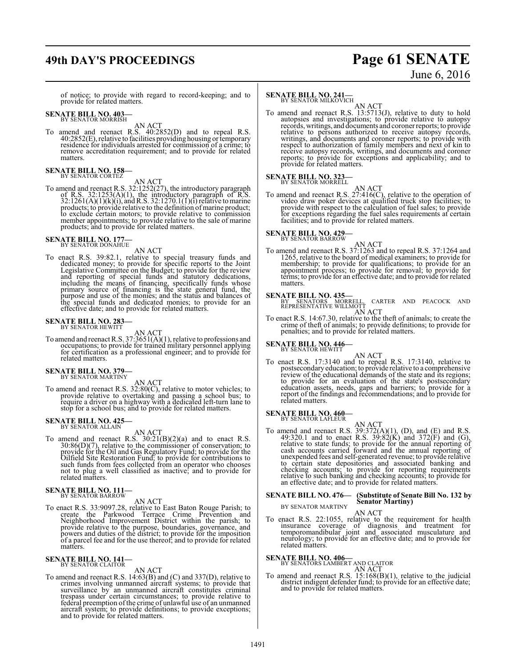# **49th DAY'S PROCEEDINGS Page 61 SENATE**

# June 6, 2016

of notice; to provide with regard to record-keeping; and to provide for related matters.

# **SENATE BILL NO. 403-**<br>BY SENATOR MORRISH

AN ACT<br>To amend and reenact R.S. 40:2852(D) and to repeal R.S.<br>40:2852(E), relative to facilities providing housing or temporary<br>residence for individuals arrested for commission of a crime; to remove accreditation requirement; and to provide for related matters.

# **SENATE BILL NO. 158-**<br>BY SENATOR CORTEZ

AN ACT<br>To amend and reenact R.S. 32:1252(27), the introductory paragraph<br>of R.S. 32:1253(A)(1), the introductory paragraph of R.S.<br>32:1261(A)(1)(k)(i), and R.S. 32:1270.1(1)(1) relative to marine<br>products; to provide rela to exclude certain motors; to provide relative to commission member appointments; to provide relative to the sale of marine products; and to provide for related matters.

# **SENATE BILL NO. 177—** BY SENATOR DONAHUE

AN ACT

To enact R.S. 39:82.1, relative to special treasury funds and dedicated money; to provide for specific reports to the Joint Legislative Committee on the Budget; to provide for the review<br>and reporting of special funds and statutory dedications,<br>including the means of financing, specifically funds whose<br>primary source of financing is the state g the special funds and dedicated monies; to provide for an effective date; and to provide for related matters.

# **SENATE BILL NO. 283-**<br>BY SENATOR HEWITT

AN ACT<br>To amend and reenact R.S. 37:3651(A)(1), relative to professions and<br>occupations; to provide for trained military personnel applying<br>for certification as a professional engineer; and to provide for related matters.

# **SENATE BILL NO. 379-**<br>BY SENATOR MARTINY

AN ACT<br>To amend and reenact R.S. 32:80(C), relative to motor vehicles; to<br>provide relative to overtaking and passing a school bus; to<br>require a driver on a highway with a dedicated left-turn lane to stop for a school bus; and to provide for related matters.

# **SENATE BILL NO. 425-**<br>BY SENATOR ALLAIN

AN ACT<br>
To amend and reenact R.S. 30:21(B)(2)(a) and to enact R.S.<br>
30:86(D)(7), relative to the commissioner of conservation; to<br>
provide for the Oil and Gas Regulatory Fund; to provide for the<br>
Oilfield Site Restoration

# **SENATE BILL NO. 111-**<br>BY SENATOR BARROW

AN ACT

To enact R.S. 33:9097.28, relative to East Baton Rouge Parish; to<br>create the Parkwood Terrace Crime Prevention and<br>Neighborhood Improvement District within the parish; to<br>provide relative to the purpose, boundaries, govern matters.

# **SENATE BILL NO. 141-**<br>BY SENATOR CLAITOR

AN ACT

To amend and reenact R.S. 14:63(B) and (C) and 337(D), relative to crimes involving unmanned aircraft systems; to provide that<br>surveillance by an unmanned aircraft constitutes criminal<br>trespass under certain cricumstances; to provide relative to<br>federal preemption of the crime of unlawful and to provide for related matters.

# **SENATE BILL NO. 241-**<br>BY SENATOR MILKOVICH

AN ACT<br>To amend and reenact R.S. 13:5713(J), relative to duty to hold autopsies and investigations; to provide relative to autopsy<br>records, writings, and documents and coroner reports; to provide relative to persons authorized to receive autopsy records,<br>writings, and documents and coroner reports; to provide with<br>respect to authorization of family members and next of kin to<br>receive autopsy records, writings, and d provide for related matters.

# **SENATE BILL NO. 323-**<br>BY SENATOR MORRELL

AN ACT<br>To amend and reenact R.S. 27:416(C), relative to the operation of<br>video draw poker devices at qualified truck stop facilities; to<br>provide with respect to the calculation of fuel sales; to provide for exceptions regarding the fuel sales requirements at certain facilities; and to provide for related matters.

# **SENATE BILL NO. 429-**<br>BY SENATOR BARROW

AN ACT<br>To amend and reenact R.S. 37:1263 and to repeal R.S. 37:1264 and 1265, relative to the board of medical examiners; to provide for membership; to provide for qualifications; to provide for an appointment process; to provide for removal; to provide for terms; to provide for an effective date; and to provide for related matters.

**SENATE BILL NO. 435—<br>BY SENATORS MORRELL, CARTER AND PEACOCK AND<br>REPRESENTATIVE WILLMOTT** 

AN ACT<br>To enact R.S. 14:67.30, relative to the theft of animals; to create the<br>crime of theft of animals; to provide definitions; to provide for<br>penalties; and to provide for related matters.

# **SENATE BILL NO. 446-**<br>BY SENATOR HEWITT

AN ACT

To enact R.S. 17:3140 and to repeal R.S. 17:3140, relative to postsecondaryeducation; to provide relative to a comprehensive review of the educational demands of the state and its regions; to provide for an evaluation of the state's postsecondary education assets, needs, gaps and barriers; to provide for a report of the findings and recommendations; and to provide for related matters.

# **SENATE BILL NO. 460-**<br>BY SENATOR LAFLEUR

AN ACT<br>To amend and reenact R.S. 39:372(A)(1), (D), and (E) and R.S.<br>49:320.1 and to enact R.S. 39:82(K) and 372(F) and (G), relative to state funds; to provide for the annual reporting of<br>cash accounts carried forward and the annual reporting of<br>unexpended fees and self-generated revenue; to provide relative<br>to certain state depositories and as an effective date; and to provide for related matters.

# **SENATE BILL NO. 476— (Substitute of Senate Bill No. 132 by Senator Martiny)** BY SENATOR MARTINY

AN ACT

To enact R.S. 22:1055, relative to the requirement for health<br>insurance coverage of diagnosis and treatment for<br>temporomandibular joint and associated musculature and<br>neurology; to provide for an effective date; and to pro related matters.

# **SENATE BILL NO. 406-**<br>BY SENATORS LAMBERT AND CLAITOR

AN ACT<br>To amend and reenact R.S. 15:168(B)(1), relative to the judicial district indigent defender fund; to provide for an effective date; and to provide for related matters.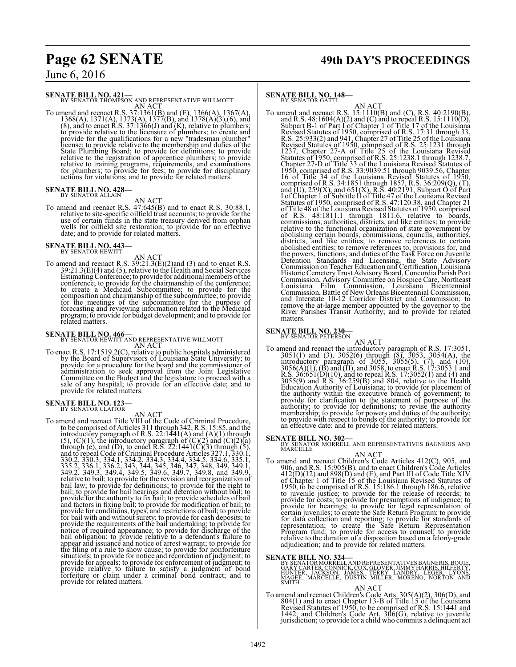# **Page 62 SENATE 49th DAY'S PROCEEDINGS**

June 6, 2016

**SENATE BILL NO. 421—**<br>BY SENATOR THOMPSON AND REPRESENTATIVE WILLMOTT AN ACT

To amend and reenact R.S. 37:1361(B) and (E), 1366(A), 1367(A), 1368(A), 1371(A), 1373(A), 1377(B), and 1378(A)(3),(6), and (8), and to enact R.S. 37:1366(J) and (K), relative to plumbers; to provide relative to the licensure of plumbers; to create and provide for the qualifications for a new "tradesman plumber" license; to provide relative to the membership and duties of the State Plumbing Board; to provide for definitions; to provide<br>relative to the registration of apprentice plumbers; to provide<br>relative to training programs, requirements, and examinations<br>for plumbers; to provide for fees;

# **SENATE BILL NO. 428-**<br>BY SENATOR ALLAIN

AN ACT<br>To amend and reenact R.S. 47:645(B) and to enact R.S. 30:88.1,<br>relative to site-specific oilfield trust accounts; to provide for the<br>use of certain funds in the state treasury derived from orphan<br>wells for oilfield

# **SENATE BILL NO. 443–**<br>BY SENATOR HEWITT

AN ACT

To amend and reenact R.S. 39:21.3(E)(2)and (3) and to enact R.S.<br>39:21.3(E)(4) and (5), relative to the Health and Social Services<br>Estimating Conference; to provide for additional members of the<br>conference; to provide for for the meetings of the subcommittee for the purpose of forecasting and reviewing information related to the Medicaid program; to provide for budget development; and to provide for related matters.

**SENATE BILL NO. 466**<br>BY SENATOR HEWITT AND REPRESENTATIVE WILLMOTT<br>To enact R.S. 17:1519.2(C), relative to public hospitals administered<br>by the Board of Supervisors of Louisiana State University; to<br>provide for a procedu provide for related matters.

# **SENATE BILL NO. 123-**<br>BY SENATOR CLAITOR

To amend and reenact Title VIII of the Code of Criminal Procedure,<br>to be comprised of Articles 311 through 342, R.S. 15:85, and the<br>introductory paragraph of R.S. 22:1441(A) and (A)(1) through<br>(5), (C)(1), the introductor bail obligation; to provide relative to a defendant's failure to appear and issuance and notice of arrest warrant; to provide for the filing of a rule to show cause; to provide for nonforfeiture situations; to provide for provide for appeals; to provide for enforcement of judgment; to provide relative to failure to satisfy a judgment of bond forfeiture or claim under a criminal bond contract; and to provide for related matters.

# **SENATE BILL NO. 148-**<br>BY SENATOR GATTI

To amend and reenact R.S. 15:1110(B) and (C), R.S. 40:2190(B),<br>and R.S. 48:1604(A)(2) and (C) and to repeal R.S. 15:1110(D),<br>Subpart B-1 of Part I of Chapter 1 of Title 17 of the Louisiana<br>Revised Statutes of 1950, compri districts, and like entities; to remove references to certain<br>abolished entities; to remove references to, provisions for, and<br>the powers, functions, and duties of the Task Force on Juvenile<br>Detention Standards and Licensi Commission, Advisory Committee on Hospice Care, Northeast Louisiana Film Commission, Louisiana Bicentennial<br>Commission, Battle of New Orleans Bicentennial Commission,<br>and Interstate 10-12 Corridor District and Commission,<br>remove the at-large member appointed by the governor to th matters.

# **SENATE BILL NO. 230—**<br>BY SENATOR PETERSON

AN ACT<br>
To amend and reenact the introductory paragraph of R.S. 17:3051,<br>
3051(1) and (3), 3052(6) through (8), 3053, 3054(A), the<br>
introductory paragraph of 3055, 3055(5), (7), and (10),<br>
3056(A)(1), (B) and (H), and 305 authority; to provide for definitions; to revise the authority membership; to provide for powers and duties of the authority; to provide with respect to bonds of the authority; to provide for an effective date; and to provide for related matters.

**SENATE BILL NO. 302—**<br>BY SENATOR MORRELL AND REPRESENTATIVES BAGNERIS AND<br>MARCELLE

AN ACT<br>To amend and reenact Children's Code Articles 412(C), 905, and<br>906, and R.S. 15:905(B), and to enact Children's Code Articles<br>412(D)(12) and 898(D) and (E), and Part III of Code Title XIV of Chapter 1 of Title 15 of the Louisiana Revised Statutes of 1950, to be comprised of R.S. 15:186.1 through 186.6, relative to juvenile justice; to provide for the release of records; to provide for costs; to provide for presumptions of indigence; to<br>provide for hearings; to provide for legal representation of<br>certain juveniles; to create the Safe Return Program; to provide<br>for data collection and reportin

**SENATE BILL NO. 324—**<br>BY SENATOR MORRELLAND REPRESENTATIVES BAGNERIS, BOUIE,<br>GARY CARTER, CONNICK, COX, GLOVER, JIMMY HARRIS, HILFERTY,<br>HUNTER, JACKSON, JAMES, TERRY LANDRY, LEGER, LYONS,<br>MAGEE, MARCELLE, DUSTIN MILLER, M

AN ACT<br>
To amend and reenact Children's Code Arts. 305(A)(2), 306(D), and<br>
804(1) and to enact Chapter 13-B of Title 15 of the Louisiana<br>
Revised Statutes of 1950, to be comprised of R.S. 15:1441 and<br>
1442, and Children's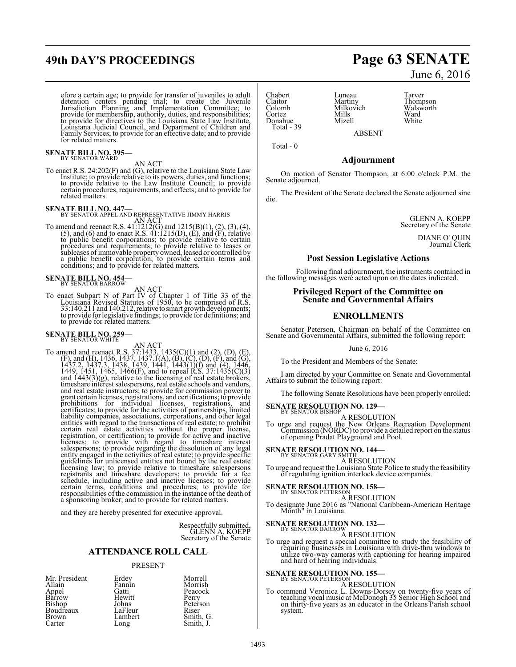# **49th DAY'S PROCEEDINGS Page 63 SENATE**

efore a certain age; to provide for transfer of juveniles to adult detention centers' pending trial; to create the Juvenile<br>Jurisdiction Planning and Implementation Committee; to<br>provide for membership, authority, duties, and responsibilities;<br>to provide for directives to the Louisiana St for related matters.

# **SENATE BILL NO. 395-**<br>BY SENATOR WARD

AN ACT<br>To enact R.S. 24:202(F) and (G), relative to the Louisiana State Law Institute; to provide relative to its powers, duties, and functions; to provide relative to the Law Institute Council; to provide certain procedures, requirements, and effects; and to provide for related matters.

**SENATE BILL NO. 447—**<br>BY SENATOR APPEL AND REPRESENTATIVE JIMMY HARRIS<br>To amend and reenact R.S. 41:1212(G) and 1215(B)(1), (2), (3), (4),<br>(5), and (6) and to enact R.S. 41:1215(D), (E), and (F), relative<br>to public benef procedures and requirements; to provide relative to leases or subleases of immovable property owned, leased or controlled by a public benefit corporation; to provide certain terms and conditions; and to provide for related matters.

# **SENATE BILL NO. 454—** BY SENATOR BARROW

AN ACT<br>To enact Subpart N of Part IV of Chapter 1 of Title 33 of the<br>Louisiana Revised Statutes of 1950, to be comprised of R.S.<br>33:140.211 and 140.212, relative to smart growth developments; to provide for legislative findings; to provide for definitions; and to provide for related matters.

# **SENATE BILL NO. 259-**

AN ACT<br>
To amend and reenact R.S. 37:1433, 1435(C)(1) and (2), (D), (E),<br>
(F), and (H), 1436, 1437, 1437, 1437, 1(A), (B), (C), (D), (F), and (G),<br>
1437.2, 1437.3, 1438, 1439, 1441, 1443(1)(f) and (4), 1446,<br>
1449, 1451, structured in the regard to timeshare interest<br>salespersons; to provide with regard to timeshare interest<br>salespersons; to provide regarding the dissolution of any legal entity engaged in the activities of real estate; to provide specific<br>guidelines for unlicensed entities not bound by the real estate<br>licensing law; to provide relative to timeshare salespersons<br>registrants and timeshare de a sponsoring broker; and to provide for related matters.

and they are hereby presented for executive approval.

Respectfully submitted, GLENN A. KOEPP Secretary of the Senate

# **ATTENDANCE ROLL CALL**

#### PRESENT

| Mr. President   | Erdey   | Morrell   |
|-----------------|---------|-----------|
| Allain          | Fannin  | Morrish   |
| Appel<br>Barrow | Gatti   | Peacock   |
|                 | Hewitt  | Perry     |
| Bishop          | Johns   | Peterson  |
| Boudreaux       | LaFleur | Riser     |
| Brown           | Lambert | Smith, G. |
| Carter          | Long    | Smith, J. |
|                 |         |           |

#### Chabert Luneau Tarver Claitor Martiny Thompson Colomb Milkovich Walsworth<br>Cortez Mills Ward Donahue Total - 39

Total - 0

Mills Ward<br>
Mizell White

ABSENT

# **Adjournment**

On motion of Senator Thompson, at 6:00 o'clock P.M. the Senate adjourned.

The President of the Senate declared the Senate adjourned sine die.

GLENN A. KOEPP Secretary of the Senate

DIANE O' QUIN Journal Clerk

## **Post Session Legislative Actions**

Following final adjournment, the instruments contained in the following messages were acted upon on the dates indicated.

## **Privileged Report of the Committee on Senate and Governmental Affairs**

# **ENROLLMENTS**

Senator Peterson, Chairman on behalf of the Committee on Senate and Governmental Affairs, submitted the following report:

#### June 6, 2016

To the President and Members of the Senate:

I am directed by your Committee on Senate and Governmental Affairs to submit the following report:

The following Senate Resolutions have been properly enrolled:

# **SENATE RESOLUTION NO. 129—**<br>BY SENATOR BISHOP

A RESOLUTION

To urge and request the New Orleans Recreation Development Commission (NORDC) to provide a detailed report on the status of opening Pradat Playground and Pool.

**SENATE RESOLUTION NO. 144—**<br>BY SENATOR GARY SMITH<br>To urge and request the Louisiana State Police to study the feasibility<br>of regulating ignition interlock device companies.

# **SENATE RESOLUTION NO. 158—**<br>BY SENATOR PETERSON<br>A RESOLUTION

To designate June 2016 as "National Caribbean-American Heritage Month" in Louisiana.

# **SENATE RESOLUTION NO. 132-**<br>BY SENATOR BARROW

A RESOLUTION

To urge and request a special committee to study the feasibility of requiring businesses in Louisiana with drive-thru windows to utilize two-way cameras with captioning for hearing impaired and hard of hearing individuals.

# **SENATE RESOLUTION NO. 155—**<br>BY SENATOR PETERSON<br>A RESOLUTION

To commend Veronica L. Downs-Dorsey on twenty-five years of teaching vocal music at McDonogh 35 Senior High School and on thirty-five years as an educator in the Orleans Parish school system.

# June 6, 2016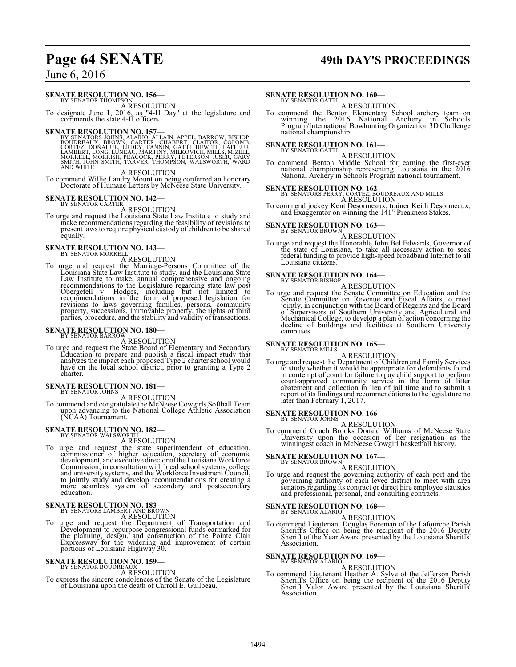# **Page 64 SENATE 49th DAY'S PROCEEDINGS**

# June 6, 2016

# **SENATE RESOLUTION NO. 156—**<br>BY SENATOR THOMPSON

A RESOLUTION

To designate June 1, 2016, as "4-H Day" at the legislature and commends the state 4-H officers.

**SENATE RESOLUTION NO. 157—**<br>BY SENATORS JOHNS, ALARIO, ALLAIN, APPEL, BARROW, BISHOP, BOUDREAUX, BROWN, CARTER, CHABERT, CLAITOR, COLOMB,<br>CORTEZ, DONAHUE, ERDEY, FANNIN, GATTI, HEWITT, LAFLEUR,<br>LAMBERT, LONG, LUNEAU, MART

#### A RESOLUTION

To commend Willie Landry Mount on being conferred an honorary Doctorate of Humane Letters by McNeese State University.

**SENATE RESOLUTION NO. 142—**<br>BY SENATOR CARTER<br>To urge and request the Louisiana State Law Institute to study and<br>make recommendations regarding the feasibility of revisions to present lawsto require physical custody of children to be shared equally.

# **SENATE RESOLUTION NO. 143**

A RESOLUTION

To urge and request the Marriage-Persons Committee of the Louisiana State Law Institute to study, and the Louisiana State Law Institute to make, annual comprehensive and ongoing recommendations to the Legislature regarding state law post<br>Obergefell v. Hodges, including but not limited to<br>recommendations in the form of proposed legislation for<br>revisions to laws governing families, persons, communit

# **SENATE RESOLUTION NO. 180—**<br>BY SENATOR BARROW

A RESOLUTION<br>
A RESOLUTION<br>
Education to prepare and publish a fiscal impact study that<br>
analyzes the impact each proposed Type 2 charter school would<br>
have on the local school district, prior to granting a Type 2 charter.

# **SENATE RESOLUTION NO. 181-**

A RESOLUTION

To commend and congratulate the McNeese Cowgirls Softball Team upon advancing to the National College Athletic Association (NCAA) Tournament.

# **SENATE RESOLUTION NO. 182–**<br>BY SENATOR WALSWORTH

A RESOLUTION To urge and request the state superintendent of education, commissioner of higher education, secretary of economic development, and executive director ofthe Louisiana Workforce Commission, in consultation with local school systems, college and university systems, and the Workforce Investment Council, to jointly study and develop recommendations for creating a more seamless system of secondary and postsecondary education.

# **SENATE RESOLUTION NO. 183—**<br>BY SENATORS LAMBERT AND BROWN

A RESOLUTION<br>To urge and request the Department of Transportation and<br>Development to repurpose congressional funds earmarked for<br>the planning, design, and construction of the Pointe Clair<br>Expressway for the widening and im

**SENATE RESOLUTION NO. 159—**<br>BY SENATOR BOUDREAUX<br>To express the sincere condolences of the Senate of the Legislature<br>of Louisiana upon the death of Carroll E. Guilbeau.

# **SENATE RESOLUTION NO. 160—**<br>BY SENATOR GATTI

A RESOLUTION

To commend the Benton Elementary School archery team on winning the 2016 National Archery in Schools Program/International Bowhunting Organization 3D Challenge national championship.

# **SENATE RESOLUTION NO. 161-**<br>BY SENATOR GATTI

A RESOLUTION<br>To commend Benton Middle School for earning the first-ever<br>national championship representing Louisiana in the 2016<br>National Archery in Schools Program national tournament.

**SENATE RESOLUTION NO. 162—** BY SENATORS PERRY, CORTEZ, BOUDREAUX AND MILLS A RESOLUTION

To commend jockey Kent Desormeaux, trainer Keith Desormeaux, and Exaggerator on winning the 141 st Preakness Stakes.

# **SENATE RESOLUTION NO. 163—**<br>BY SENATOR BROWN

A RESOLUTION<br>To urge and request the Honorable John Bel Edwards, Governor of<br>the state of Louisiana, to take all necessary action to seek<br>federal funding to provide high-speed broadband Internet to all Louisiana citizens.

# **SENATE RESOLUTION NO. 164–**<br>BY SENATOR BISHOP

A RESOLUTION

To urge and request the Senate Committee on Education and the<br>Senate Committee on Revenue and Fiscal Affairs to meet<br>jointly, in conjunction with the Board of Regents and the Board<br>of Supervisors of Southern University and campuses.

# **SENATE RESOLUTION NO. 165—**<br>BY SENATOR MILLS

A RESOLUTION

To urge and request the Department of Children and Family Services to study whether it would be appropriate for defendants found in contempt of court for failure to pay child support to perform<br>court-approved community service in the form of litter<br>abatement and collection in lieu of jail time and to submit a<br>peport of its findings and recommendatio

# **SENATE RESOLUTION NO. 166—** BY SENATOR JOHNS

A RESOLUTION

To commend Coach Brooks Donald Williams of McNeese State University upon the occasion of her resignation as the winningest coach in McNeese Cowgirl basketball history.

# **SENATE RESOLUTION NO. 167-**<br>BY SENATOR BROWN

A RESOLUTION

To urge and request the governing authority of each port and the governing authority of each levee district to meet with area senators regarding its contract or direct hire employee statistics and professional, personal, and consulting contracts.

# **SENATE RESOLUTION NO. 168-**<br>BY SENATOR ALARIO

A RESOLUTION

To commend Lieutenant Douglas Foreman of the Lafourche Parish Sheriff's Office on being the recipient of the 2016 Deputy Sheriff of the Year Award presented by the Louisiana Sheriffs' Association.

# **SENATE RESOLUTION NO. 169-**<br>BY SENATOR ALARIO

A RESOLUTION<br>To commend Lieutenant Heather A. Sylve of the Jefferson Parish<br>Sheriff's Office on being the recipient of the 2016 Deputy<br>Sheriff' Valor Award presented by the Louisiana Sheriffs' Association.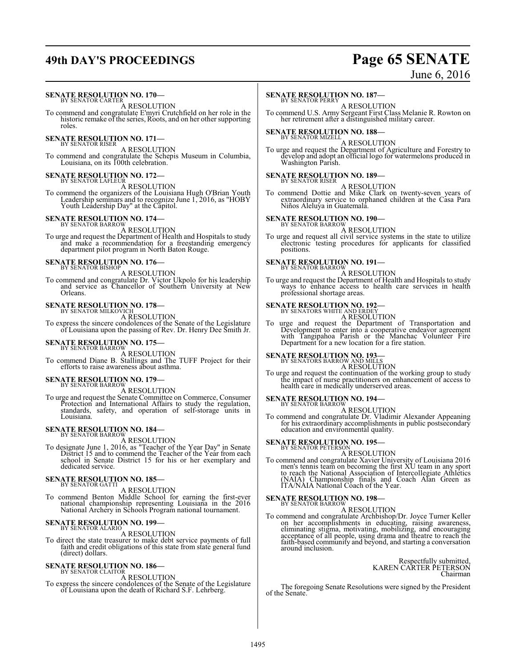# **49th DAY'S PROCEEDINGS Page 65 SENATE**

# June 6, 2016

# **SENATE RESOLUTION NO. 170-**<br>BY SENATOR CARTER

A RESOLUTION

To commend and congratulate E'myri Crutchfield on her role in the historic remake of the series, Roots, and on her other supporting roles.

# **SENATE RESOLUTION NO. 171—**<br>BY SENATOR RISER

A RESOLUTION

To commend and congratulate the Schepis Museum in Columbia, Louisiana, on its 100th celebration.

# **SENATE RESOLUTION NO. 172–**<br>BY SENATOR LAFLEUR

A RESOLUTION

To commend the organizers of the Louisiana Hugh O'Brian Youth Leadership seminars and to recognize June 1, 2016, as "HOBY Youth Leadership Day" at the Capitol.

# **SENATE RESOLUTION NO. 174–**<br>BY SENATOR BARROW

A RESOLUTION

To urge and request the Department of Health and Hospitals to study and make a recommendation for a freestanding emergency department pilot program in North Baton Rouge.

# **SENATE RESOLUTION NO. 176–**<br>BY SENATOR BISHOP

A RESOLUTION

To commend and congratulate Dr. Victor Ukpolo for his leadership and service as Chancellor of Southern University at New Orleans.

# **SENATE RESOLUTION NO. 178—**<br>BY SENATOR MILKOVICH

A RESOLUTION

To express the sincere condolences of the Senate of the Legislature of Louisiana upon the passing of Rev. Dr. Henry Dee Smith Jr.

# **SENATE RESOLUTION NO. 175—**<br>BY SENATOR BARROW

A RESOLUTION

To commend Diane B. Stallings and The TUFF Project for their efforts to raise awareness about asthma.

# **SENATE RESOLUTION NO. 179-**<br>BY SENATOR BARROW

A RESOLUTION

To urge and request the Senate Committee on Commerce, Consumer Protection and International Affairs to study the regulation, standards, safety, and operation of self-storage units in Louisiana.

# **SENATE RESOLUTION NO. 184–**<br>BY SENATOR BARROW

A RESOLUTION<br>To designate June 1, 2016, as "Teacher of the Year Day" in Senate<br>District 15 and to commend the Teacher of the Year from each<br>school in Senate District 15 for his or her exemplary and dedicated service.

# **SENATE RESOLUTION NO. 185—** BY SENATOR GATTI

A RESOLUTION

To commend Benton Middle School for earning the first-ever national championship representing Louisiana in the 2016 National Archery in Schools Program national tournament.

# **SENATE RESOLUTION NO. 199-**<br>BY SENATOR ALARIO

A RESOLUTION

To direct the state treasurer to make debt service payments of full faith and credit obligations of this state from state general fund (direct) dollars.

# **SENATE RESOLUTION NO. 186—**<br>BY SENATOR CLAITOR

A RESOLUTION

To express the sincere condolences of the Senate of the Legislature of Louisiana upon the death of Richard S.F. Lehrberg.

# **SENATE RESOLUTION NO. 187-**<br>BY SENATOR PERRY

A RESOLUTION

To commend U.S. Army Sergeant First Class Melanie R. Rowton on her retirement after a distinguished military career.

# **SENATE RESOLUTION NO. 188-**<br>BY SENATOR MIZELL

A RESOLUTION<br>To urge and request the Department of Agriculture and Forestry to<br>develop and adopt an official logo for watermelons produced in<br>Washington Parish.

# **SENATE RESOLUTION NO. 189—**<br>BY SENATOR RISER

A RESOLUTION

To commend Dottie and Mike Clark on twenty-seven years of extraordinary service to orphaned children at the Casa Para Niños Aleluya in Guatemala.

# **SENATE RESOLUTION NO. 190-**<br>BY SENATOR BARROW

A RESOLUTION

To urge and request all civil service systems in the state to utilize electronic testing procedures for applicants for classified positions.

# **SENATE RESOLUTION NO. 191-**<br>BY SENATOR BARROW

A RESOLUTION

To urge and request the Department of Health and Hospitals to study ways to enhance access to health care services in health professional shortage areas.

# **SENATE RESOLUTION NO. 192—**<br>BY SENATORS WHITE AND ERDEY

A RESOLUTION

To urge and request the Department of Transportation and Development to enter into a cooperative endeavor agreement with Tangipahoa Parish or the Manchac Volunteer Fire Department for a new location for a fire station.

# **SENATE RESOLUTION NO. 193—**<br>BY SENATORS BARROW AND MILLS<br>A RESOLUTION

To urge and request the continuation of the working group to study the impact of nurse practitioners on enhancement of access to health care in medically underserved areas.

# **SENATE RESOLUTION NO. 194—** BY SENATOR BARROW

A RESOLUTION To commend and congratulate Dr. Vladimir Alexander Appeaning for his extraordinary accomplishments in public postsecondary education and environmental quality.

# **SENATE RESOLUTION NO. 195—**<br>BY SENATOR PETERSON<br>A RESOLUTION

To commend and congratulate Xavier University of Louisiana 2016 men's tennis team on becoming the first XU team in any sport to reach the National Association of Intercollegiate Athletics (NAIA) Championship finals and Coach Alan Green as ITA/NAIA National Coach of the Year.

# **SENATE RESOLUTION NO. 198**<br>BY SENATOR BARROW

A RESOLUTION<br>To commend and congratulate Archbishop/Dr. Joyce Turner Keller<br>on her accomplishments in educating, raising awareness,<br>eliminating stigma, motivating, mobilizing, and encouraging<br>acceptance of all people, usin faith-based community and beyond, and starting a conversation around inclusion.

> Respectfully submitted, KAREN CARTER PETERSON Chairman

The foregoing Senate Resolutions were signed by the President of the Senate.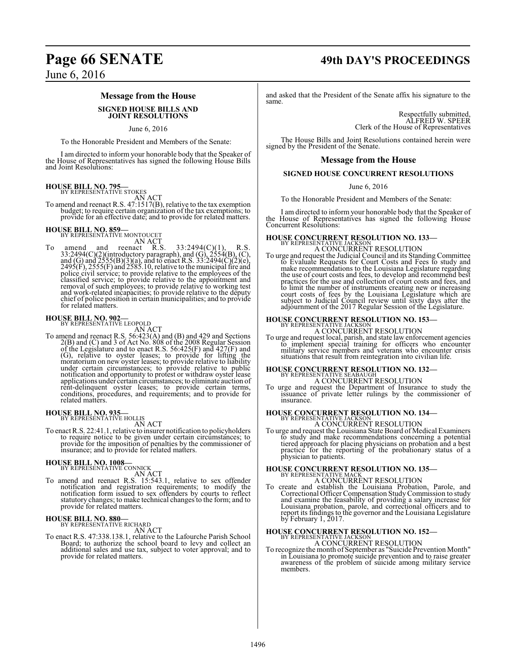# **Message from the House**

#### **SIGNED HOUSE BILLS AND JOINT RESOLUTIONS**

June 6, 2016

To the Honorable President and Members of the Senate:

I am directed to inform your honorable body that the Speaker of the House of Representatives has signed the following House Bills and Joint Resolutions:

**HOUSE BILL NO. 795—**<br>BY REPRESENTATIVE STOKES

AN ACT<br>To amend and reenact R.S. 47:1517(B), relative to the tax exemption budget; to require certain organization of the tax exemptions; to provide for an effective date; and to provide for related matters.

**HOUSE BILL NO. 859-**<br>BY REPRESENTATIVE MONTOUCET

AN ACT<br>
To amend and reenact R.S.  $33:2494(C)(1)$ , R.S.<br>  $33:2494(C)(2)(introducedov paragraph)$ , and (G),  $2554(B)$ , (C),<br>
and (G) and  $2555(B)(3)(a)$ , and to enact R.S.  $33:2494(C)(2)(e)$ ,<br>  $2495(F)$ ,  $2555(F)$  and  $2585.10$ , relative to the municipal chief of police position in certain municipalities; and to provide for related matters.

# **HOUSE BILL NO. 902-**<br>BY REPRESENTATIVE LEOPOLD

AN ACT<br>To amend and reenact R.S. 56:423(A) and (B) and 429 and Sections<br>2(B) and (C) and 3 of Act No. 808 of the 2008 Regular Session<br>of the Legislature and to enact R.S. 56:425(F) and 427(F) and<br>(G), relative to oyster le under certain circumstances; to provide relative to public notification and opportunity to protest or withdraw oyster lease applications under certain circumstances; to eliminate auction of rent-delinquent oyster leases; to provide certain terms, conditions, procedures, and requirements; and to provide for related matters.

# **HOUSE BILL NO. 935—** BY REPRESENTATIVE HOLLIS

AN ACT

To enact R.S. 22:41.1, relative to insurer notification to policyholders to require notice to be given under certain circumstances; to provide for the imposition of penalties by the commissioner of insurance; and to provide for related matters.

# **HOUSE BILL NO. 1008-**<br>BY REPRESENTATIVE CONNICK

AN ACT<br>To amend and reenact R.S. 15:543.1, relative to sex offender<br>notification and registration requirements; to modify the<br>notification form issued to sex offenders by courts to reflect statutory changes; to make technical changes to the form; and to provide for related matters.

# **HOUSE BILL NO. 880-** BY REPRESENTATIVE RICHARD

AN ACT

To enact R.S. 47:338.138.1, relative to the Lafourche Parish School Board; to authorize the school board to levy and collect an additional sales and use tax, subject to voter approval; and to provide for related matters.

# **Page 66 SENATE 49th DAY'S PROCEEDINGS**

and asked that the President of the Senate affix his signature to the same.

Respectfully submitted, ALFRED W. SPEER Clerk of the House of Representatives

The House Bills and Joint Resolutions contained herein were signed by the President of the Senate.

# **Message from the House**

### **SIGNED HOUSE CONCURRENT RESOLUTIONS**

June 6, 2016

To the Honorable President and Members of the Senate:

I am directed to inform your honorable body that the Speaker of the House of Representatives has signed the following House Concurrent Resolutions:

# **HOUSE CONCURRENT RESOLUTION NO. 133—BY REPRESENTATIVE JACKSON**

A CONCURRENT RESOLUTION

To urge and request the Judicial Council and its Standing Committee to Evaluate Requests for Court Costs and Fees to study and make recommendations to the Louisiana Legislature regarding the use of court costs and fees, to develop and recommend best practices for the use and collection of court costs and fees, and to limit the number of instruments creating new or increasing court costs of fees by the Louisiana Legislature which are subject to Judicial Council review until sixty days after the adjournment of the 2017 Regular Session of the Legislature.

# **HOUSE CONCURRENT RESOLUTION NO. 153-** BY REPRESENTATIVE JACKSON A CONCURRENT RESOLUTION

To urge and request local, parish, and state law enforcement agencies to implement special training for officers who encounter military service members and veterans who encounter crisis situations that result from reintegration into civilian life.

# **HOUSE CONCURRENT RESOLUTION NO. 132-**<br>BY REPRESENTATIVE SEABAUGH A CONCURRENT RESOLUTION

To urge and request the Department of Insurance to study the issuance of private letter rulings by the commissioner of insurance.

# **HOUSE CONCURRENT RESOLUTION NO. 134–**<br>BY REPRESENTATIVE JACKSON A CONCURRENT RESOLUTION

To urge and request the Louisiana State Board of Medical Examiners to study and make recommendations concerning a potential tiered approach for placing physicians on probation and a best practice for the reporting of the probationary status of a physician to patients.

# **HOUSE CONCURRENT RESOLUTION NO. 135—** BY REPRESENTATIVE MACK

A CONCURRENT RESOLUTION To create and establish the Louisiana Probation, Parole, and Correctional Officer Compensation StudyCommission to study and examine the feasability of providing a salary increase for Louisiana probation, parole, and correctional officers and to report its findings to the governor and the Louisiana Legislature by February 1, 2017.

# **HOUSE CONCURRENT RESOLUTION NO. 152-**<br>BY REPRESENTATIVE JACKSON

A CONCURRENT RESOLUTION To recognize the month of September as "Suicide Prevention Month" in Louisiana to promote suicide prevention and to raise greater awareness of the problem of suicide among military service members.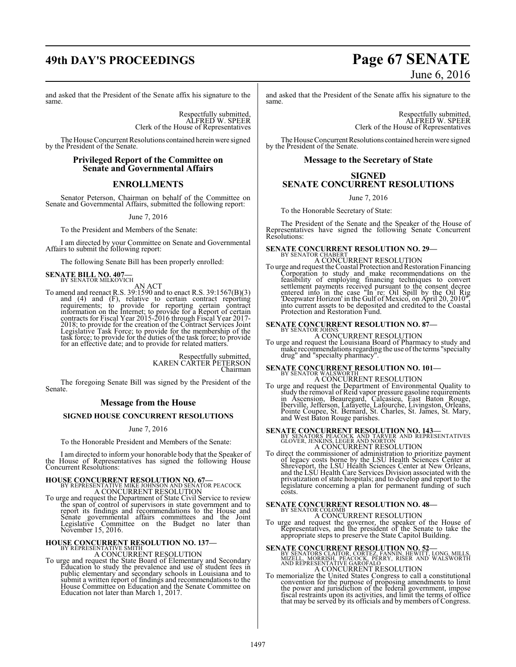# **49th DAY'S PROCEEDINGS Page 67 SENATE**

#### and asked that the President of the Senate affix his signature to the same.

Respectfully submitted, ALFRED W. SPEER Clerk of the House of Representatives

The House Concurrent Resolutions contained herein were signed by the President of the Senate.

### **Privileged Report of the Committee on Senate and Governmental Affairs**

# **ENROLLMENTS**

Senator Peterson, Chairman on behalf of the Committee on Senate and Governmental Affairs, submitted the following report:

June 7, 2016

To the President and Members of the Senate:

I am directed by your Committee on Senate and Governmental Affairs to submit the following report:

The following Senate Bill has been properly enrolled:

# **SENATE BILL NO. 407-**<br>BY SENATOR MILKOVICH

AN ACT<br>To amend and reenact R.S. 39:1590 and to enact R.S. 39:1567(B)(3) and (4) and (F), relative to certain contract reporting<br>requirements; to provide for reporting certain contract<br>information on the Internet; to provide for a Report of certain<br>contracts for Fiscal Year 2015-2016 through Fi for an effective date; and to provide for related matters.

> Respectfully submitted, KAREN CARTER PETERSON Chairman

The foregoing Senate Bill was signed by the President of the Senate.

## **Message from the House**

## **SIGNED HOUSE CONCURRENT RESOLUTIONS**

June 7, 2016

To the Honorable President and Members of the Senate:

I am directed to inform your honorable body that the Speaker of the House of Representatives has signed the following House Concurrent Resolutions:

# **HOUSE CONCURRENT RESOLUTION NO. 67—** BY REPRESENTATIVE MIKE JOHNSON AND SENATOR PEACOCK

A CONCURRENT RESOLUTION To urge and request the Department of State Civil Service to review the span of control of supervisors in state government and to report its findings and recommendations to the House and Senate governmental affairs committees and the Joint Legislative Committee on the Budget no later than November 15, 2016.

# **HOUSE CONCURRENT RESOLUTION NO. 137-**

### A CONCURRENT RESOLUTION

To urge and request the State Board of Elementary and Secondary<br>Education to study the prevalence and use of student fees in<br>public elementary and secondary schools in Louisiana and to<br>submit a written report of findings a House Committee on Education and the Senate Committee on Education not later than March 1, 2017.

# June 6, 2016

and asked that the President of the Senate affix his signature to the same.

Respectfully submitted, ALFRED W. SPEER Clerk of the House of Representatives

The House Concurrent Resolutions contained herein were signed by the President of the Senate.

# **Message to the Secretary of State**

# **SIGNED SENATE CONCURRENT RESOLUTIONS**

June 7, 2016

To the Honorable Secretary of State:

The President of the Senate and the Speaker of the House of Representatives have signed the following Senate Concurrent Resolutions:

# **SENATE CONCURRENT RESOLUTION NO. 29-** BY SENATOR CHABERT

- A CONCURRENT RESOLUTION
- To urge and request the Coastal Protection and Restoration Financing Corporation to study and make recommendations on the<br>feasibility of employing financing techniques to convert<br>settlement payments received pursuant to the consent decree<br>entered into in the case "In re: Oil Spill by the Oi into current assets to be deposited and credited to the Coastal Protection and Restoration Fund.

# **SENATE CONCURRENT RESOLUTION NO. 87—** BY SENATOR JOHNS

A CONCURRENT RESOLUTION

To urge and request the Louisiana Board of Pharmacy to study and make recommendations regarding the use ofthe terms "specialty drug" and "specialty pharmacy".

# **SENATE CONCURRENT RESOLUTION NO. 101—** BY SENATOR WALSWORTH A CONCURRENT RESOLUTION

To urge and request the Department of Environmental Quality to<br>study the removal of Reid vapor pressure gasoline requirements<br>in Ascension, Beauregard, Calcasieu, East Baton Rouge,<br>Iberville, Jefferson, Lafayette, Lafourch and West Baton Rouge parishes.

# **SENATE CONCURRENT RESOLUTION NO. 143—BY SENATORS PEACOCK AND TARVER AND REPRESENTATIVES**<br>BY SENATORS PEACOCK AND TARVER AND REPRESENTATIVES

A CONCURRENT RESOLUTION

To direct the commissioner of administration to prioritize payment of legacy costs borne by the LSU Health Sciences Center at Shreveport, the LSU Health Sciences Center at New Orleans, and the LSU Health Care Services Division associated with the privatization of state hospitals; and to develop and report to the legislature concerning a plan for permanent funding of such costs.

# **SENATE CONCURRENT RESOLUTION NO. 48—**<br>BY SENATOR COLOMB<br>A CONCURRENT RESOLUTION

To urge and request the governor, the speaker of the House of Representatives, and the president of the Senate to take the appropriate steps to preserve the State Capitol Building.

**SENATE CONCURRENT RESOLUTION NO. 52—**<br>BY SENATORS CLAITOR, CORTEZ, FANNIN, HEWITT, LONG, MILLS,<br>MIZELL, MORRISH, PEACOCK, PERRY, RISER AND WALSWORTH<br>AND REPRESENTATIVE GAROFALO A CONCURRENT RESOLUTION

To memorialize the United States Congress to call a constitutional convention for the purpose of proposing amendments to limit the power and jurisdiction of the federal government, impose fiscal restraints upon its activities, and limit the terms of office that may be served by its officials and by members of Congress.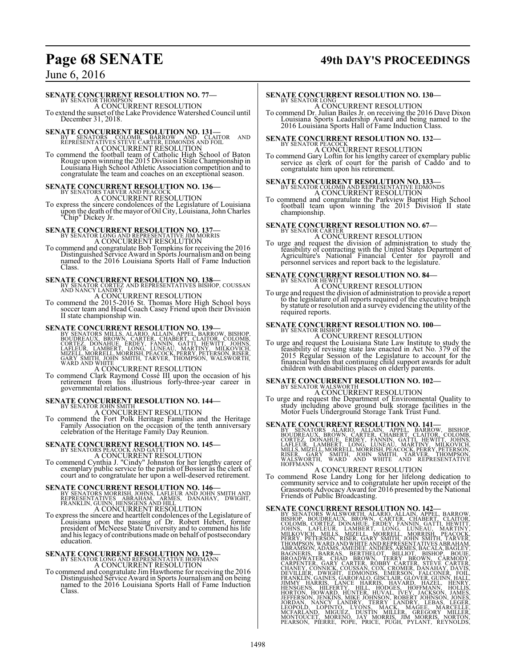# **Page 68 SENATE 49th DAY'S PROCEEDINGS**

# June 6, 2016

# **SENATE CONCURRENT RESOLUTION NO. 77-BY SENATOR THOMPSON**

A CONCURRENT RESOLUTION

To extend the sunset of the Lake Providence Watershed Council until December 31, 2018.

**SENATE CONCURRENT RESOLUTION NO. 131—**<br>
BY SENATORS COLOMB, BARROW AND CLAITOR AND<br>
REPRESENTATIVES STEVE CARTER, EDMONDS AND FOIL<br>
A CONCURRENT RESOLUTION<br>
To commend the football team of Catholic High School of Baton<br>
R

# **SENATE CONCURRENT RESOLUTION NO. 136—** BY SENATORS TARVER AND PEACOCK

A CONCURRENT RESOLUTION

To express the sincere condolences of the Legislature of Louisiana upon the death ofthe mayor of Oil City, Louisiana, John Charles "Chip" Dickey Jr.

# **SENATE CONCURRENT RESOLUTION NO. 137—**<br>
BY SENATOR AND REPRESENTATIVE JIM MORRIS<br>
To commend and congratulate Bob Tompkins for receiving the 2016

Distinguished Service Award in Sports Journalismand on being named to the 2016 Louisiana Sports Hall of Fame Induction Class.

**SENATE CONCURRENT RESOLUTION NO. 138**<br>
BY SENATOR CORTEZ AND REPRESENTATIVES BISHOP, COUSSAN<br>
AND NANCY LANDRY<br>
A CONCURRENT RESOLUTION<br>
To commend the 2015-2016 St. Thomas More High School boys<br>
soccer team and Head Coac

**SENATE CONCURRENT RESOLUTION NO. 139-**<br>BY SENATORS MILLS, ALARIO, ALLAIN, APPEL, BARROW, BISHOP, BOUDREAUX, BROWN, CARTÉR, CHABERT, CLAITOR, COLOMB,<br>CORTEZ, DONAHUE, ÉRDEY, FANNIN, GATTI, HEWITT, JOHN<br>LAFLEUR, LAMBERT, LO

A CONCURRENT RESOLUTION To commend Clark Raymond Cossé III upon the occasion of his retirement from his illustrious forty-three-year career in governmental relations.

# **SENATE CONCURRENT RESOLUTION NO. 144—** BY SENATOR JOHN SMITH

A CONCURRENT RESOLUTION To commend the Fort Polk Heritage Families and the Heritage Family Association on the occasion of the tenth anniversary celebration of the Heritage Family Day Reunion.

# **SENATE CONCURRENT RESOLUTION NO. 145—**<br>BY SENATORS PEACOCK AND GATTI<br>A CONCURRENT RESOLUTION<br>To commend Cynthia J. "Cindy" Johnston for her lengthy career of<br>exemplary public service to the parish of Bossier as the clerk

court and to congratulate her upon a well-deserved retirement.

**SENATE CONCURRENT RESOLUTION NO. 146—**<br>
BY SENATORS MORRISH, JOHNS, LAFLEUR AND JOHN SMITH AND<br>
REPRESENTATIVES ABRAHAM, ARMES, DANAHAY, DWIGHT,<br>FRANKLIN, GUINN, HENSGENS AND HILL A CONCURRENT RESOLUTION

To express the sincere and heartfelt condolences of the Legislature of Louisiana upon the passing of Dr. Robert Hebert, former president of McNeese State University and to commend his life and his legacy of contributions made on behalf of postsecondary education.

**SENATE CONCURRENT RESOLUTION NO. 129—**<br>BY SENATOR LONG AND REPRESENTATIVE HOFFMANN<br>To commend and congratulate Jim Hawthorne for receiving the 2016<br>Distinguished Service Award in Sports Journalism and on being<br>named to th Class.

# **SENATE CONCURRENT RESOLUTION NO. 130—**<br>BY SENATOR LONG A CONCURRENT RESOLUTION

To commend Dr. Julian Bailes Jr. on receiving the 2016 Dave Dixon Louisiana Sports Leadership Award and being named to the 2016 Louisiana Sports Hall of Fame Induction Class.

# **SENATE CONCURRENT RESOLUTION NO. 132-BY SENATOR PEACOCK**

A CONCURRENT RESOLUTION To commend Gary Loftin for his lengthy career of exemplary public service as clerk of court for the parish of Caddo and to congratulate him upon his retirement.

# **SENATE CONCURRENT RESOLUTION NO. 133—**<br>BY SENATOR COLOMB AND REPRESENTATIVE EDMONDS<br>A CONCURRENT RESOLUTION

To commend and congratulate the Parkview Baptist High School football team upon winning the 2015 Division II state championship.

# **SENATE CONCURRENT RESOLUTION NO. 67—** BY SENATOR CARTER

A CONCURRENT RESOLUTION

To urge and request the division of administration to study the feasibility of contracting with the United States Department of Agriculture's National Financial Center for payroll and personnel services and report back to the legislature.

# **SENATE CONCURRENT RESOLUTION NO. 84–**

A CONCURRENT RESOLUTION

To urge and request the division of administration to provide a report to the legislature of all reports required of the executive branch by statute or resolution and a survey evidencing the utility of the required reports.

# **SENATE CONCURRENT RESOLUTION NO. 100—** BY SENATOR BISHOP

A CONCURRENT RESOLUTION

To urge and request the Louisiana State Law Institute to study the feasibility of revising state law enacted in Act No. 379 of the 2015 Regular Session of the Legislature to account for the financial burden that continuing child support awards for adult children with disabilities places o

# **SENATE CONCURRENT RESOLUTION NO. 102—**<br>BY SENATOR WALSWORTH A CONCURRENT RESOLUTION

To urge and request the Department of Environmental Quality to study including above ground bulk storage facilities in the Motor Fuels Underground Storage Tank Trust Fund.

**SENATE CONCURRENT RESOLUTION NO. 141—**<br>BY SENATORS ALARIO, ALLAIN, APPEL, BARROW, BISHOP, BOUDREAUX, BROWN, CARTER, CHABERT, CLAITOR, COLOMB,<br>CORTEZ, DONAHUE, ERDEY, FANNIN, GATTI, HEWITT, JOHNS,<br>LAFLEUR, LAMBERT, LONG, L

## A CONCURRENT RESOLUTION

To commend Rose Landry Long for her lifelong dedication to community service and to congratulate her upon receipt of the Grassroots AdvocacyAward for 2016 presented by the National Friends of Public Broadcasting.

**SENATE CONCURRENT RESOLUTION NO. 142—**<br>BY SENATORS WALSWORTH, ALRIANO, ALLAIN, APPEI, BARROW, BISHOP, BOUDREAUX, BROWN, CARTER, CHABERT, CLAITOR, COLOMB, CORTEZ, DONAHUE, ERDEY, FANNIN, GATTI, HEWITT, MILLION JOHNS, LAFLE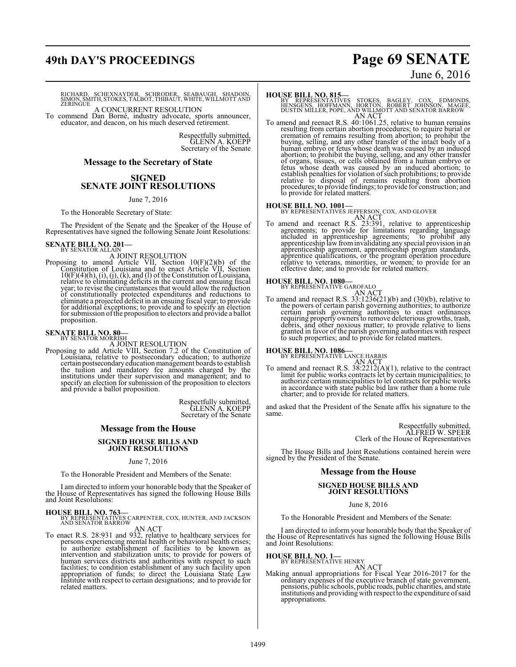# **49th DAY'S PROCEEDINGS Page 69 SENATE**

# June 6, 2016

RICHARD, SCHEXNAYDER, SCHRODER, SEABAUGH, SHADOIN,<br>SIMON,SMITH,STOKES,TALBOT,THIBAUT,WHITE,WILLMOTTAND<br>ZERINGUE

A CONCURRENT RESOLUTION To commend Dan Borné, industry advocate, sports announcer, educator, and deacon, on his much deserved retirement.

Respectfully submitted, GLENN A. KOEPP Secretary of the Senate

### **Message to the Secretary of State**

## **SIGNED SENATE JOINT RESOLUTIONS**

#### June 7, 2016

To the Honorable Secretary of State:

The President of the Senate and the Speaker of the House of Representatives have signed the following Senate Joint Resolutions:

# **SENATE BILL NO. 201-**<br>BY SENATOR ALLAIN

A JOINT RESOLUTION<br>Proposing to amend Article VII, Section 10(F)(2)(b) of the<br>Constitution of Louisiana and to enact Article VII, Section 10(F)(4)(h), (i), (j), (k), and (l) of the Constitution of Louisiana, relative to eliminating deficits in the current and ensuing fiscal year; to revise the circumstances that would allow the reduction of constitutionally protected expenditures and reductions to<br>eliminate a projected deficit in an ensuing fiscal year; to provide<br>for additional exceptions; to provide and to specify an election<br>for submission of the propos proposition.

# **SENATE BILL NO. 80**<br>BY SENATOR MORRISH

A JOINT RESOLUTION Proposing to add Article VIII, Section 7.2 of the Constitution of Louisiana, relative to postsecondary education; to authorize certain postsecondary education management boards to establish the tuition and mandatory fee amounts charged by the institutions under their supervision and management; and to specify an election for submission of the proposition to electors and provide a ballot proposition.

> Respectfully submitted, GLENN A. KOEPP Secretary of the Senate

# **Message from the House SIGNED HOUSE BILLS AND**

# **JOINT RESOLUTIONS**

June 7, 2016

To the Honorable President and Members of the Senate:

I am directed to inform your honorable body that the Speaker of the House of Representatives has signed the following House Bills and Joint Resolutions:

**HOUSE BILL NO. 763—** BY REPRESENTATIVES CARPENTER, COX, HUNTER, AND JACKSON AND SENATOR BARROW AN ACT

To enact R.S. 28:931 and 932, relative to healthcare services for<br>persons experiencing mental health or behavioral health criss;<br>to authorize establishment of facilities to be known as<br>intervention and stabilization units; related matters.

**HOUSE BILL NO. 815—**<br>BY REPRESENTATIVES STOKES, BAGLEY, COX, EDMONDS,<br>HENSGENS, HOFFMANN, HORTON, ROBERT JOHNSON, MAGEE,<br>DUSTIN MILLER, POPE, AND WILLMOTT AND SENATOR BARROW<br>To amend and reenact R.S. 40:1061.25, relative

resulting from certain abortion procedures; to require burial or cremation of remains resulting from abortion; to prohibit the buying, selling, and any other transfer of the intact body of a human embryo or fetus whose death was caused by an induced abortion; to prohibit the buying, selling, and any other transfer of organs, tissues, or cells obtained from a human embryo or<br>fetus whose death was caused by an induced abortion; to<br>establish penalties for violation of such prohibitions; to provide<br>relative to disposal of remains result procedures; to provide findings; to provide for construction; and to provide for related matters.

**HOUSE BILL NO. 1001—** BY REPRESENTATIVES JEFFERSON, COX, AND GLOVER

AN ACT<br>To amend and reenact R.S. 23:391, relative to apprenticeship<br>agreements; to provide for limitations regarding language included in apprenticeship agreements; to prohibit any<br>apprenticeship law from invalidating any special provision in an<br>apprenticeship agreement, apprenticeship program standards,<br>apprentice qualifications, or the program

# **HOUSE BILL NO. 1080—**<br>BY REPRESENTATIVE GAROFALO

AN ACT<br>To amend and reenact R.S. 33:1236(21)(b) and (30)(b), relative to the powers of certain parish governing authorities; to authorize certain parish governing authorities to enact ordinances<br>requiring property owners to remove deleterious growths, trash,<br>debris, and other noxious matter; to provide relative to liens<br>granted in favor of the parish governi to such properties; and to provide for related matters.

**HOUSE BILL NO. 1086—**<br>BY REPRESENTATIVE LANCE HARRIS

AN ACT<br>To amend and reenact R.S. 38:2212(A)(1), relative to the contract<br>limit for public works contracts let by certain municipalities; to authorize certain municipalities to let contracts for public works in accordance with state public bid law rather than a home rule charter; and to provide for related matters.

and asked that the President of the Senate affix his signature to the same.

> Respectfully submitted, ALFRED W. SPEER Clerk of the House of Representatives

The House Bills and Joint Resolutions contained herein were signed by the President of the Senate.

#### **Message from the House**

### **SIGNED HOUSE BILLS AND JOINT RESOLUTIONS**

June 8, 2016

To the Honorable President and Members of the Senate:

I am directed to inform your honorable body that the Speaker of the House of Representatives has signed the following House Bills and Joint Resolutions:

# **HOUSE BILL NO. 1—**<br>BY REPRESENTATIVE HENRY

AN ACT<br>Making annual appropriations for Fiscal Year 2016-2017 for the ordinary expenses of the executive branch of state government, pensions, public schools, public roads, public charities, and state institutions and providing with respect to the expenditure ofsaid appropriations.